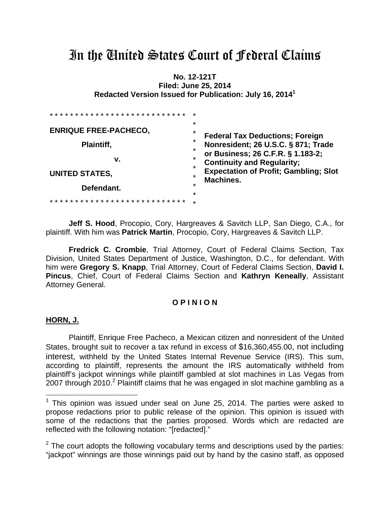# In the United States Court of Federal Claims

**No. 12-121T Filed: June 25, 2014 Redacted Version Issued for Publication: July 16, 20141**

| * * * * * * * * * * * * * *  | ÷<br>$\star$                                                                                                                                        |
|------------------------------|-----------------------------------------------------------------------------------------------------------------------------------------------------|
| <b>ENRIQUE FREE-PACHECO,</b> | $\star$<br><b>Federal Tax Deductions; Foreign</b><br>$\star$<br>Nonresident; 26 U.S.C. § 871; Trade<br>$\star$<br>or Business; 26 C.F.R. § 1.183-2; |
| Plaintiff,                   |                                                                                                                                                     |
| v.                           | *<br><b>Continuity and Regularity;</b><br>÷                                                                                                         |
| <b>UNITED STATES,</b>        | <b>Expectation of Profit; Gambling; Slot</b><br>$\star$<br><b>Machines.</b>                                                                         |
| Defendant.                   | $\star$<br>$\star$                                                                                                                                  |
|                              | $\star$                                                                                                                                             |

**Jeff S. Hood**, Procopio, Cory, Hargreaves & Savitch LLP, San Diego, C.A., for plaintiff. With him was **Patrick Martin**, Procopio, Cory, Hargreaves & Savitch LLP.

**Fredrick C. Crombie**, Trial Attorney, Court of Federal Claims Section, Tax Division, United States Department of Justice, Washington, D.C., for defendant. With him were **Gregory S. Knapp**, Trial Attorney, Court of Federal Claims Section, **David I. Pincus**, Chief, Court of Federal Claims Section and **Kathryn Keneally**, Assistant Attorney General.

#### **O P I N I O N**

#### **HORN, J.**

 $\overline{a}$ 

Plaintiff, Enrique Free Pacheco, a Mexican citizen and nonresident of the United States, brought suit to recover a tax refund in excess of \$16,360,455.00, not including interest, withheld by the United States Internal Revenue Service (IRS). This sum, according to plaintiff, represents the amount the IRS automatically withheld from plaintiff's jackpot winnings while plaintiff gambled at slot machines in Las Vegas from  $2007$  through 2010.<sup>2</sup> Plaintiff claims that he was engaged in slot machine gambling as a

 $1$  This opinion was issued under seal on June 25, 2014. The parties were asked to propose redactions prior to public release of the opinion. This opinion is issued with some of the redactions that the parties proposed. Words which are redacted are reflected with the following notation: "[redacted]."

 $2$  The court adopts the following vocabulary terms and descriptions used by the parties: "jackpot" winnings are those winnings paid out by hand by the casino staff, as opposed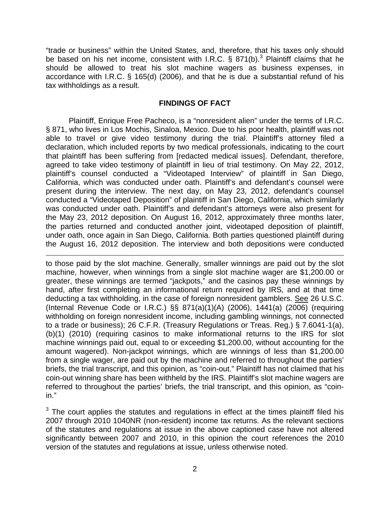"trade or business" within the United States, and, therefore, that his taxes only should be based on his net income, consistent with I.R.C.  $\S 871(b)$ .<sup>3</sup> Plaintiff claims that he should be allowed to treat his slot machine wagers as business expenses, in accordance with I.R.C. § 165(d) (2006), and that he is due a substantial refund of his tax withholdings as a result.

## **FINDINGS OF FACT**

Plaintiff, Enrique Free Pacheco, is a "nonresident alien" under the terms of I.R.C. § 871, who lives in Los Mochis, Sinaloa, Mexico. Due to his poor health, plaintiff was not able to travel or give video testimony during the trial. Plaintiff's attorney filed a declaration, which included reports by two medical professionals, indicating to the court that plaintiff has been suffering from [redacted medical issues]. Defendant, therefore, agreed to take video testimony of plaintiff in lieu of trial testimony. On May 22, 2012, plaintiff's counsel conducted a "Videotaped Interview" of plaintiff in San Diego, California, which was conducted under oath. Plaintiff's and defendant's counsel were present during the interview. The next day, on May 23, 2012, defendant's counsel conducted a "Videotaped Deposition" of plaintiff in San Diego, California, which similarly was conducted under oath. Plaintiff's and defendant's attorneys were also present for the May 23, 2012 deposition. On August 16, 2012, approximately three months later, the parties returned and conducted another joint, videotaped deposition of plaintiff, under oath, once again in San Diego, California. Both parties questioned plaintiff during the August 16, 2012 deposition. The interview and both depositions were conducted

 $\overline{a}$ to those paid by the slot machine. Generally, smaller winnings are paid out by the slot machine, however, when winnings from a single slot machine wager are \$1,200.00 or greater, these winnings are termed "jackpots," and the casinos pay these winnings by hand, after first completing an informational return required by IRS, and at that time deducting a tax withholding, in the case of foreign nonresident gamblers. See 26 U.S.C. (Internal Revenue Code or I.R.C.) §§ 871(a)(1)(A) (2006), 1441(a) (2006) (requiring withholding on foreign nonresident income, including gambling winnings, not connected to a trade or business); 26 C.F.R. (Treasury Regulations or Treas. Reg.) § 7.6041-1(a), (b)(1) (2010) (requiring casinos to make informational returns to the IRS for slot machine winnings paid out, equal to or exceeding \$1,200.00, without accounting for the amount wagered). Non-jackpot winnings, which are winnings of less than \$1,200.00 from a single wager, are paid out by the machine and referred to throughout the parties' briefs, the trial transcript, and this opinion, as "coin-out." Plaintiff has not claimed that his coin-out winning share has been withheld by the IRS. Plaintiff's slot machine wagers are referred to throughout the parties' briefs, the trial transcript, and this opinion, as "coinin."

 $3$  The court applies the statutes and regulations in effect at the times plaintiff filed his 2007 through 2010 1040NR (non-resident) income tax returns. As the relevant sections of the statutes and regulations at issue in the above captioned case have not altered significantly between 2007 and 2010, in this opinion the court references the 2010 version of the statutes and regulations at issue, unless otherwise noted.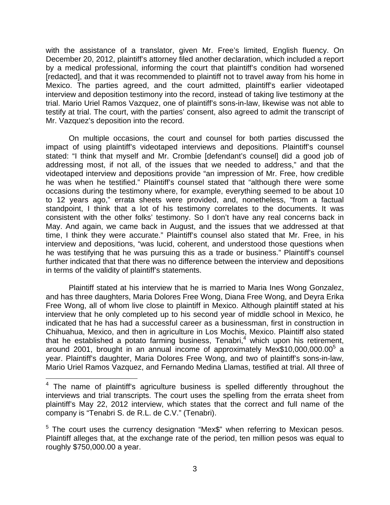with the assistance of a translator, given Mr. Free's limited, English fluency. On December 20, 2012, plaintiff's attorney filed another declaration, which included a report by a medical professional, informing the court that plaintiff's condition had worsened [redacted], and that it was recommended to plaintiff not to travel away from his home in Mexico. The parties agreed, and the court admitted, plaintiff's earlier videotaped interview and deposition testimony into the record, instead of taking live testimony at the trial. Mario Uriel Ramos Vazquez, one of plaintiff's sons-in-law, likewise was not able to testify at trial. The court, with the parties' consent, also agreed to admit the transcript of Mr. Vazquez's deposition into the record.

On multiple occasions, the court and counsel for both parties discussed the impact of using plaintiff's videotaped interviews and depositions. Plaintiff's counsel stated: "I think that myself and Mr. Crombie [defendant's counsel] did a good job of addressing most, if not all, of the issues that we needed to address," and that the videotaped interview and depositions provide "an impression of Mr. Free, how credible he was when he testified." Plaintiff's counsel stated that "although there were some occasions during the testimony where, for example, everything seemed to be about 10 to 12 years ago," errata sheets were provided, and, nonetheless, "from a factual standpoint, I think that a lot of his testimony correlates to the documents. It was consistent with the other folks' testimony. So I don't have any real concerns back in May. And again, we came back in August, and the issues that we addressed at that time, I think they were accurate." Plaintiff's counsel also stated that Mr. Free, in his interview and depositions, "was lucid, coherent, and understood those questions when he was testifying that he was pursuing this as a trade or business." Plaintiff's counsel further indicated that that there was no difference between the interview and depositions in terms of the validity of plaintiff's statements.

Plaintiff stated at his interview that he is married to Maria Ines Wong Gonzalez, and has three daughters, Maria Dolores Free Wong, Diana Free Wong, and Deyra Erika Free Wong, all of whom live close to plaintiff in Mexico. Although plaintiff stated at his interview that he only completed up to his second year of middle school in Mexico, he indicated that he has had a successful career as a businessman, first in construction in Chihuahua, Mexico, and then in agriculture in Los Mochis, Mexico. Plaintiff also stated that he established a potato farming business, Tenabri, $4\overline{ }$  which upon his retirement, around 2001, brought in an annual income of approximately Mex\$10,000,000.00<sup>5</sup> a year. Plaintiff's daughter, Maria Dolores Free Wong, and two of plaintiff's sons-in-law, Mario Uriel Ramos Vazquez, and Fernando Medina Llamas, testified at trial. All three of

 $4$  The name of plaintiff's agriculture business is spelled differently throughout the interviews and trial transcripts. The court uses the spelling from the errata sheet from plaintiff's May 22, 2012 interview, which states that the correct and full name of the company is "Tenabri S. de R.L. de C.V." (Tenabri).

<sup>&</sup>lt;sup>5</sup> The court uses the currency designation "Mex\$" when referring to Mexican pesos. Plaintiff alleges that, at the exchange rate of the period, ten million pesos was equal to roughly \$750,000.00 a year.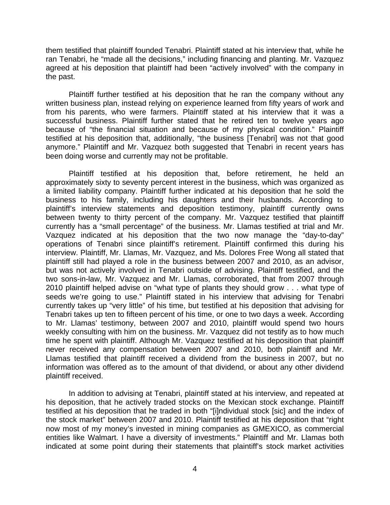them testified that plaintiff founded Tenabri. Plaintiff stated at his interview that, while he ran Tenabri, he "made all the decisions," including financing and planting. Mr. Vazquez agreed at his deposition that plaintiff had been "actively involved" with the company in the past.

Plaintiff further testified at his deposition that he ran the company without any written business plan, instead relying on experience learned from fifty years of work and from his parents, who were farmers. Plaintiff stated at his interview that it was a successful business. Plaintiff further stated that he retired ten to twelve years ago because of "the financial situation and because of my physical condition." Plaintiff testified at his deposition that, additionally, "the business [Tenabri] was not that good anymore." Plaintiff and Mr. Vazquez both suggested that Tenabri in recent years has been doing worse and currently may not be profitable.

Plaintiff testified at his deposition that, before retirement, he held an approximately sixty to seventy percent interest in the business, which was organized as a limited liability company. Plaintiff further indicated at his deposition that he sold the business to his family, including his daughters and their husbands. According to plaintiff's interview statements and deposition testimony, plaintiff currently owns between twenty to thirty percent of the company. Mr. Vazquez testified that plaintiff currently has a "small percentage" of the business. Mr. Llamas testified at trial and Mr. Vazquez indicated at his deposition that the two now manage the "day-to-day" operations of Tenabri since plaintiff's retirement. Plaintiff confirmed this during his interview. Plaintiff, Mr. Llamas, Mr. Vazquez, and Ms. Dolores Free Wong all stated that plaintiff still had played a role in the business between 2007 and 2010, as an advisor, but was not actively involved in Tenabri outside of advising. Plaintiff testified, and the two sons-in-law, Mr. Vazquez and Mr. Llamas, corroborated, that from 2007 through 2010 plaintiff helped advise on "what type of plants they should grow . . . what type of seeds we're going to use." Plaintiff stated in his interview that advising for Tenabri currently takes up "very little" of his time, but testified at his deposition that advising for Tenabri takes up ten to fifteen percent of his time, or one to two days a week. According to Mr. Llamas' testimony, between 2007 and 2010, plaintiff would spend two hours weekly consulting with him on the business. Mr. Vazquez did not testify as to how much time he spent with plaintiff. Although Mr. Vazquez testified at his deposition that plaintiff never received any compensation between 2007 and 2010, both plaintiff and Mr. Llamas testified that plaintiff received a dividend from the business in 2007, but no information was offered as to the amount of that dividend, or about any other dividend plaintiff received.

In addition to advising at Tenabri, plaintiff stated at his interview, and repeated at his deposition, that he actively traded stocks on the Mexican stock exchange. Plaintiff testified at his deposition that he traded in both "[i]ndividual stock [sic] and the index of the stock market" between 2007 and 2010. Plaintiff testified at his deposition that "right now most of my money's invested in mining companies as GMEXICO, as commercial entities like Walmart. I have a diversity of investments." Plaintiff and Mr. Llamas both indicated at some point during their statements that plaintiff's stock market activities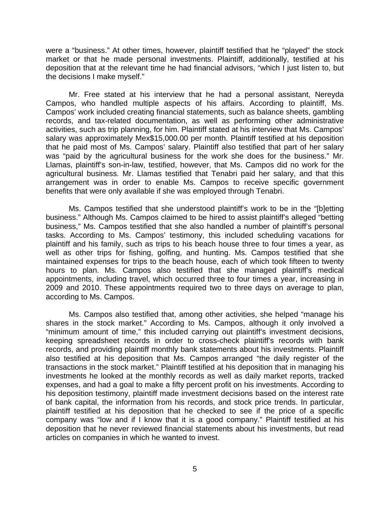were a "business." At other times, however, plaintiff testified that he "played" the stock market or that he made personal investments. Plaintiff, additionally, testified at his deposition that at the relevant time he had financial advisors, "which I just listen to, but the decisions I make myself."

Mr. Free stated at his interview that he had a personal assistant, Nereyda Campos, who handled multiple aspects of his affairs. According to plaintiff, Ms. Campos' work included creating financial statements, such as balance sheets, gambling records, and tax-related documentation, as well as performing other administrative activities, such as trip planning, for him. Plaintiff stated at his interview that Ms. Campos' salary was approximately Mex\$15,000.00 per month. Plaintiff testified at his deposition that he paid most of Ms. Campos' salary. Plaintiff also testified that part of her salary was "paid by the agricultural business for the work she does for the business." Mr. Llamas, plaintiff's son-in-law, testified, however, that Ms. Campos did no work for the agricultural business. Mr. Llamas testified that Tenabri paid her salary, and that this arrangement was in order to enable Ms. Campos to receive specific government benefits that were only available if she was employed through Tenabri.

Ms. Campos testified that she understood plaintiff's work to be in the "[b]etting business." Although Ms. Campos claimed to be hired to assist plaintiff's alleged "betting business," Ms. Campos testified that she also handled a number of plaintiff's personal tasks. According to Ms. Campos' testimony, this included scheduling vacations for plaintiff and his family, such as trips to his beach house three to four times a year, as well as other trips for fishing, golfing, and hunting. Ms. Campos testified that she maintained expenses for trips to the beach house, each of which took fifteen to twenty hours to plan. Ms. Campos also testified that she managed plaintiff's medical appointments, including travel, which occurred three to four times a year, increasing in 2009 and 2010. These appointments required two to three days on average to plan, according to Ms. Campos.

Ms. Campos also testified that, among other activities, she helped "manage his shares in the stock market." According to Ms. Campos, although it only involved a "minimum amount of time," this included carrying out plaintiff's investment decisions, keeping spreadsheet records in order to cross-check plaintiff's records with bank records, and providing plaintiff monthly bank statements about his investments. Plaintiff also testified at his deposition that Ms. Campos arranged "the daily register of the transactions in the stock market." Plaintiff testified at his deposition that in managing his investments he looked at the monthly records as well as daily market reports, tracked expenses, and had a goal to make a fifty percent profit on his investments. According to his deposition testimony, plaintiff made investment decisions based on the interest rate of bank capital, the information from his records, and stock price trends. In particular, plaintiff testified at his deposition that he checked to see if the price of a specific company was "low and if I know that it is a good company." Plaintiff testified at his deposition that he never reviewed financial statements about his investments, but read articles on companies in which he wanted to invest.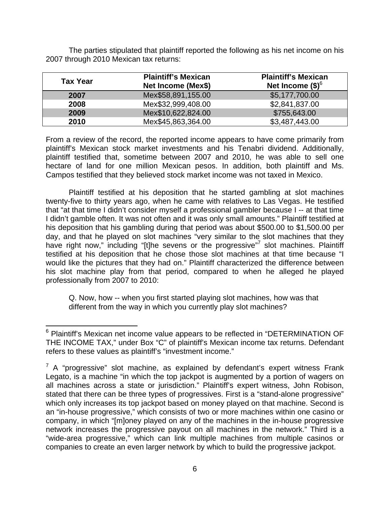The parties stipulated that plaintiff reported the following as his net income on his 2007 through 2010 Mexican tax returns:

| <b>Tax Year</b> | <b>Plaintiff's Mexican</b><br>Net Income (Mex\$) | <b>Plaintiff's Mexican</b><br>Net Income $(\$)^6$ |
|-----------------|--------------------------------------------------|---------------------------------------------------|
| 2007            | Mex\$58,891,155.00                               | \$5,177,700.00                                    |
| 2008            | Mex\$32,999,408.00                               | \$2,841,837.00                                    |
| 2009            | Mex\$10,622,824.00                               | \$755,643.00                                      |
| 2010            | Mex\$45,863,364.00                               | \$3,487,443.00                                    |

From a review of the record, the reported income appears to have come primarily from plaintiff's Mexican stock market investments and his Tenabri dividend. Additionally, plaintiff testified that, sometime between 2007 and 2010, he was able to sell one hectare of land for one million Mexican pesos. In addition, both plaintiff and Ms. Campos testified that they believed stock market income was not taxed in Mexico.

Plaintiff testified at his deposition that he started gambling at slot machines twenty-five to thirty years ago, when he came with relatives to Las Vegas. He testified that "at that time I didn't consider myself a professional gambler because I -- at that time I didn't gamble often. It was not often and it was only small amounts." Plaintiff testified at his deposition that his gambling during that period was about \$500.00 to \$1,500.00 per day, and that he played on slot machines "very similar to the slot machines that they have right now," including "[t]he sevens or the progressive" slot machines. Plaintiff testified at his deposition that he chose those slot machines at that time because "I would like the pictures that they had on." Plaintiff characterized the difference between his slot machine play from that period, compared to when he alleged he played professionally from 2007 to 2010:

Q. Now, how -- when you first started playing slot machines, how was that different from the way in which you currently play slot machines?

<sup>&</sup>lt;sup>6</sup> Plaintiff's Mexican net income value appears to be reflected in "DETERMINATION OF THE INCOME TAX," under Box "C" of plaintiff's Mexican income tax returns. Defendant refers to these values as plaintiff's "investment income."

 $7$  A "progressive" slot machine, as explained by defendant's expert witness Frank Legato, is a machine "in which the top jackpot is augmented by a portion of wagers on all machines across a state or jurisdiction." Plaintiff's expert witness, John Robison, stated that there can be three types of progressives. First is a "stand-alone progressive" which only increases its top jackpot based on money played on that machine. Second is an "in-house progressive," which consists of two or more machines within one casino or company, in which "[m]oney played on any of the machines in the in-house progressive network increases the progressive payout on all machines in the network." Third is a "wide-area progressive," which can link multiple machines from multiple casinos or companies to create an even larger network by which to build the progressive jackpot.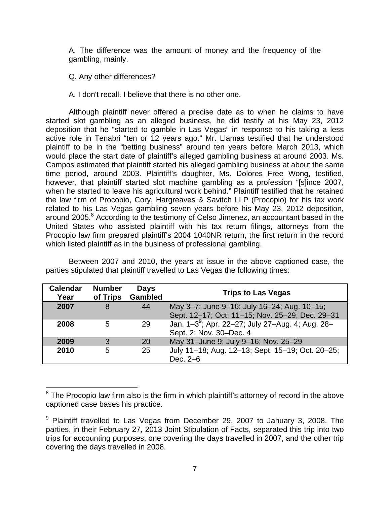A. The difference was the amount of money and the frequency of the gambling, mainly.

Q. Any other differences?

A. I don't recall. I believe that there is no other one.

Although plaintiff never offered a precise date as to when he claims to have started slot gambling as an alleged business, he did testify at his May 23, 2012 deposition that he "started to gamble in Las Vegas" in response to his taking a less active role in Tenabri "ten or 12 years ago." Mr. Llamas testified that he understood plaintiff to be in the "betting business" around ten years before March 2013, which would place the start date of plaintiff's alleged gambling business at around 2003. Ms. Campos estimated that plaintiff started his alleged gambling business at about the same time period, around 2003. Plaintiff's daughter, Ms. Dolores Free Wong, testified, however, that plaintiff started slot machine gambling as a profession "[s]ince 2007, when he started to leave his agricultural work behind." Plaintiff testified that he retained the law firm of Procopio, Cory, Hargreaves & Savitch LLP (Procopio) for his tax work related to his Las Vegas gambling seven years before his May 23, 2012 deposition, around 2005.<sup>8</sup> According to the testimony of Celso Jimenez, an accountant based in the United States who assisted plaintiff with his tax return filings, attorneys from the Procopio law firm prepared plaintiff's 2004 1040NR return, the first return in the record which listed plaintiff as in the business of professional gambling.

Between 2007 and 2010, the years at issue in the above captioned case, the parties stipulated that plaintiff travelled to Las Vegas the following times:

| <b>Calendar</b><br>Year | <b>Number</b><br>of Trips | <b>Days</b><br><b>Gambled</b> | <b>Trips to Las Vegas</b>                                                                      |
|-------------------------|---------------------------|-------------------------------|------------------------------------------------------------------------------------------------|
| 2007                    | 8                         | 44                            | May 3-7; June 9-16; July 16-24; Aug. 10-15;<br>Sept. 12-17; Oct. 11-15; Nov. 25-29; Dec. 29-31 |
| 2008                    | 5                         | 29                            | Jan. 1-3 <sup>9</sup> ; Apr. 22-27; July 27-Aug. 4; Aug. 28-<br>Sept. 2; Nov. 30-Dec. 4        |
| 2009                    | 3                         | 20                            | May 31-June 9; July 9-16; Nov. 25-29                                                           |
| 2010                    | 5                         | 25                            | July 11-18; Aug. 12-13; Sept. 15-19; Oct. 20-25;<br>Dec. 2-6                                   |

 8 The Procopio law firm also is the firm in which plaintiff's attorney of record in the above captioned case bases his practice.

<sup>&</sup>lt;sup>9</sup> Plaintiff travelled to Las Vegas from December 29, 2007 to January 3, 2008. The parties, in their February 27, 2013 Joint Stipulation of Facts, separated this trip into two trips for accounting purposes, one covering the days travelled in 2007, and the other trip covering the days travelled in 2008.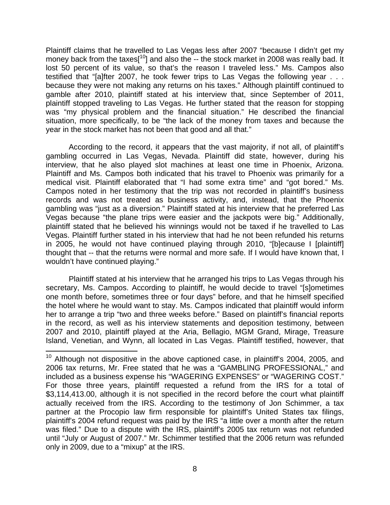Plaintiff claims that he travelled to Las Vegas less after 2007 "because I didn't get my money back from the taxes<sup>[10</sup>] and also the -- the stock market in 2008 was really bad. It lost 50 percent of its value, so that's the reason I traveled less." Ms. Campos also testified that "[a]fter 2007, he took fewer trips to Las Vegas the following year . . . because they were not making any returns on his taxes." Although plaintiff continued to gamble after 2010, plaintiff stated at his interview that, since September of 2011, plaintiff stopped traveling to Las Vegas. He further stated that the reason for stopping was "my physical problem and the financial situation." He described the financial situation, more specifically, to be "the lack of the money from taxes and because the year in the stock market has not been that good and all that."

According to the record, it appears that the vast majority, if not all, of plaintiff's gambling occurred in Las Vegas, Nevada. Plaintiff did state, however, during his interview, that he also played slot machines at least one time in Phoenix, Arizona. Plaintiff and Ms. Campos both indicated that his travel to Phoenix was primarily for a medical visit. Plaintiff elaborated that "I had some extra time" and "got bored." Ms. Campos noted in her testimony that the trip was not recorded in plaintiff's business records and was not treated as business activity, and, instead, that the Phoenix gambling was "just as a diversion." Plaintiff stated at his interview that he preferred Las Vegas because "the plane trips were easier and the jackpots were big." Additionally, plaintiff stated that he believed his winnings would not be taxed if he travelled to Las Vegas. Plaintiff further stated in his interview that had he not been refunded his returns in 2005, he would not have continued playing through 2010, "[b]ecause I [plaintiff] thought that -- that the returns were normal and more safe. If I would have known that, I wouldn't have continued playing."

Plaintiff stated at his interview that he arranged his trips to Las Vegas through his secretary, Ms. Campos. According to plaintiff, he would decide to travel "[s]ometimes one month before, sometimes three or four days" before, and that he himself specified the hotel where he would want to stay. Ms. Campos indicated that plaintiff would inform her to arrange a trip "two and three weeks before." Based on plaintiff's financial reports in the record, as well as his interview statements and deposition testimony, between 2007 and 2010, plaintiff played at the Aria, Bellagio, MGM Grand, Mirage, Treasure Island, Venetian, and Wynn, all located in Las Vegas. Plaintiff testified, however, that

<u>.</u>

 $10$  Although not dispositive in the above captioned case, in plaintiff's 2004, 2005, and 2006 tax returns, Mr. Free stated that he was a "GAMBLING PROFESSIONAL," and included as a business expense his "WAGERING EXPENSES" or "WAGERING COST." For those three years, plaintiff requested a refund from the IRS for a total of \$3,114,413.00, although it is not specified in the record before the court what plaintiff actually received from the IRS. According to the testimony of Jon Schimmer, a tax partner at the Procopio law firm responsible for plaintiff's United States tax filings, plaintiff's 2004 refund request was paid by the IRS "a little over a month after the return was filed." Due to a dispute with the IRS, plaintiff's 2005 tax return was not refunded until "July or August of 2007." Mr. Schimmer testified that the 2006 return was refunded only in 2009, due to a "mixup" at the IRS.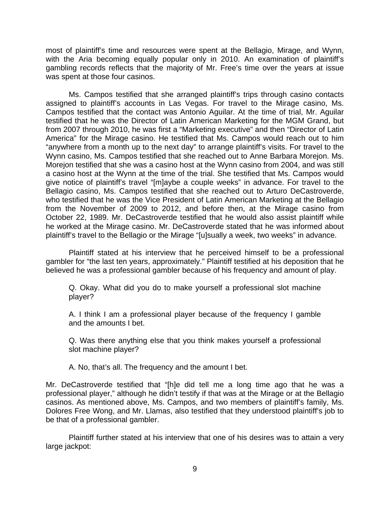most of plaintiff's time and resources were spent at the Bellagio, Mirage, and Wynn, with the Aria becoming equally popular only in 2010. An examination of plaintiff's gambling records reflects that the majority of Mr. Free's time over the years at issue was spent at those four casinos.

Ms. Campos testified that she arranged plaintiff's trips through casino contacts assigned to plaintiff's accounts in Las Vegas. For travel to the Mirage casino, Ms. Campos testified that the contact was Antonio Aguilar. At the time of trial, Mr. Aguilar testified that he was the Director of Latin American Marketing for the MGM Grand, but from 2007 through 2010, he was first a "Marketing executive" and then "Director of Latin America" for the Mirage casino. He testified that Ms. Campos would reach out to him "anywhere from a month up to the next day" to arrange plaintiff's visits. For travel to the Wynn casino, Ms. Campos testified that she reached out to Anne Barbara Morejon. Ms. Morejon testified that she was a casino host at the Wynn casino from 2004, and was still a casino host at the Wynn at the time of the trial. She testified that Ms. Campos would give notice of plaintiff's travel "[m]aybe a couple weeks" in advance. For travel to the Bellagio casino, Ms. Campos testified that she reached out to Arturo DeCastroverde, who testified that he was the Vice President of Latin American Marketing at the Bellagio from the November of 2009 to 2012, and before then, at the Mirage casino from October 22, 1989. Mr. DeCastroverde testified that he would also assist plaintiff while he worked at the Mirage casino. Mr. DeCastroverde stated that he was informed about plaintiff's travel to the Bellagio or the Mirage "[u]sually a week, two weeks" in advance.

 Plaintiff stated at his interview that he perceived himself to be a professional gambler for "the last ten years, approximately." Plaintiff testified at his deposition that he believed he was a professional gambler because of his frequency and amount of play.

Q. Okay. What did you do to make yourself a professional slot machine player?

A. I think I am a professional player because of the frequency I gamble and the amounts I bet.

Q. Was there anything else that you think makes yourself a professional slot machine player?

A. No, that's all. The frequency and the amount I bet.

Mr. DeCastroverde testified that "[h]e did tell me a long time ago that he was a professional player," although he didn't testify if that was at the Mirage or at the Bellagio casinos. As mentioned above, Ms. Campos, and two members of plaintiff's family, Ms. Dolores Free Wong, and Mr. Llamas, also testified that they understood plaintiff's job to be that of a professional gambler.

Plaintiff further stated at his interview that one of his desires was to attain a very large jackpot: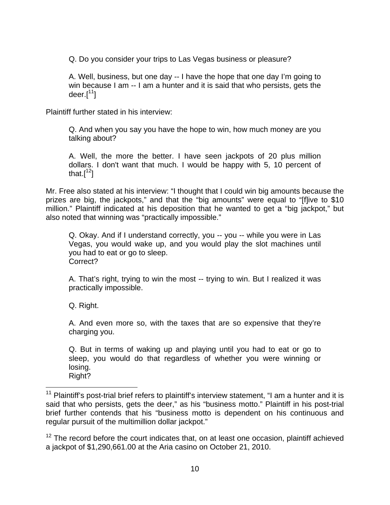Q. Do you consider your trips to Las Vegas business or pleasure?

A. Well, business, but one day -- I have the hope that one day I'm going to win because I am -- I am a hunter and it is said that who persists, gets the deer. $[11]$ 

Plaintiff further stated in his interview:

Q. And when you say you have the hope to win, how much money are you talking about?

A. Well, the more the better. I have seen jackpots of 20 plus million dollars. I don't want that much. I would be happy with 5, 10 percent of that. $[1^2]$ 

Mr. Free also stated at his interview: "I thought that I could win big amounts because the prizes are big, the jackpots," and that the "big amounts" were equal to "[f]ive to \$10 million." Plaintiff indicated at his deposition that he wanted to get a "big jackpot," but also noted that winning was "practically impossible."

Q. Okay. And if I understand correctly, you -- you -- while you were in Las Vegas, you would wake up, and you would play the slot machines until you had to eat or go to sleep. Correct?

A. That's right, trying to win the most -- trying to win. But I realized it was practically impossible.

Q. Right.

A. And even more so, with the taxes that are so expensive that they're charging you.

Q. But in terms of waking up and playing until you had to eat or go to sleep, you would do that regardless of whether you were winning or losing.

Right?

 $\overline{a}$  $11$  Plaintiff's post-trial brief refers to plaintiff's interview statement, "I am a hunter and it is said that who persists, gets the deer," as his "business motto." Plaintiff in his post-trial brief further contends that his "business motto is dependent on his continuous and regular pursuit of the multimillion dollar jackpot."

 $12$  The record before the court indicates that, on at least one occasion, plaintiff achieved a jackpot of \$1,290,661.00 at the Aria casino on October 21, 2010.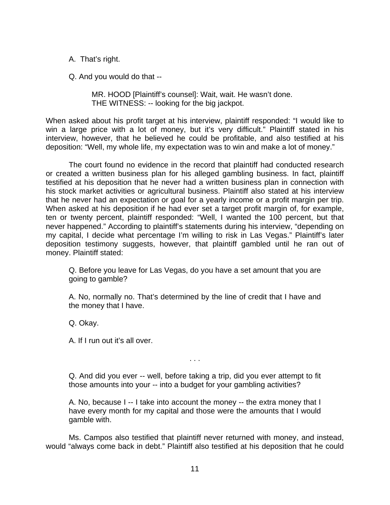A. That's right.

Q. And you would do that --

MR. HOOD [Plaintiff's counsel]: Wait, wait. He wasn't done. THE WITNESS: -- looking for the big jackpot.

When asked about his profit target at his interview, plaintiff responded: "I would like to win a large price with a lot of money, but it's very difficult." Plaintiff stated in his interview, however, that he believed he could be profitable, and also testified at his deposition: "Well, my whole life, my expectation was to win and make a lot of money."

The court found no evidence in the record that plaintiff had conducted research or created a written business plan for his alleged gambling business. In fact, plaintiff testified at his deposition that he never had a written business plan in connection with his stock market activities or agricultural business. Plaintiff also stated at his interview that he never had an expectation or goal for a yearly income or a profit margin per trip. When asked at his deposition if he had ever set a target profit margin of, for example, ten or twenty percent, plaintiff responded: "Well, I wanted the 100 percent, but that never happened." According to plaintiff's statements during his interview, "depending on my capital, I decide what percentage I'm willing to risk in Las Vegas." Plaintiff's later deposition testimony suggests, however, that plaintiff gambled until he ran out of money. Plaintiff stated:

Q. Before you leave for Las Vegas, do you have a set amount that you are going to gamble?

A. No, normally no. That's determined by the line of credit that I have and the money that I have.

Q. Okay.

A. If I run out it's all over.

Q. And did you ever -- well, before taking a trip, did you ever attempt to fit those amounts into your -- into a budget for your gambling activities?

. . .

A. No, because I -- I take into account the money -- the extra money that I have every month for my capital and those were the amounts that I would gamble with.

 Ms. Campos also testified that plaintiff never returned with money, and instead, would "always come back in debt." Plaintiff also testified at his deposition that he could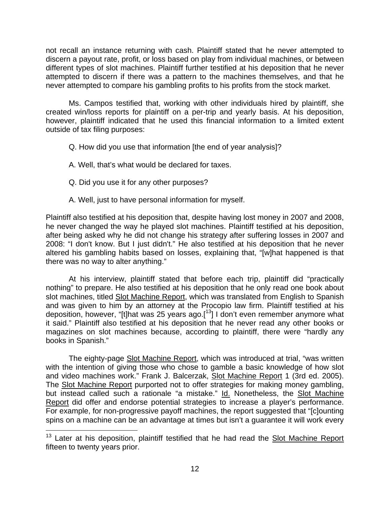not recall an instance returning with cash. Plaintiff stated that he never attempted to discern a payout rate, profit, or loss based on play from individual machines, or between different types of slot machines. Plaintiff further testified at his deposition that he never attempted to discern if there was a pattern to the machines themselves, and that he never attempted to compare his gambling profits to his profits from the stock market.

 Ms. Campos testified that, working with other individuals hired by plaintiff, she created win/loss reports for plaintiff on a per-trip and yearly basis. At his deposition, however, plaintiff indicated that he used this financial information to a limited extent outside of tax filing purposes:

Q. How did you use that information [the end of year analysis]?

- A. Well, that's what would be declared for taxes.
- Q. Did you use it for any other purposes?

1

A. Well, just to have personal information for myself.

Plaintiff also testified at his deposition that, despite having lost money in 2007 and 2008, he never changed the way he played slot machines. Plaintiff testified at his deposition, after being asked why he did not change his strategy after suffering losses in 2007 and 2008: "I don't know. But I just didn't." He also testified at his deposition that he never altered his gambling habits based on losses, explaining that, "[w]hat happened is that there was no way to alter anything."

 At his interview, plaintiff stated that before each trip, plaintiff did "practically nothing" to prepare. He also testified at his deposition that he only read one book about slot machines, titled Slot Machine Report, which was translated from English to Spanish and was given to him by an attorney at the Procopio law firm. Plaintiff testified at his deposition, however, "[t]hat was 25 years ago.[13] I don't even remember anymore what it said." Plaintiff also testified at his deposition that he never read any other books or magazines on slot machines because, according to plaintiff, there were "hardly any books in Spanish."

The eighty-page Slot Machine Report, which was introduced at trial, "was written with the intention of giving those who chose to gamble a basic knowledge of how slot and video machines work." Frank J. Balcerzak, Slot Machine Report 1 (3rd ed. 2005). The Slot Machine Report purported not to offer strategies for making money gambling, but instead called such a rationale "a mistake." Id. Nonetheless, the Slot Machine Report did offer and endorse potential strategies to increase a player's performance. For example, for non-progressive payoff machines, the report suggested that "[c]ounting spins on a machine can be an advantage at times but isn't a guarantee it will work every

<sup>&</sup>lt;sup>13</sup> Later at his deposition, plaintiff testified that he had read the Slot Machine Report fifteen to twenty years prior.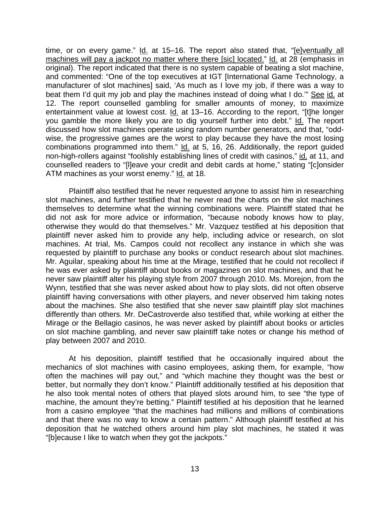time, or on every game."  $Id.$  at 15-16. The report also stated that, " $[elventually all]$ machines will pay a jackpot no matter where there [sic] located." Id. at 28 (emphasis in original). The report indicated that there is no system capable of beating a slot machine, and commented: "One of the top executives at IGT [International Game Technology, a manufacturer of slot machines] said, 'As much as I love my job, if there was a way to beat them I'd quit my job and play the machines instead of doing what I do."" See id. at 12. The report counselled gambling for smaller amounts of money, to maximize entertainment value at lowest cost. Id. at 13–16. According to the report, "[t]he longer you gamble the more likely you are to dig yourself further into debt." Id. The report discussed how slot machines operate using random number generators, and that, "oddwise, the progressive games are the worst to play because they have the most losing combinations programmed into them." Id. at 5, 16, 26. Additionally, the report guided non-high-rollers against "foolishly establishing lines of credit with casinos," id. at 11, and counselled readers to "[l]eave your credit and debit cards at home," stating " $[*c*]$ onsider ATM machines as your worst enemy." Id. at 18.

 Plaintiff also testified that he never requested anyone to assist him in researching slot machines, and further testified that he never read the charts on the slot machines themselves to determine what the winning combinations were. Plaintiff stated that he did not ask for more advice or information, "because nobody knows how to play, otherwise they would do that themselves." Mr. Vazquez testified at his deposition that plaintiff never asked him to provide any help, including advice or research, on slot machines. At trial, Ms. Campos could not recollect any instance in which she was requested by plaintiff to purchase any books or conduct research about slot machines. Mr. Aguilar, speaking about his time at the Mirage, testified that he could not recollect if he was ever asked by plaintiff about books or magazines on slot machines, and that he never saw plaintiff alter his playing style from 2007 through 2010. Ms. Morejon, from the Wynn, testified that she was never asked about how to play slots, did not often observe plaintiff having conversations with other players, and never observed him taking notes about the machines. She also testified that she never saw plaintiff play slot machines differently than others. Mr. DeCastroverde also testified that, while working at either the Mirage or the Bellagio casinos, he was never asked by plaintiff about books or articles on slot machine gambling, and never saw plaintiff take notes or change his method of play between 2007 and 2010.

At his deposition, plaintiff testified that he occasionally inquired about the mechanics of slot machines with casino employees, asking them, for example, "how often the machines will pay out," and "which machine they thought was the best or better, but normally they don't know." Plaintiff additionally testified at his deposition that he also took mental notes of others that played slots around him, to see "the type of machine, the amount they're betting." Plaintiff testified at his deposition that he learned from a casino employee "that the machines had millions and millions of combinations and that there was no way to know a certain pattern." Although plaintiff testified at his deposition that he watched others around him play slot machines, he stated it was "[b]ecause I like to watch when they got the jackpots."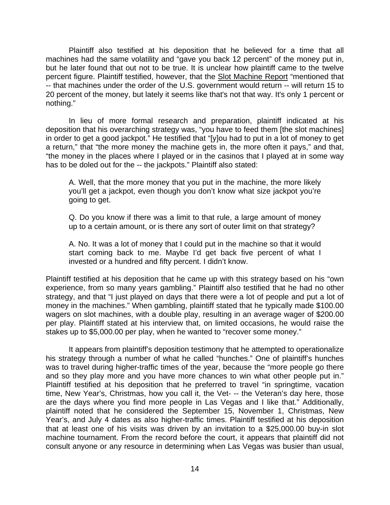Plaintiff also testified at his deposition that he believed for a time that all machines had the same volatility and "gave you back 12 percent" of the money put in, but he later found that out not to be true. It is unclear how plaintiff came to the twelve percent figure. Plaintiff testified, however, that the Slot Machine Report "mentioned that -- that machines under the order of the U.S. government would return -- will return 15 to 20 percent of the money, but lately it seems like that's not that way. It's only 1 percent or nothing."

 In lieu of more formal research and preparation, plaintiff indicated at his deposition that his overarching strategy was, "you have to feed them [the slot machines] in order to get a good jackpot." He testified that "[y]ou had to put in a lot of money to get a return," that "the more money the machine gets in, the more often it pays," and that, "the money in the places where I played or in the casinos that I played at in some way has to be doled out for the -- the jackpots." Plaintiff also stated:

A. Well, that the more money that you put in the machine, the more likely you'll get a jackpot, even though you don't know what size jackpot you're going to get.

Q. Do you know if there was a limit to that rule, a large amount of money up to a certain amount, or is there any sort of outer limit on that strategy?

A. No. It was a lot of money that I could put in the machine so that it would start coming back to me. Maybe I'd get back five percent of what I invested or a hundred and fifty percent. I didn't know.

Plaintiff testified at his deposition that he came up with this strategy based on his "own experience, from so many years gambling." Plaintiff also testified that he had no other strategy, and that "I just played on days that there were a lot of people and put a lot of money in the machines." When gambling, plaintiff stated that he typically made \$100.00 wagers on slot machines, with a double play, resulting in an average wager of \$200.00 per play. Plaintiff stated at his interview that, on limited occasions, he would raise the stakes up to \$5,000.00 per play, when he wanted to "recover some money."

It appears from plaintiff's deposition testimony that he attempted to operationalize his strategy through a number of what he called "hunches." One of plaintiff's hunches was to travel during higher-traffic times of the year, because the "more people go there and so they play more and you have more chances to win what other people put in." Plaintiff testified at his deposition that he preferred to travel "in springtime, vacation time, New Year's, Christmas, how you call it, the Vet- -- the Veteran's day here, those are the days where you find more people in Las Vegas and I like that." Additionally, plaintiff noted that he considered the September 15, November 1, Christmas, New Year's, and July 4 dates as also higher-traffic times. Plaintiff testified at his deposition that at least one of his visits was driven by an invitation to a \$25,000.00 buy-in slot machine tournament. From the record before the court, it appears that plaintiff did not consult anyone or any resource in determining when Las Vegas was busier than usual,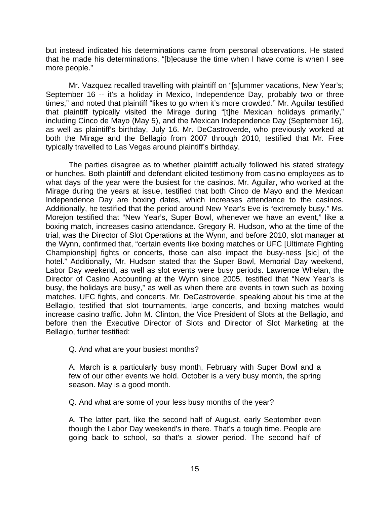but instead indicated his determinations came from personal observations. He stated that he made his determinations, "[b]ecause the time when I have come is when I see more people."

Mr. Vazquez recalled travelling with plaintiff on "[s]ummer vacations, New Year's; September 16 -- it's a holiday in Mexico, Independence Day, probably two or three times," and noted that plaintiff "likes to go when it's more crowded." Mr. Aguilar testified that plaintiff typically visited the Mirage during "[t]he Mexican holidays primarily," including Cinco de Mayo (May 5), and the Mexican Independence Day (September 16), as well as plaintiff's birthday, July 16. Mr. DeCastroverde, who previously worked at both the Mirage and the Bellagio from 2007 through 2010, testified that Mr. Free typically travelled to Las Vegas around plaintiff's birthday.

The parties disagree as to whether plaintiff actually followed his stated strategy or hunches. Both plaintiff and defendant elicited testimony from casino employees as to what days of the year were the busiest for the casinos. Mr. Aguilar, who worked at the Mirage during the years at issue, testified that both Cinco de Mayo and the Mexican Independence Day are boxing dates, which increases attendance to the casinos. Additionally, he testified that the period around New Year's Eve is "extremely busy." Ms. Morejon testified that "New Year's, Super Bowl, whenever we have an event," like a boxing match, increases casino attendance. Gregory R. Hudson, who at the time of the trial, was the Director of Slot Operations at the Wynn, and before 2010, slot manager at the Wynn, confirmed that, "certain events like boxing matches or UFC [Ultimate Fighting Championship] fights or concerts, those can also impact the busy-ness [sic] of the hotel." Additionally, Mr. Hudson stated that the Super Bowl, Memorial Day weekend, Labor Day weekend, as well as slot events were busy periods. Lawrence Whelan, the Director of Casino Accounting at the Wynn since 2005, testified that "New Year's is busy, the holidays are busy," as well as when there are events in town such as boxing matches, UFC fights, and concerts. Mr. DeCastroverde, speaking about his time at the Bellagio, testified that slot tournaments, large concerts, and boxing matches would increase casino traffic. John M. Clinton, the Vice President of Slots at the Bellagio, and before then the Executive Director of Slots and Director of Slot Marketing at the Bellagio, further testified:

Q. And what are your busiest months?

A. March is a particularly busy month, February with Super Bowl and a few of our other events we hold. October is a very busy month, the spring season. May is a good month.

Q. And what are some of your less busy months of the year?

A. The latter part, like the second half of August, early September even though the Labor Day weekend's in there. That's a tough time. People are going back to school, so that's a slower period. The second half of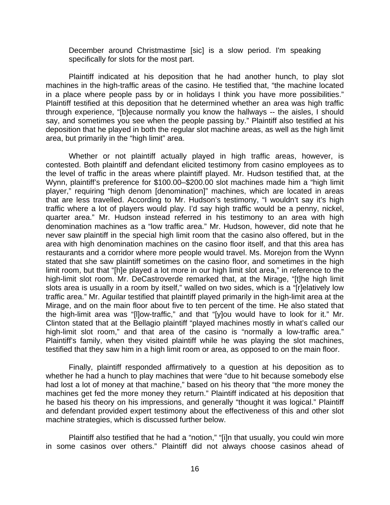December around Christmastime [sic] is a slow period. I'm speaking specifically for slots for the most part.

Plaintiff indicated at his deposition that he had another hunch, to play slot machines in the high-traffic areas of the casino. He testified that, "the machine located in a place where people pass by or in holidays I think you have more possibilities." Plaintiff testified at this deposition that he determined whether an area was high traffic through experience, "[b]ecause normally you know the hallways -- the aisles, I should say, and sometimes you see when the people passing by." Plaintiff also testified at his deposition that he played in both the regular slot machine areas, as well as the high limit area, but primarily in the "high limit" area.

Whether or not plaintiff actually played in high traffic areas, however, is contested. Both plaintiff and defendant elicited testimony from casino employees as to the level of traffic in the areas where plaintiff played. Mr. Hudson testified that, at the Wynn, plaintiff's preference for \$100.00–\$200.00 slot machines made him a "high limit player," requiring "high denom [denomination]" machines, which are located in areas that are less travelled. According to Mr. Hudson's testimony, "I wouldn't say it's high traffic where a lot of players would play. I'd say high traffic would be a penny, nickel, quarter area." Mr. Hudson instead referred in his testimony to an area with high denomination machines as a "low traffic area." Mr. Hudson, however, did note that he never saw plaintiff in the special high limit room that the casino also offered, but in the area with high denomination machines on the casino floor itself, and that this area has restaurants and a corridor where more people would travel. Ms. Morejon from the Wynn stated that she saw plaintiff sometimes on the casino floor, and sometimes in the high limit room, but that "[h]e played a lot more in our high limit slot area," in reference to the high-limit slot room. Mr. DeCastroverde remarked that, at the Mirage, "[t]he high limit slots area is usually in a room by itself," walled on two sides, which is a "[r]elatively low traffic area." Mr. Aguilar testified that plaintiff played primarily in the high-limit area at the Mirage, and on the main floor about five to ten percent of the time. He also stated that the high-limit area was "[l]ow-traffic," and that "[y]ou would have to look for it." Mr. Clinton stated that at the Bellagio plaintiff "played machines mostly in what's called our high-limit slot room," and that area of the casino is "normally a low-traffic area." Plaintiff's family, when they visited plaintiff while he was playing the slot machines, testified that they saw him in a high limit room or area, as opposed to on the main floor.

Finally, plaintiff responded affirmatively to a question at his deposition as to whether he had a hunch to play machines that were "due to hit because somebody else had lost a lot of money at that machine," based on his theory that "the more money the machines get fed the more money they return." Plaintiff indicated at his deposition that he based his theory on his impressions, and generally "thought it was logical." Plaintiff and defendant provided expert testimony about the effectiveness of this and other slot machine strategies, which is discussed further below.

Plaintiff also testified that he had a "notion," "[i]n that usually, you could win more in some casinos over others." Plaintiff did not always choose casinos ahead of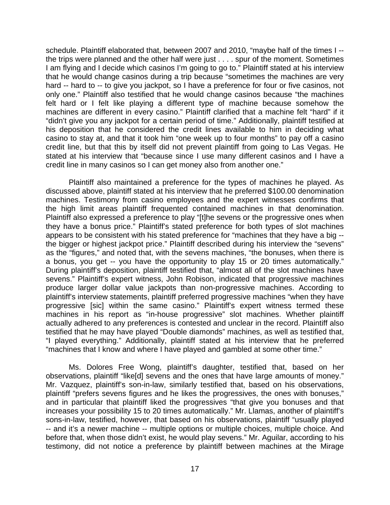schedule. Plaintiff elaborated that, between 2007 and 2010, "maybe half of the times I - the trips were planned and the other half were just . . . . spur of the moment. Sometimes I am flying and I decide which casinos I'm going to go to." Plaintiff stated at his interview that he would change casinos during a trip because "sometimes the machines are very hard -- hard to -- to give you jackpot, so I have a preference for four or five casinos, not only one." Plaintiff also testified that he would change casinos because "the machines felt hard or I felt like playing a different type of machine because somehow the machines are different in every casino." Plaintiff clarified that a machine felt "hard" if it "didn't give you any jackpot for a certain period of time." Additionally, plaintiff testified at his deposition that he considered the credit lines available to him in deciding what casino to stay at, and that it took him "one week up to four months" to pay off a casino credit line, but that this by itself did not prevent plaintiff from going to Las Vegas. He stated at his interview that "because since I use many different casinos and I have a credit line in many casinos so I can get money also from another one."

Plaintiff also maintained a preference for the types of machines he played. As discussed above, plaintiff stated at his interview that he preferred \$100.00 denomination machines. Testimony from casino employees and the expert witnesses confirms that the high limit areas plaintiff frequented contained machines in that denomination. Plaintiff also expressed a preference to play "[t]he sevens or the progressive ones when they have a bonus price." Plaintiff's stated preference for both types of slot machines appears to be consistent with his stated preference for "machines that they have a big - the bigger or highest jackpot price." Plaintiff described during his interview the "sevens" as the "figures," and noted that, with the sevens machines, "the bonuses, when there is a bonus, you get -- you have the opportunity to play 15 or 20 times automatically." During plaintiff's deposition, plaintiff testified that, "almost all of the slot machines have sevens." Plaintiff's expert witness, John Robison, indicated that progressive machines produce larger dollar value jackpots than non-progressive machines. According to plaintiff's interview statements, plaintiff preferred progressive machines "when they have progressive [sic] within the same casino." Plaintiff's expert witness termed these machines in his report as "in-house progressive" slot machines. Whether plaintiff actually adhered to any preferences is contested and unclear in the record. Plaintiff also testified that he may have played "Double diamonds" machines, as well as testified that, "I played everything." Additionally, plaintiff stated at his interview that he preferred "machines that I know and where I have played and gambled at some other time."

Ms. Dolores Free Wong, plaintiff's daughter, testified that, based on her observations, plaintiff "like[d] sevens and the ones that have large amounts of money." Mr. Vazquez, plaintiff's son-in-law, similarly testified that, based on his observations, plaintiff "prefers sevens figures and he likes the progressives, the ones with bonuses," and in particular that plaintiff liked the progressives "that give you bonuses and that increases your possibility 15 to 20 times automatically." Mr. Llamas, another of plaintiff's sons-in-law, testified, however, that based on his observations, plaintiff "usually played -- and it's a newer machine -- multiple options or multiple choices, multiple choice. And before that, when those didn't exist, he would play sevens." Mr. Aguilar, according to his testimony, did not notice a preference by plaintiff between machines at the Mirage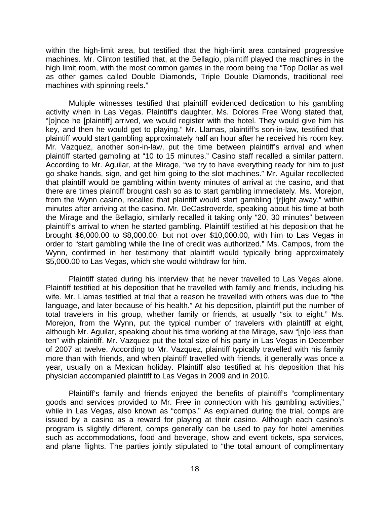within the high-limit area, but testified that the high-limit area contained progressive machines. Mr. Clinton testified that, at the Bellagio, plaintiff played the machines in the high limit room, with the most common games in the room being the "Top Dollar as well as other games called Double Diamonds, Triple Double Diamonds, traditional reel machines with spinning reels."

 Multiple witnesses testified that plaintiff evidenced dedication to his gambling activity when in Las Vegas. Plaintiff's daughter, Ms. Dolores Free Wong stated that, "[o]nce he [plaintiff] arrived, we would register with the hotel. They would give him his key, and then he would get to playing." Mr. Llamas, plaintiff's son-in-law, testified that plaintiff would start gambling approximately half an hour after he received his room key. Mr. Vazquez, another son-in-law, put the time between plaintiff's arrival and when plaintiff started gambling at "10 to 15 minutes." Casino staff recalled a similar pattern. According to Mr. Aguilar, at the Mirage, "we try to have everything ready for him to just go shake hands, sign, and get him going to the slot machines." Mr. Aguilar recollected that plaintiff would be gambling within twenty minutes of arrival at the casino, and that there are times plaintiff brought cash so as to start gambling immediately. Ms. Morejon, from the Wynn casino, recalled that plaintiff would start gambling "[r]ight away," within minutes after arriving at the casino. Mr. DeCastroverde, speaking about his time at both the Mirage and the Bellagio, similarly recalled it taking only "20, 30 minutes" between plaintiff's arrival to when he started gambling. Plaintiff testified at his deposition that he brought \$6,000.00 to \$8,000.00, but not over \$10,000.00, with him to Las Vegas in order to "start gambling while the line of credit was authorized." Ms. Campos, from the Wynn, confirmed in her testimony that plaintiff would typically bring approximately \$5,000.00 to Las Vegas, which she would withdraw for him.

 Plaintiff stated during his interview that he never travelled to Las Vegas alone. Plaintiff testified at his deposition that he travelled with family and friends, including his wife. Mr. Llamas testified at trial that a reason he travelled with others was due to "the language, and later because of his health." At his deposition, plaintiff put the number of total travelers in his group, whether family or friends, at usually "six to eight." Ms. Morejon, from the Wynn, put the typical number of travelers with plaintiff at eight, although Mr. Aguilar, speaking about his time working at the Mirage, saw "[n]o less than ten" with plaintiff. Mr. Vazquez put the total size of his party in Las Vegas in December of 2007 at twelve. According to Mr. Vazquez, plaintiff typically travelled with his family more than with friends, and when plaintiff travelled with friends, it generally was once a year, usually on a Mexican holiday. Plaintiff also testified at his deposition that his physician accompanied plaintiff to Las Vegas in 2009 and in 2010.

 Plaintiff's family and friends enjoyed the benefits of plaintiff's "complimentary goods and services provided to Mr. Free in connection with his gambling activities," while in Las Vegas, also known as "comps." As explained during the trial, comps are issued by a casino as a reward for playing at their casino. Although each casino's program is slightly different, comps generally can be used to pay for hotel amenities such as accommodations, food and beverage, show and event tickets, spa services, and plane flights. The parties jointly stipulated to "the total amount of complimentary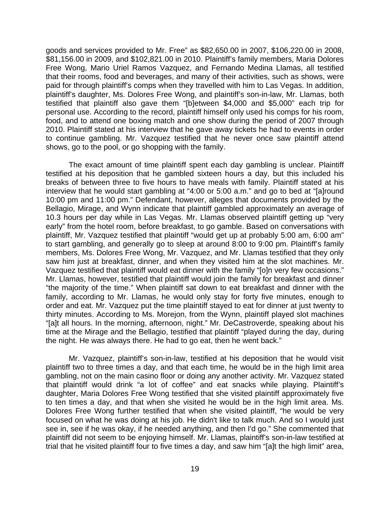goods and services provided to Mr. Free" as \$82,650.00 in 2007, \$106,220.00 in 2008, \$81,156.00 in 2009, and \$102,821.00 in 2010. Plaintiff's family members, Maria Dolores Free Wong, Mario Uriel Ramos Vazquez, and Fernando Medina Llamas, all testified that their rooms, food and beverages, and many of their activities, such as shows, were paid for through plaintiff's comps when they travelled with him to Las Vegas. In addition, plaintiff's daughter, Ms. Dolores Free Wong, and plaintiff's son-in-law, Mr. Llamas, both testified that plaintiff also gave them "[b]etween \$4,000 and \$5,000" each trip for personal use. According to the record, plaintiff himself only used his comps for his room, food, and to attend one boxing match and one show during the period of 2007 through 2010. Plaintiff stated at his interview that he gave away tickets he had to events in order to continue gambling. Mr. Vazquez testified that he never once saw plaintiff attend shows, go to the pool, or go shopping with the family.

The exact amount of time plaintiff spent each day gambling is unclear. Plaintiff testified at his deposition that he gambled sixteen hours a day, but this included his breaks of between three to five hours to have meals with family. Plaintiff stated at his interview that he would start gambling at "4:00 or 5:00 a.m." and go to bed at "[a]round 10:00 pm and 11:00 pm." Defendant, however, alleges that documents provided by the Bellagio, Mirage, and Wynn indicate that plaintiff gambled approximately an average of 10.3 hours per day while in Las Vegas. Mr. Llamas observed plaintiff getting up "very early" from the hotel room, before breakfast, to go gamble. Based on conversations with plaintiff, Mr. Vazquez testified that plaintiff "would get up at probably 5:00 am, 6:00 am" to start gambling, and generally go to sleep at around 8:00 to 9:00 pm. Plaintiff's family members, Ms. Dolores Free Wong, Mr. Vazquez, and Mr. Llamas testified that they only saw him just at breakfast, dinner, and when they visited him at the slot machines. Mr. Vazquez testified that plaintiff would eat dinner with the family "[o]n very few occasions." Mr. Llamas, however, testified that plaintiff would join the family for breakfast and dinner "the majority of the time." When plaintiff sat down to eat breakfast and dinner with the family, according to Mr. Llamas, he would only stay for forty five minutes, enough to order and eat. Mr. Vazquez put the time plaintiff stayed to eat for dinner at just twenty to thirty minutes. According to Ms. Morejon, from the Wynn, plaintiff played slot machines "[a]t all hours. In the morning, afternoon, night." Mr. DeCastroverde, speaking about his time at the Mirage and the Bellagio, testified that plaintiff "played during the day, during the night. He was always there. He had to go eat, then he went back."

Mr. Vazquez, plaintiff's son-in-law, testified at his deposition that he would visit plaintiff two to three times a day, and that each time, he would be in the high limit area gambling, not on the main casino floor or doing any another activity. Mr. Vazquez stated that plaintiff would drink "a lot of coffee" and eat snacks while playing. Plaintiff's daughter, Maria Dolores Free Wong testified that she visited plaintiff approximately five to ten times a day, and that when she visited he would be in the high limit area. Ms. Dolores Free Wong further testified that when she visited plaintiff, "he would be very focused on what he was doing at his job. He didn't like to talk much. And so I would just see in, see if he was okay, if he needed anything, and then I'd go." She commented that plaintiff did not seem to be enjoying himself. Mr. Llamas, plaintiff's son-in-law testified at trial that he visited plaintiff four to five times a day, and saw him "[a]t the high limit" area,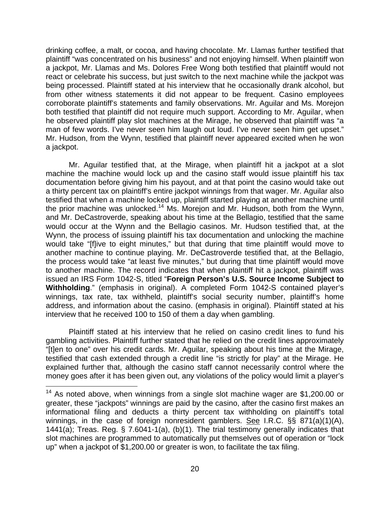drinking coffee, a malt, or cocoa, and having chocolate. Mr. Llamas further testified that plaintiff "was concentrated on his business" and not enjoying himself. When plaintiff won a jackpot, Mr. Llamas and Ms. Dolores Free Wong both testified that plaintiff would not react or celebrate his success, but just switch to the next machine while the jackpot was being processed. Plaintiff stated at his interview that he occasionally drank alcohol, but from other witness statements it did not appear to be frequent. Casino employees corroborate plaintiff's statements and family observations. Mr. Aguilar and Ms. Morejon both testified that plaintiff did not require much support. According to Mr. Aguilar, when he observed plaintiff play slot machines at the Mirage, he observed that plaintiff was "a man of few words. I've never seen him laugh out loud. I've never seen him get upset." Mr. Hudson, from the Wynn, testified that plaintiff never appeared excited when he won a jackpot.

Mr. Aguilar testified that, at the Mirage, when plaintiff hit a jackpot at a slot machine the machine would lock up and the casino staff would issue plaintiff his tax documentation before giving him his payout, and at that point the casino would take out a thirty percent tax on plaintiff's entire jackpot winnings from that wager. Mr. Aguilar also testified that when a machine locked up, plaintiff started playing at another machine until the prior machine was unlocked.<sup>14</sup> Ms. Morejon and Mr. Hudson, both from the Wynn, and Mr. DeCastroverde, speaking about his time at the Bellagio, testified that the same would occur at the Wynn and the Bellagio casinos. Mr. Hudson testified that, at the Wynn, the process of issuing plaintiff his tax documentation and unlocking the machine would take "[f]ive to eight minutes," but that during that time plaintiff would move to another machine to continue playing. Mr. DeCastroverde testified that, at the Bellagio, the process would take "at least five minutes," but during that time plaintiff would move to another machine. The record indicates that when plaintiff hit a jackpot, plaintiff was issued an IRS Form 1042-S, titled "**Foreign Person's U.S. Source Income Subject to Withholding**." (emphasis in original). A completed Form 1042-S contained player's winnings, tax rate, tax withheld, plaintiff's social security number, plaintiff's home address, and information about the casino. (emphasis in original). Plaintiff stated at his interview that he received 100 to 150 of them a day when gambling.

Plaintiff stated at his interview that he relied on casino credit lines to fund his gambling activities. Plaintiff further stated that he relied on the credit lines approximately "[t]en to one" over his credit cards. Mr. Aguilar, speaking about his time at the Mirage, testified that cash extended through a credit line "is strictly for play" at the Mirage. He explained further that, although the casino staff cannot necessarily control where the money goes after it has been given out, any violations of the policy would limit a player's

 $14$  As noted above, when winnings from a single slot machine wager are \$1,200.00 or greater, these "jackpots" winnings are paid by the casino, after the casino first makes an informational filing and deducts a thirty percent tax withholding on plaintiff's total winnings, in the case of foreign nonresident gamblers. See I.R.C. §§ 871(a)(1)(A), 1441(a); Treas. Reg. § 7.6041-1(a), (b)(1). The trial testimony generally indicates that slot machines are programmed to automatically put themselves out of operation or "lock up" when a jackpot of \$1,200.00 or greater is won, to facilitate the tax filing.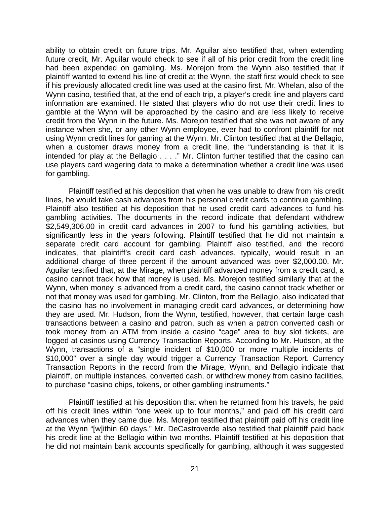ability to obtain credit on future trips. Mr. Aguilar also testified that, when extending future credit, Mr. Aguilar would check to see if all of his prior credit from the credit line had been expended on gambling. Ms. Morejon from the Wynn also testified that if plaintiff wanted to extend his line of credit at the Wynn, the staff first would check to see if his previously allocated credit line was used at the casino first. Mr. Whelan, also of the Wynn casino, testified that, at the end of each trip, a player's credit line and players card information are examined. He stated that players who do not use their credit lines to gamble at the Wynn will be approached by the casino and are less likely to receive credit from the Wynn in the future. Ms. Morejon testified that she was not aware of any instance when she, or any other Wynn employee, ever had to confront plaintiff for not using Wynn credit lines for gaming at the Wynn. Mr. Clinton testified that at the Bellagio, when a customer draws money from a credit line, the "understanding is that it is intended for play at the Bellagio . . . ." Mr. Clinton further testified that the casino can use players card wagering data to make a determination whether a credit line was used for gambling.

Plaintiff testified at his deposition that when he was unable to draw from his credit lines, he would take cash advances from his personal credit cards to continue gambling. Plaintiff also testified at his deposition that he used credit card advances to fund his gambling activities. The documents in the record indicate that defendant withdrew \$2,549,306.00 in credit card advances in 2007 to fund his gambling activities, but significantly less in the years following. Plaintiff testified that he did not maintain a separate credit card account for gambling. Plaintiff also testified, and the record indicates, that plaintiff's credit card cash advances, typically, would result in an additional charge of three percent if the amount advanced was over \$2,000.00. Mr. Aguilar testified that, at the Mirage, when plaintiff advanced money from a credit card, a casino cannot track how that money is used. Ms. Morejon testified similarly that at the Wynn, when money is advanced from a credit card, the casino cannot track whether or not that money was used for gambling. Mr. Clinton, from the Bellagio, also indicated that the casino has no involvement in managing credit card advances, or determining how they are used. Mr. Hudson, from the Wynn, testified, however, that certain large cash transactions between a casino and patron, such as when a patron converted cash or took money from an ATM from inside a casino "cage" area to buy slot tickets, are logged at casinos using Currency Transaction Reports. According to Mr. Hudson, at the Wynn, transactions of a "single incident of \$10,000 or more multiple incidents of \$10,000" over a single day would trigger a Currency Transaction Report. Currency Transaction Reports in the record from the Mirage, Wynn, and Bellagio indicate that plaintiff, on multiple instances, converted cash, or withdrew money from casino facilities, to purchase "casino chips, tokens, or other gambling instruments."

 Plaintiff testified at his deposition that when he returned from his travels, he paid off his credit lines within "one week up to four months," and paid off his credit card advances when they came due. Ms. Morejon testified that plaintiff paid off his credit line at the Wynn "[w]ithin 60 days." Mr. DeCastroverde also testified that plaintiff paid back his credit line at the Bellagio within two months. Plaintiff testified at his deposition that he did not maintain bank accounts specifically for gambling, although it was suggested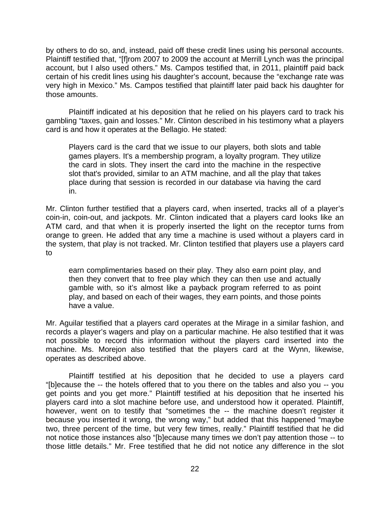by others to do so, and, instead, paid off these credit lines using his personal accounts. Plaintiff testified that, "[f]rom 2007 to 2009 the account at Merrill Lynch was the principal account, but I also used others." Ms. Campos testified that, in 2011, plaintiff paid back certain of his credit lines using his daughter's account, because the "exchange rate was very high in Mexico." Ms. Campos testified that plaintiff later paid back his daughter for those amounts.

Plaintiff indicated at his deposition that he relied on his players card to track his gambling "taxes, gain and losses." Mr. Clinton described in his testimony what a players card is and how it operates at the Bellagio. He stated:

Players card is the card that we issue to our players, both slots and table games players. It's a membership program, a loyalty program. They utilize the card in slots. They insert the card into the machine in the respective slot that's provided, similar to an ATM machine, and all the play that takes place during that session is recorded in our database via having the card in.

Mr. Clinton further testified that a players card, when inserted, tracks all of a player's coin-in, coin-out, and jackpots. Mr. Clinton indicated that a players card looks like an ATM card, and that when it is properly inserted the light on the receptor turns from orange to green. He added that any time a machine is used without a players card in the system, that play is not tracked. Mr. Clinton testified that players use a players card to

earn complimentaries based on their play. They also earn point play, and then they convert that to free play which they can then use and actually gamble with, so it's almost like a payback program referred to as point play, and based on each of their wages, they earn points, and those points have a value.

Mr. Aguilar testified that a players card operates at the Mirage in a similar fashion, and records a player's wagers and play on a particular machine. He also testified that it was not possible to record this information without the players card inserted into the machine. Ms. Morejon also testified that the players card at the Wynn, likewise, operates as described above.

 Plaintiff testified at his deposition that he decided to use a players card "[b]ecause the -- the hotels offered that to you there on the tables and also you -- you get points and you get more." Plaintiff testified at his deposition that he inserted his players card into a slot machine before use, and understood how it operated. Plaintiff, however, went on to testify that "sometimes the -- the machine doesn't register it because you inserted it wrong, the wrong way," but added that this happened "maybe two, three percent of the time, but very few times, really." Plaintiff testified that he did not notice those instances also "[b]ecause many times we don't pay attention those -- to those little details." Mr. Free testified that he did not notice any difference in the slot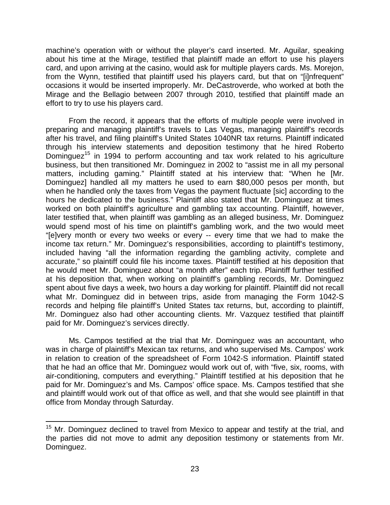machine's operation with or without the player's card inserted. Mr. Aguilar, speaking about his time at the Mirage, testified that plaintiff made an effort to use his players card, and upon arriving at the casino, would ask for multiple players cards. Ms. Morejon, from the Wynn, testified that plaintiff used his players card, but that on "[i]nfrequent" occasions it would be inserted improperly. Mr. DeCastroverde, who worked at both the Mirage and the Bellagio between 2007 through 2010, testified that plaintiff made an effort to try to use his players card.

 From the record, it appears that the efforts of multiple people were involved in preparing and managing plaintiff's travels to Las Vegas, managing plaintiff's records after his travel, and filing plaintiff's United States 1040NR tax returns. Plaintiff indicated through his interview statements and deposition testimony that he hired Roberto Dominguez<sup>15</sup> in 1994 to perform accounting and tax work related to his agriculture business, but then transitioned Mr. Dominguez in 2002 to "assist me in all my personal matters, including gaming." Plaintiff stated at his interview that: "When he [Mr. Dominguez] handled all my matters he used to earn \$80,000 pesos per month, but when he handled only the taxes from Vegas the payment fluctuate [sic] according to the hours he dedicated to the business." Plaintiff also stated that Mr. Dominguez at times worked on both plaintiff's agriculture and gambling tax accounting. Plaintiff, however, later testified that, when plaintiff was gambling as an alleged business, Mr. Dominguez would spend most of his time on plaintiff's gambling work, and the two would meet "[e]very month or every two weeks or every -- every time that we had to make the income tax return." Mr. Dominguez's responsibilities, according to plaintiff's testimony, included having "all the information regarding the gambling activity, complete and accurate," so plaintiff could file his income taxes. Plaintiff testified at his deposition that he would meet Mr. Dominguez about "a month after" each trip. Plaintiff further testified at his deposition that, when working on plaintiff's gambling records, Mr. Dominguez spent about five days a week, two hours a day working for plaintiff. Plaintiff did not recall what Mr. Dominguez did in between trips, aside from managing the Form 1042-S records and helping file plaintiff's United States tax returns, but, according to plaintiff, Mr. Dominguez also had other accounting clients. Mr. Vazquez testified that plaintiff paid for Mr. Dominguez's services directly.

Ms. Campos testified at the trial that Mr. Dominguez was an accountant, who was in charge of plaintiff's Mexican tax returns, and who supervised Ms. Campos' work in relation to creation of the spreadsheet of Form 1042-S information. Plaintiff stated that he had an office that Mr. Dominguez would work out of, with "five, six, rooms, with air-conditioning, computers and everything." Plaintiff testified at his deposition that he paid for Mr. Dominguez's and Ms. Campos' office space. Ms. Campos testified that she and plaintiff would work out of that office as well, and that she would see plaintiff in that office from Monday through Saturday.

<sup>&</sup>lt;sup>15</sup> Mr. Dominguez declined to travel from Mexico to appear and testify at the trial, and the parties did not move to admit any deposition testimony or statements from Mr. Dominguez.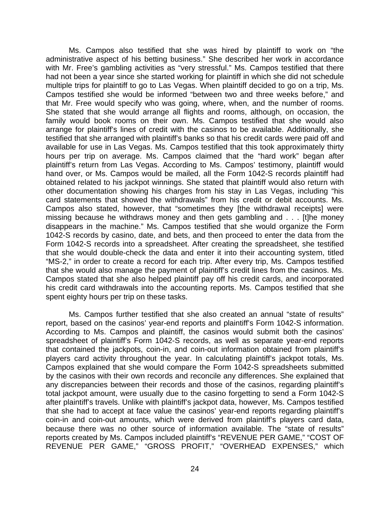Ms. Campos also testified that she was hired by plaintiff to work on "the administrative aspect of his betting business." She described her work in accordance with Mr. Free's gambling activities as "very stressful." Ms. Campos testified that there had not been a year since she started working for plaintiff in which she did not schedule multiple trips for plaintiff to go to Las Vegas. When plaintiff decided to go on a trip, Ms. Campos testified she would be informed "between two and three weeks before," and that Mr. Free would specify who was going, where, when, and the number of rooms. She stated that she would arrange all flights and rooms, although, on occasion, the family would book rooms on their own. Ms. Campos testified that she would also arrange for plaintiff's lines of credit with the casinos to be available. Additionally, she testified that she arranged with plaintiff's banks so that his credit cards were paid off and available for use in Las Vegas. Ms. Campos testified that this took approximately thirty hours per trip on average. Ms. Campos claimed that the "hard work" began after plaintiff's return from Las Vegas. According to Ms. Campos' testimony, plaintiff would hand over, or Ms. Campos would be mailed, all the Form 1042-S records plaintiff had obtained related to his jackpot winnings. She stated that plaintiff would also return with other documentation showing his charges from his stay in Las Vegas, including "his card statements that showed the withdrawals" from his credit or debit accounts. Ms. Campos also stated, however, that "sometimes they [the withdrawal receipts] were missing because he withdraws money and then gets gambling and . . . [t]he money disappears in the machine." Ms. Campos testified that she would organize the Form 1042-S records by casino, date, and bets, and then proceed to enter the data from the Form 1042-S records into a spreadsheet. After creating the spreadsheet, she testified that she would double-check the data and enter it into their accounting system, titled "MS-2," in order to create a record for each trip. After every trip, Ms. Campos testified that she would also manage the payment of plaintiff's credit lines from the casinos. Ms. Campos stated that she also helped plaintiff pay off his credit cards, and incorporated his credit card withdrawals into the accounting reports. Ms. Campos testified that she spent eighty hours per trip on these tasks.

Ms. Campos further testified that she also created an annual "state of results" report, based on the casinos' year-end reports and plaintiff's Form 1042-S information. According to Ms. Campos and plaintiff, the casinos would submit both the casinos' spreadsheet of plaintiff's Form 1042-S records, as well as separate year-end reports that contained the jackpots, coin-in, and coin-out information obtained from plaintiff's players card activity throughout the year. In calculating plaintiff's jackpot totals, Ms. Campos explained that she would compare the Form 1042-S spreadsheets submitted by the casinos with their own records and reconcile any differences. She explained that any discrepancies between their records and those of the casinos, regarding plaintiff's total jackpot amount, were usually due to the casino forgetting to send a Form 1042-S after plaintiff's travels. Unlike with plaintiff's jackpot data, however, Ms. Campos testified that she had to accept at face value the casinos' year-end reports regarding plaintiff's coin-in and coin-out amounts, which were derived from plaintiff's players card data, because there was no other source of information available. The "state of results" reports created by Ms. Campos included plaintiff's "REVENUE PER GAME," "COST OF REVENUE PER GAME," "GROSS PROFIT," "OVERHEAD EXPENSES," which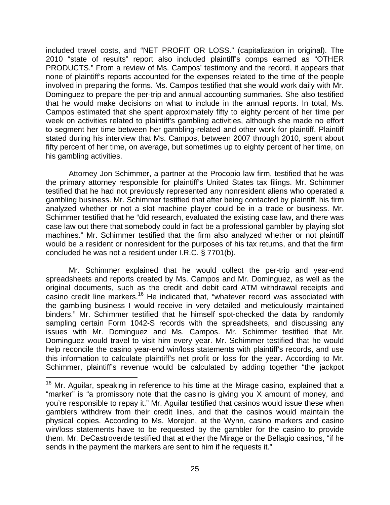included travel costs, and "NET PROFIT OR LOSS." (capitalization in original). The 2010 "state of results" report also included plaintiff's comps earned as "OTHER PRODUCTS." From a review of Ms. Campos' testimony and the record, it appears that none of plaintiff's reports accounted for the expenses related to the time of the people involved in preparing the forms. Ms. Campos testified that she would work daily with Mr. Dominguez to prepare the per-trip and annual accounting summaries. She also testified that he would make decisions on what to include in the annual reports. In total, Ms. Campos estimated that she spent approximately fifty to eighty percent of her time per week on activities related to plaintiff's gambling activities, although she made no effort to segment her time between her gambling-related and other work for plaintiff. Plaintiff stated during his interview that Ms. Campos, between 2007 through 2010, spent about fifty percent of her time, on average, but sometimes up to eighty percent of her time, on his gambling activities.

Attorney Jon Schimmer, a partner at the Procopio law firm, testified that he was the primary attorney responsible for plaintiff's United States tax filings. Mr. Schimmer testified that he had not previously represented any nonresident aliens who operated a gambling business. Mr. Schimmer testified that after being contacted by plaintiff, his firm analyzed whether or not a slot machine player could be in a trade or business. Mr. Schimmer testified that he "did research, evaluated the existing case law, and there was case law out there that somebody could in fact be a professional gambler by playing slot machines." Mr. Schimmer testified that the firm also analyzed whether or not plaintiff would be a resident or nonresident for the purposes of his tax returns, and that the firm concluded he was not a resident under I.R.C. § 7701(b).

Mr. Schimmer explained that he would collect the per-trip and year-end spreadsheets and reports created by Ms. Campos and Mr. Dominguez, as well as the original documents, such as the credit and debit card ATM withdrawal receipts and casino credit line markers.16 He indicated that, "whatever record was associated with the gambling business I would receive in very detailed and meticulously maintained binders." Mr. Schimmer testified that he himself spot-checked the data by randomly sampling certain Form 1042-S records with the spreadsheets, and discussing any issues with Mr. Dominguez and Ms. Campos. Mr. Schimmer testified that Mr. Dominguez would travel to visit him every year. Mr. Schimmer testified that he would help reconcile the casino year-end win/loss statements with plaintiff's records, and use this information to calculate plaintiff's net profit or loss for the year. According to Mr. Schimmer, plaintiff's revenue would be calculated by adding together "the jackpot

<sup>&</sup>lt;sup>16</sup> Mr. Aguilar, speaking in reference to his time at the Mirage casino, explained that a "marker" is "a promissory note that the casino is giving you X amount of money, and you're responsible to repay it." Mr. Aguilar testified that casinos would issue these when gamblers withdrew from their credit lines, and that the casinos would maintain the physical copies. According to Ms. Morejon, at the Wynn, casino markers and casino win/loss statements have to be requested by the gambler for the casino to provide them. Mr. DeCastroverde testified that at either the Mirage or the Bellagio casinos, "if he sends in the payment the markers are sent to him if he requests it."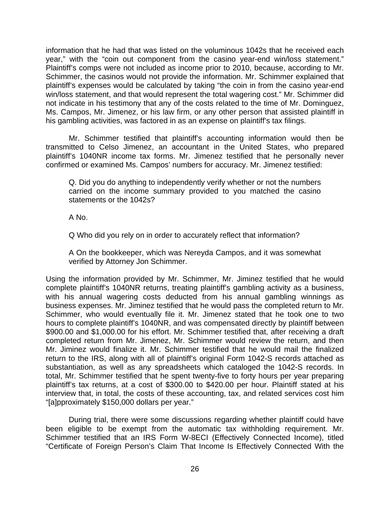information that he had that was listed on the voluminous 1042s that he received each year," with the "coin out component from the casino year-end win/loss statement." Plaintiff's comps were not included as income prior to 2010, because, according to Mr. Schimmer, the casinos would not provide the information. Mr. Schimmer explained that plaintiff's expenses would be calculated by taking "the coin in from the casino year-end win/loss statement, and that would represent the total wagering cost." Mr. Schimmer did not indicate in his testimony that any of the costs related to the time of Mr. Dominguez, Ms. Campos, Mr. Jimenez, or his law firm, or any other person that assisted plaintiff in his gambling activities, was factored in as an expense on plaintiff's tax filings.

Mr. Schimmer testified that plaintiff's accounting information would then be transmitted to Celso Jimenez, an accountant in the United States, who prepared plaintiff's 1040NR income tax forms. Mr. Jimenez testified that he personally never confirmed or examined Ms. Campos' numbers for accuracy. Mr. Jimenez testified:

Q. Did you do anything to independently verify whether or not the numbers carried on the income summary provided to you matched the casino statements or the 1042s?

A No.

Q Who did you rely on in order to accurately reflect that information?

A On the bookkeeper, which was Nereyda Campos, and it was somewhat verified by Attorney Jon Schimmer.

Using the information provided by Mr. Schimmer, Mr. Jiminez testified that he would complete plaintiff's 1040NR returns, treating plaintiff's gambling activity as a business, with his annual wagering costs deducted from his annual gambling winnings as business expenses. Mr. Jiminez testified that he would pass the completed return to Mr. Schimmer, who would eventually file it. Mr. Jimenez stated that he took one to two hours to complete plaintiff's 1040NR, and was compensated directly by plaintiff between \$900.00 and \$1,000.00 for his effort. Mr. Schimmer testified that, after receiving a draft completed return from Mr. Jimenez, Mr. Schimmer would review the return, and then Mr. Jiminez would finalize it. Mr. Schimmer testified that he would mail the finalized return to the IRS, along with all of plaintiff's original Form 1042-S records attached as substantiation, as well as any spreadsheets which cataloged the 1042-S records. In total, Mr. Schimmer testified that he spent twenty-five to forty hours per year preparing plaintiff's tax returns, at a cost of \$300.00 to \$420.00 per hour. Plaintiff stated at his interview that, in total, the costs of these accounting, tax, and related services cost him "[a]pproximately \$150,000 dollars per year."

During trial, there were some discussions regarding whether plaintiff could have been eligible to be exempt from the automatic tax withholding requirement. Mr. Schimmer testified that an IRS Form W-8ECI (Effectively Connected Income), titled "Certificate of Foreign Person's Claim That Income Is Effectively Connected With the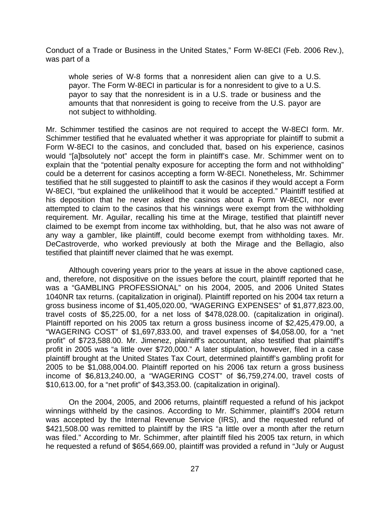Conduct of a Trade or Business in the United States," Form W-8ECI (Feb. 2006 Rev.), was part of a

whole series of W-8 forms that a nonresident alien can give to a U.S. payor. The Form W-8ECI in particular is for a nonresident to give to a U.S. payor to say that the nonresident is in a U.S. trade or business and the amounts that that nonresident is going to receive from the U.S. payor are not subject to withholding.

Mr. Schimmer testified the casinos are not required to accept the W-8ECI form. Mr. Schimmer testified that he evaluated whether it was appropriate for plaintiff to submit a Form W-8ECI to the casinos, and concluded that, based on his experience, casinos would "[a]bsolutely not" accept the form in plaintiff's case. Mr. Schimmer went on to explain that the "potential penalty exposure for accepting the form and not withholding" could be a deterrent for casinos accepting a form W-8ECI. Nonetheless, Mr. Schimmer testified that he still suggested to plaintiff to ask the casinos if they would accept a Form W-8ECI, "but explained the unlikelihood that it would be accepted." Plaintiff testified at his deposition that he never asked the casinos about a Form W-8ECI, nor ever attempted to claim to the casinos that his winnings were exempt from the withholding requirement. Mr. Aguilar, recalling his time at the Mirage, testified that plaintiff never claimed to be exempt from income tax withholding, but, that he also was not aware of any way a gambler, like plaintiff, could become exempt from withholding taxes. Mr. DeCastroverde, who worked previously at both the Mirage and the Bellagio, also testified that plaintiff never claimed that he was exempt.

Although covering years prior to the years at issue in the above captioned case, and, therefore, not dispositive on the issues before the court, plaintiff reported that he was a "GAMBLING PROFESSIONAL" on his 2004, 2005, and 2006 United States 1040NR tax returns. (capitalization in original). Plaintiff reported on his 2004 tax return a gross business income of \$1,405,020.00, "WAGERING EXPENSES" of \$1,877,823.00, travel costs of \$5,225.00, for a net loss of \$478,028.00. (capitalization in original). Plaintiff reported on his 2005 tax return a gross business income of \$2,425,479.00, a "WAGERING COST" of \$1,697,833.00, and travel expenses of \$4,058.00, for a "net profit" of \$723,588.00. Mr. Jimenez, plaintiff's accountant, also testified that plaintiff's profit in 2005 was "a little over \$720,000." A later stipulation, however, filed in a case plaintiff brought at the United States Tax Court, determined plaintiff's gambling profit for 2005 to be \$1,088,004.00. Plaintiff reported on his 2006 tax return a gross business income of \$6,813,240.00, a "WAGERING COST" of \$6,759,274.00, travel costs of \$10,613.00, for a "net profit" of \$43,353.00. (capitalization in original).

On the 2004, 2005, and 2006 returns, plaintiff requested a refund of his jackpot winnings withheld by the casinos. According to Mr. Schimmer, plaintiff's 2004 return was accepted by the Internal Revenue Service (IRS), and the requested refund of \$421,508.00 was remitted to plaintiff by the IRS "a little over a month after the return was filed." According to Mr. Schimmer, after plaintiff filed his 2005 tax return, in which he requested a refund of \$654,669.00, plaintiff was provided a refund in "July or August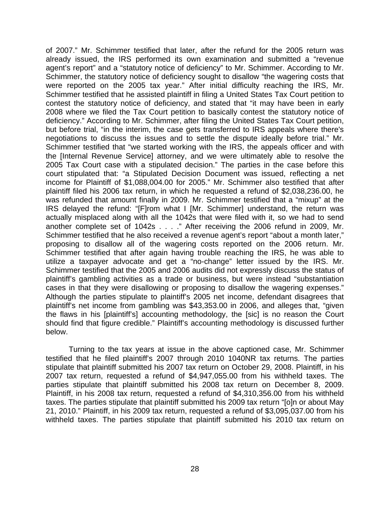of 2007." Mr. Schimmer testified that later, after the refund for the 2005 return was already issued, the IRS performed its own examination and submitted a "revenue agent's report" and a "statutory notice of deficiency" to Mr. Schimmer. According to Mr. Schimmer, the statutory notice of deficiency sought to disallow "the wagering costs that were reported on the 2005 tax year." After initial difficulty reaching the IRS, Mr. Schimmer testified that he assisted plaintiff in filing a United States Tax Court petition to contest the statutory notice of deficiency, and stated that "it may have been in early 2008 where we filed the Tax Court petition to basically contest the statutory notice of deficiency." According to Mr. Schimmer, after filing the United States Tax Court petition, but before trial, "in the interim, the case gets transferred to IRS appeals where there's negotiations to discuss the issues and to settle the dispute ideally before trial." Mr. Schimmer testified that "we started working with the IRS, the appeals officer and with the [Internal Revenue Service] attorney, and we were ultimately able to resolve the 2005 Tax Court case with a stipulated decision." The parties in the case before this court stipulated that: "a Stipulated Decision Document was issued, reflecting a net income for Plaintiff of \$1,088,004.00 for 2005." Mr. Schimmer also testified that after plaintiff filed his 2006 tax return, in which he requested a refund of \$2,038,236.00, he was refunded that amount finally in 2009. Mr. Schimmer testified that a "mixup" at the IRS delayed the refund: "[F]rom what I [Mr. Schimmer] understand, the return was actually misplaced along with all the 1042s that were filed with it, so we had to send another complete set of 1042s . . . ." After receiving the 2006 refund in 2009, Mr. Schimmer testified that he also received a revenue agent's report "about a month later," proposing to disallow all of the wagering costs reported on the 2006 return. Mr. Schimmer testified that after again having trouble reaching the IRS, he was able to utilize a taxpayer advocate and get a "no-change" letter issued by the IRS. Mr. Schimmer testified that the 2005 and 2006 audits did not expressly discuss the status of plaintiff's gambling activities as a trade or business, but were instead "substantiation cases in that they were disallowing or proposing to disallow the wagering expenses." Although the parties stipulate to plaintiff's 2005 net income, defendant disagrees that plaintiff's net income from gambling was \$43,353.00 in 2006, and alleges that, "given the flaws in his [plaintiff's] accounting methodology, the [sic] is no reason the Court should find that figure credible." Plaintiff's accounting methodology is discussed further below.

 Turning to the tax years at issue in the above captioned case, Mr. Schimmer testified that he filed plaintiff's 2007 through 2010 1040NR tax returns. The parties stipulate that plaintiff submitted his 2007 tax return on October 29, 2008. Plaintiff, in his 2007 tax return, requested a refund of \$4,947,055.00 from his withheld taxes. The parties stipulate that plaintiff submitted his 2008 tax return on December 8, 2009. Plaintiff, in his 2008 tax return, requested a refund of \$4,310,356.00 from his withheld taxes. The parties stipulate that plaintiff submitted his 2009 tax return "[o]n or about May 21, 2010." Plaintiff, in his 2009 tax return, requested a refund of \$3,095,037.00 from his withheld taxes. The parties stipulate that plaintiff submitted his 2010 tax return on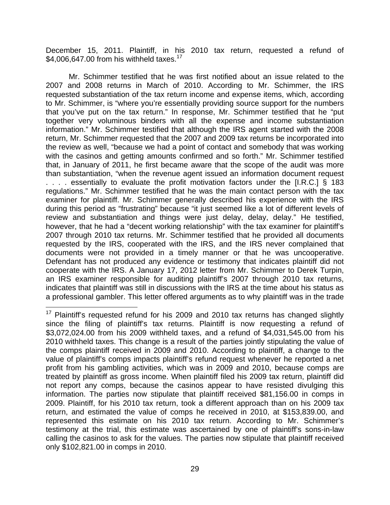December 15, 2011. Plaintiff, in his 2010 tax return, requested a refund of \$4,006,647.00 from his withheld taxes.<sup>17</sup>

 Mr. Schimmer testified that he was first notified about an issue related to the 2007 and 2008 returns in March of 2010. According to Mr. Schimmer, the IRS requested substantiation of the tax return income and expense items, which, according to Mr. Schimmer, is "where you're essentially providing source support for the numbers that you've put on the tax return." In response, Mr. Schimmer testified that he "put together very voluminous binders with all the expense and income substantiation information." Mr. Schimmer testified that although the IRS agent started with the 2008 return, Mr. Schimmer requested that the 2007 and 2009 tax returns be incorporated into the review as well, "because we had a point of contact and somebody that was working with the casinos and getting amounts confirmed and so forth." Mr. Schimmer testified that, in January of 2011, he first became aware that the scope of the audit was more than substantiation, "when the revenue agent issued an information document request . . . . essentially to evaluate the profit motivation factors under the [I.R.C.] § 183 regulations." Mr. Schimmer testified that he was the main contact person with the tax examiner for plaintiff. Mr. Schimmer generally described his experience with the IRS during this period as "frustrating" because "it just seemed like a lot of different levels of review and substantiation and things were just delay, delay, delay." He testified, however, that he had a "decent working relationship" with the tax examiner for plaintiff's 2007 through 2010 tax returns. Mr. Schimmer testified that he provided all documents requested by the IRS, cooperated with the IRS, and the IRS never complained that documents were not provided in a timely manner or that he was uncooperative. Defendant has not produced any evidence or testimony that indicates plaintiff did not cooperate with the IRS. A January 17, 2012 letter from Mr. Schimmer to Derek Turpin, an IRS examiner responsible for auditing plaintiff's 2007 through 2010 tax returns, indicates that plaintiff was still in discussions with the IRS at the time about his status as a professional gambler. This letter offered arguments as to why plaintiff was in the trade

 $17$  Plaintiff's requested refund for his 2009 and 2010 tax returns has changed slightly since the filing of plaintiff's tax returns. Plaintiff is now requesting a refund of \$3,072,024.00 from his 2009 withheld taxes, and a refund of \$4,031,545.00 from his 2010 withheld taxes. This change is a result of the parties jointly stipulating the value of the comps plaintiff received in 2009 and 2010. According to plaintiff, a change to the value of plaintiff's comps impacts plaintiff's refund request whenever he reported a net profit from his gambling activities, which was in 2009 and 2010, because comps are treated by plaintiff as gross income. When plaintiff filed his 2009 tax return, plaintiff did not report any comps, because the casinos appear to have resisted divulging this information. The parties now stipulate that plaintiff received \$81,156.00 in comps in 2009. Plaintiff, for his 2010 tax return, took a different approach than on his 2009 tax return, and estimated the value of comps he received in 2010, at \$153,839.00, and represented this estimate on his 2010 tax return. According to Mr. Schimmer's testimony at the trial, this estimate was ascertained by one of plaintiff's sons-in-law calling the casinos to ask for the values. The parties now stipulate that plaintiff received only \$102,821.00 in comps in 2010.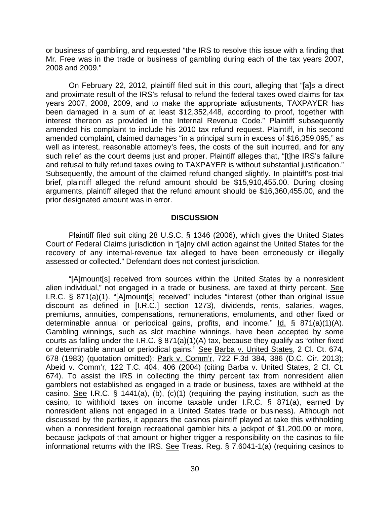or business of gambling, and requested "the IRS to resolve this issue with a finding that Mr. Free was in the trade or business of gambling during each of the tax years 2007, 2008 and 2009."

 On February 22, 2012, plaintiff filed suit in this court, alleging that "[a]s a direct and proximate result of the IRS's refusal to refund the federal taxes owed claims for tax years 2007, 2008, 2009, and to make the appropriate adjustments, TAXPAYER has been damaged in a sum of at least \$12,352,448, according to proof, together with interest thereon as provided in the Internal Revenue Code." Plaintiff subsequently amended his complaint to include his 2010 tax refund request. Plaintiff, in his second amended complaint, claimed damages "in a principal sum in excess of \$16,359,095," as well as interest, reasonable attorney's fees, the costs of the suit incurred, and for any such relief as the court deems just and proper. Plaintiff alleges that, "[t]he IRS's failure and refusal to fully refund taxes owing to TAXPAYER is without substantial justification." Subsequently, the amount of the claimed refund changed slightly. In plaintiff's post-trial brief, plaintiff alleged the refund amount should be \$15,910,455.00. During closing arguments, plaintiff alleged that the refund amount should be \$16,360,455.00, and the prior designated amount was in error.

#### **DISCUSSION**

Plaintiff filed suit citing 28 U.S.C. § 1346 (2006), which gives the United States Court of Federal Claims jurisdiction in "[a]ny civil action against the United States for the recovery of any internal-revenue tax alleged to have been erroneously or illegally assessed or collected." Defendant does not contest jurisdiction.

"[A]mount[s] received from sources within the United States by a nonresident alien individual," not engaged in a trade or business, are taxed at thirty percent. See I.R.C. § 871(a)(1). "[A]mount[s] received" includes "interest (other than original issue discount as defined in [I.R.C.] section 1273), dividends, rents, salaries, wages, premiums, annuities, compensations, remunerations, emoluments, and other fixed or determinable annual or periodical gains, profits, and income."  $\underline{Id.}$  § 871(a)(1)(A). Gambling winnings, such as slot machine winnings, have been accepted by some courts as falling under the I.R.C. § 871(a)(1)(A) tax, because they qualify as "other fixed or determinable annual or periodical gains." See Barba v. United States, 2 Cl. Ct. 674, 678 (1983) (quotation omitted); Park v. Comm'r, 722 F.3d 384, 386 (D.C. Cir. 2013); Abeid v. Comm'r, 122 T.C. 404, 406 (2004) (citing Barba v. United States, 2 Cl. Ct. 674). To assist the IRS in collecting the thirty percent tax from nonresident alien gamblers not established as engaged in a trade or business, taxes are withheld at the casino. See I.R.C. § 1441(a), (b), (c)(1) (requiring the paying institution, such as the casino, to withhold taxes on income taxable under I.R.C. § 871(a), earned by nonresident aliens not engaged in a United States trade or business). Although not discussed by the parties, it appears the casinos plaintiff played at take this withholding when a nonresident foreign recreational gambler hits a jackpot of \$1,200.00 or more, because jackpots of that amount or higher trigger a responsibility on the casinos to file informational returns with the IRS. See Treas. Reg. § 7.6041-1(a) (requiring casinos to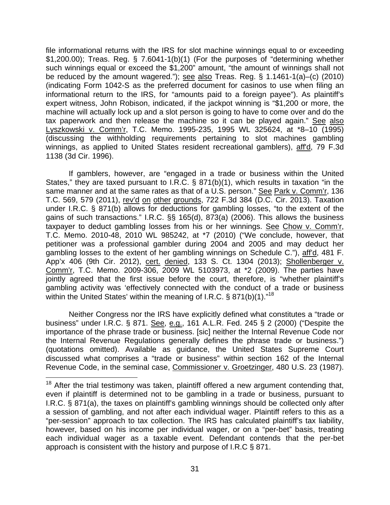file informational returns with the IRS for slot machine winnings equal to or exceeding \$1,200.00); Treas. Reg. § 7.6041-1(b)(1) (For the purposes of "determining whether such winnings equal or exceed the \$1,200" amount, "the amount of winnings shall not be reduced by the amount wagered."); see also Treas. Reg. § 1.1461-1(a)–(c) (2010) (indicating Form 1042-S as the preferred document for casinos to use when filing an informational return to the IRS, for "amounts paid to a foreign payee"). As plaintiff's expert witness, John Robison, indicated, if the jackpot winning is "\$1,200 or more, the machine will actually lock up and a slot person is going to have to come over and do the tax paperwork and then release the machine so it can be played again." See also Lyszkowski v. Comm'r, T.C. Memo. 1995-235, 1995 WL 325624, at \*8–10 (1995) (discussing the withholding requirements pertaining to slot machines gambling winnings, as applied to United States resident recreational gamblers), aff'd, 79 F.3d 1138 (3d Cir. 1996).

If gamblers, however, are "engaged in a trade or business within the United States," they are taxed pursuant to I.R.C. § 871(b)(1), which results in taxation "in the same manner and at the same rates as that of a U.S. person." See Park v. Comm'r, 136 T.C. 569, 579 (2011), rev'd on other grounds, 722 F.3d 384 (D.C. Cir. 2013). Taxation under I.R.C. § 871(b) allows for deductions for gambling losses, "to the extent of the gains of such transactions." I.R.C. §§ 165(d), 873(a) (2006). This allows the business taxpayer to deduct gambling losses from his or her winnings. See Chow v. Comm'r, T.C. Memo. 2010-48, 2010 WL 985242, at \*7 (2010) ("We conclude, however, that petitioner was a professional gambler during 2004 and 2005 and may deduct her gambling losses to the extent of her gambling winnings on Schedule C."), aff'd, 481 F. App'x 406 (9th Cir. 2012), cert. denied, 133 S. Ct. 1304 (2013); Shollenberger v. Comm'r, T.C. Memo. 2009-306, 2009 WL 5103973, at \*2 (2009). The parties have jointly agreed that the first issue before the court, therefore, is "whether plaintiff's gambling activity was 'effectively connected with the conduct of a trade or business within the United States' within the meaning of I.R.C.  $\S$  871(b)(1).<sup>"18</sup>

 Neither Congress nor the IRS have explicitly defined what constitutes a "trade or business" under I.R.C. § 871. See, e.g., 161 A.L.R. Fed. 245 § 2 (2000) ("Despite the importance of the phrase trade or business. [sic] neither the Internal Revenue Code nor the Internal Revenue Regulations generally defines the phrase trade or business.") (quotations omitted). Available as guidance, the United States Supreme Court discussed what comprises a "trade or business" within section 162 of the Internal Revenue Code, in the seminal case, Commissioner v. Groetzinger, 480 U.S. 23 (1987).

 $18$  After the trial testimony was taken, plaintiff offered a new argument contending that, even if plaintiff is determined not to be gambling in a trade or business, pursuant to I.R.C. § 871(a), the taxes on plaintiff's gambling winnings should be collected only after a session of gambling, and not after each individual wager. Plaintiff refers to this as a "per-session" approach to tax collection. The IRS has calculated plaintiff's tax liability, however, based on his income per individual wager, or on a "per-bet" basis, treating each individual wager as a taxable event. Defendant contends that the per-bet approach is consistent with the history and purpose of I.R.C § 871.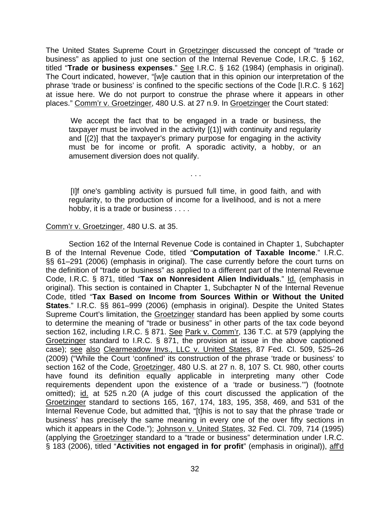The United States Supreme Court in Groetzinger discussed the concept of "trade or business" as applied to just one section of the Internal Revenue Code, I.R.C. § 162, titled "**Trade or business expenses**." See I.R.C. § 162 (1984) (emphasis in original). The Court indicated, however, "[w]e caution that in this opinion our interpretation of the phrase 'trade or business' is confined to the specific sections of the Code [I.R.C. § 162] at issue here. We do not purport to construe the phrase where it appears in other places." Comm'r v. Groetzinger, 480 U.S. at 27 n.9. In Groetzinger the Court stated:

We accept the fact that to be engaged in a trade or business, the taxpayer must be involved in the activity [(1)] with continuity and regularity and [(2)] that the taxpayer's primary purpose for engaging in the activity must be for income or profit. A sporadic activity, a hobby, or an amusement diversion does not qualify.

[I]f one's gambling activity is pursued full time, in good faith, and with regularity, to the production of income for a livelihood, and is not a mere hobby, it is a trade or business . . . .

. . .

### Comm'r v. Groetzinger, 480 U.S. at 35.

Section 162 of the Internal Revenue Code is contained in Chapter 1, Subchapter B of the Internal Revenue Code, titled "**Computation of Taxable Income**." I.R.C. §§ 61–291 (2006) (emphasis in original). The case currently before the court turns on the definition of "trade or business" as applied to a different part of the Internal Revenue Code, I.R.C. § 871, titled "**Tax on Nonresident Alien Individuals**." Id. (emphasis in original). This section is contained in Chapter 1, Subchapter N of the Internal Revenue Code, titled "**Tax Based on Income from Sources Within or Without the United States**." I.R.C. §§ 861–999 (2006) (emphasis in original). Despite the United States Supreme Court's limitation, the Groetzinger standard has been applied by some courts to determine the meaning of "trade or business" in other parts of the tax code beyond section 162, including I.R.C. § 871. See Park v. Comm'r, 136 T.C. at 579 (applying the Groetzinger standard to I.R.C. § 871, the provision at issue in the above captioned case); see also Clearmeadow Invs., LLC v. United States, 87 Fed. Cl. 509, 525–26 (2009) ("While the Court 'confined' its construction of the phrase 'trade or business' to section 162 of the Code, Groetzinger, 480 U.S. at 27 n. 8, 107 S. Ct. 980, other courts have found its definition equally applicable in interpreting many other Code requirements dependent upon the existence of a 'trade or business.'") (footnote omitted); id. at 525 n.20 (A judge of this court discussed the application of the Groetzinger standard to sections 165, 167, 174, 183, 195, 358, 469, and 531 of the Internal Revenue Code, but admitted that, "[t]his is not to say that the phrase 'trade or business' has precisely the same meaning in every one of the over fifty sections in which it appears in the Code."); Johnson v. United States, 32 Fed. Cl. 709, 714 (1995) (applying the Groetzinger standard to a "trade or business" determination under I.R.C. § 183 (2006), titled "**Activities not engaged in for profit**" (emphasis in original)), aff'd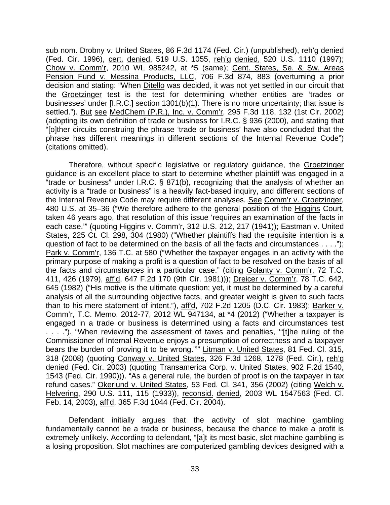sub nom. Drobny v. United States, 86 F.3d 1174 (Fed. Cir.) (unpublished), reh'g denied (Fed. Cir. 1996), cert. denied, 519 U.S. 1055, reh'g denied, 520 U.S. 1110 (1997); Chow v. Comm'r, 2010 WL 985242, at \*5 (same); Cent. States, Se. & Sw. Areas Pension Fund v. Messina Products, LLC, 706 F.3d 874, 883 (overturning a prior decision and stating: "When Ditello was decided, it was not yet settled in our circuit that the Groetzinger test is the test for determining whether entities are 'trades or businesses' under [I.R.C.] section 1301(b)(1). There is no more uncertainty; that issue is settled."). But see MedChem (P.R.), Inc. v. Comm'r, 295 F.3d 118, 132 (1st Cir. 2002) (adopting its own definition of trade or business for I.R.C. § 936 (2000), and stating that "[o]ther circuits construing the phrase 'trade or business' have also concluded that the phrase has different meanings in different sections of the Internal Revenue Code") (citations omitted).

Therefore, without specific legislative or regulatory guidance, the Groetzinger guidance is an excellent place to start to determine whether plaintiff was engaged in a "trade or business" under I.R.C. § 871(b), recognizing that the analysis of whether an activity is a "trade or business" is a heavily fact-based inquiry, and different sections of the Internal Revenue Code may require different analyses. See Comm'r v. Groetzinger, 480 U.S. at 35–36 ("We therefore adhere to the general position of the Higgins Court, taken 46 years ago, that resolution of this issue 'requires an examination of the facts in each case.'" (quoting Higgins v. Comm'r, 312 U.S. 212, 217 (1941)); Eastman v. United States, 225 Ct. Cl. 298, 304 (1980) ("Whether plaintiffs had the requisite intention is a question of fact to be determined on the basis of all the facts and circumstances . . . ."); Park v. Comm'r, 136 T.C. at 580 ("Whether the taxpayer engages in an activity with the primary purpose of making a profit is a question of fact to be resolved on the basis of all the facts and circumstances in a particular case." (citing Golanty v. Comm'r, 72 T.C. 411, 426 (1979), aff'd, 647 F.2d 170 (9th Cir. 1981))); Dreicer v. Comm'r, 78 T.C. 642, 645 (1982) ("His motive is the ultimate question; yet, it must be determined by a careful analysis of all the surrounding objective facts, and greater weight is given to such facts than to his mere statement of intent."), aff'd, 702 F.2d 1205 (D.C. Cir. 1983); Barker v. Comm'r, T.C. Memo. 2012-77, 2012 WL 947134, at \*4 (2012) ("Whether a taxpayer is engaged in a trade or business is determined using a facts and circumstances test . . . ."). "When reviewing the assessment of taxes and penalties, '"[t]he ruling of the Commissioner of Internal Revenue enjoys a presumption of correctness and a taxpayer bears the burden of proving it to be wrong."" Litman v. United States, 81 Fed. Cl. 315, 318 (2008) (quoting Conway v. United States, 326 F.3d 1268, 1278 (Fed. Cir.), reh'g denied (Fed. Cir. 2003) (quoting Transamerica Corp. v. United States, 902 F.2d 1540, 1543 (Fed. Cir. 1990))). "As a general rule, the burden of proof is on the taxpayer in tax refund cases." Okerlund v. United States, 53 Fed. Cl. 341, 356 (2002) (citing Welch v. Helvering, 290 U.S. 111, 115 (1933)), reconsid. denied, 2003 WL 1547563 (Fed. Cl. Feb. 14, 2003), aff'd, 365 F.3d 1044 (Fed. Cir. 2004).

Defendant initially argues that the activity of slot machine gambling fundamentally cannot be a trade or business, because the chance to make a profit is extremely unlikely. According to defendant, "[a]t its most basic, slot machine gambling is a losing proposition. Slot machines are computerized gambling devices designed with a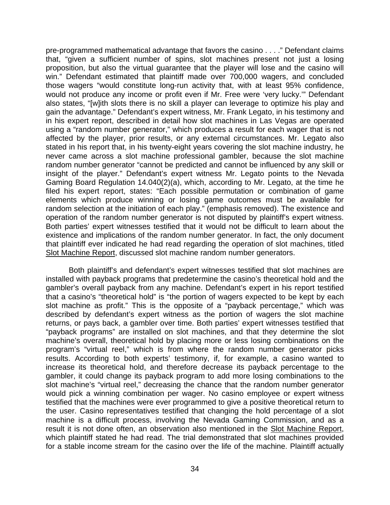pre-programmed mathematical advantage that favors the casino . . . ." Defendant claims that, "given a sufficient number of spins, slot machines present not just a losing proposition, but also the virtual guarantee that the player will lose and the casino will win." Defendant estimated that plaintiff made over 700,000 wagers, and concluded those wagers "would constitute long-run activity that, with at least 95% confidence, would not produce any income or profit even if Mr. Free were 'very lucky.'" Defendant also states, "[w]ith slots there is no skill a player can leverage to optimize his play and gain the advantage." Defendant's expert witness, Mr. Frank Legato, in his testimony and in his expert report, described in detail how slot machines in Las Vegas are operated using a "random number generator," which produces a result for each wager that is not affected by the player, prior results, or any external circumstances. Mr. Legato also stated in his report that, in his twenty-eight years covering the slot machine industry, he never came across a slot machine professional gambler, because the slot machine random number generator "cannot be predicted and cannot be influenced by any skill or insight of the player." Defendant's expert witness Mr. Legato points to the Nevada Gaming Board Regulation 14.040(2)(a), which, according to Mr. Legato, at the time he filed his expert report, states: "Each possible permutation or combination of game elements which produce winning or losing game outcomes must be available for random selection at the initiation of each play." (emphasis removed). The existence and operation of the random number generator is not disputed by plaintiff's expert witness. Both parties' expert witnesses testified that it would not be difficult to learn about the existence and implications of the random number generator. In fact, the only document that plaintiff ever indicated he had read regarding the operation of slot machines, titled Slot Machine Report, discussed slot machine random number generators.

Both plaintiff's and defendant's expert witnesses testified that slot machines are installed with payback programs that predetermine the casino's theoretical hold and the gambler's overall payback from any machine. Defendant's expert in his report testified that a casino's "theoretical hold" is "the portion of wagers expected to be kept by each slot machine as profit." This is the opposite of a "payback percentage," which was described by defendant's expert witness as the portion of wagers the slot machine returns, or pays back, a gambler over time. Both parties' expert witnesses testified that "payback programs" are installed on slot machines, and that they determine the slot machine's overall, theoretical hold by placing more or less losing combinations on the program's "virtual reel," which is from where the random number generator picks results. According to both experts' testimony, if, for example, a casino wanted to increase its theoretical hold, and therefore decrease its payback percentage to the gambler, it could change its payback program to add more losing combinations to the slot machine's "virtual reel," decreasing the chance that the random number generator would pick a winning combination per wager. No casino employee or expert witness testified that the machines were ever programmed to give a positive theoretical return to the user. Casino representatives testified that changing the hold percentage of a slot machine is a difficult process, involving the Nevada Gaming Commission, and as a result it is not done often, an observation also mentioned in the Slot Machine Report, which plaintiff stated he had read. The trial demonstrated that slot machines provided for a stable income stream for the casino over the life of the machine. Plaintiff actually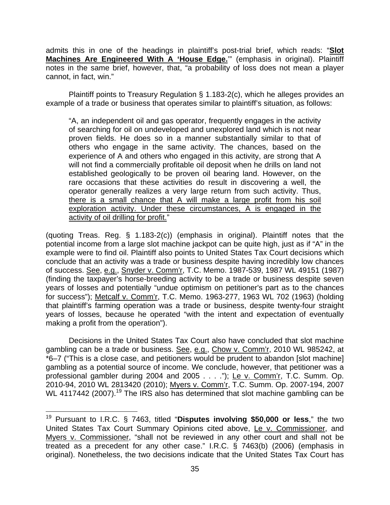admits this in one of the headings in plaintiff's post-trial brief, which reads: "**Slot Machines Are Engineered With A 'House Edge.**'" (emphasis in original). Plaintiff notes in the same brief, however, that, "a probability of loss does not mean a player cannot, in fact, win."

Plaintiff points to Treasury Regulation § 1.183-2(c), which he alleges provides an example of a trade or business that operates similar to plaintiff's situation, as follows:

"A, an independent oil and gas operator, frequently engages in the activity of searching for oil on undeveloped and unexplored land which is not near proven fields. He does so in a manner substantially similar to that of others who engage in the same activity. The chances, based on the experience of A and others who engaged in this activity, are strong that A will not find a commercially profitable oil deposit when he drills on land not established geologically to be proven oil bearing land. However, on the rare occasions that these activities do result in discovering a well, the operator generally realizes a very large return from such activity. Thus, there is a small chance that A will make a large profit from his soil exploration activity. Under these circumstances, A is engaged in the activity of oil drilling for profit."

(quoting Treas. Reg. § 1.183-2(c)) (emphasis in original). Plaintiff notes that the potential income from a large slot machine jackpot can be quite high, just as if "A" in the example were to find oil. Plaintiff also points to United States Tax Court decisions which conclude that an activity was a trade or business despite having incredibly low chances of success. See, e.g., Snyder v. Comm'r, T.C. Memo. 1987-539, 1987 WL 49151 (1987) (finding the taxpayer's horse-breeding activity to be a trade or business despite seven years of losses and potentially "undue optimism on petitioner's part as to the chances for success"); Metcalf v. Comm'r, T.C. Memo. 1963-277, 1963 WL 702 (1963) (holding that plaintiff's farming operation was a trade or business, despite twenty-four straight years of losses, because he operated "with the intent and expectation of eventually making a profit from the operation").

 Decisions in the United States Tax Court also have concluded that slot machine gambling can be a trade or business. See, e.g., Chow v. Comm'r, 2010 WL 985242, at \*6–7 ("This is a close case, and petitioners would be prudent to abandon [slot machine] gambling as a potential source of income. We conclude, however, that petitioner was a professional gambler during 2004 and 2005 . . . ."); Le v. Comm'r, T.C. Summ. Op. 2010-94, 2010 WL 2813420 (2010); Myers v. Comm'r, T.C. Summ. Op. 2007-194, 2007 WL 4117442 (2007).<sup>19</sup> The IRS also has determined that slot machine gambling can be

<sup>19</sup> Pursuant to I.R.C. § 7463, titled "**Disputes involving \$50,000 or less**," the two United States Tax Court Summary Opinions cited above, Le v. Commissioner, and Myers v. Commissioner, "shall not be reviewed in any other court and shall not be treated as a precedent for any other case." I.R.C. § 7463(b) (2006) (emphasis in original). Nonetheless, the two decisions indicate that the United States Tax Court has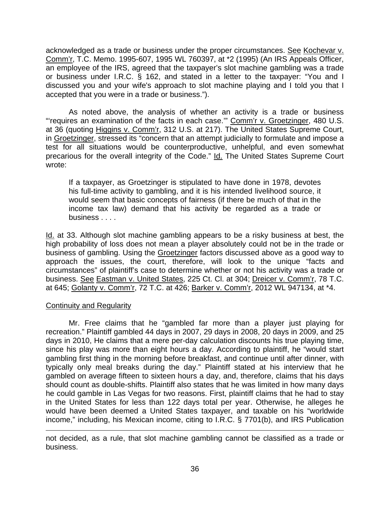acknowledged as a trade or business under the proper circumstances. See Kochevar v. Comm'r, T.C. Memo. 1995-607, 1995 WL 760397, at \*2 (1995) (An IRS Appeals Officer, an employee of the IRS, agreed that the taxpayer's slot machine gambling was a trade or business under I.R.C. § 162, and stated in a letter to the taxpayer: "You and I discussed you and your wife's approach to slot machine playing and I told you that I accepted that you were in a trade or business.").

 As noted above, the analysis of whether an activity is a trade or business "requires an examination of the facts in each case."" Comm'r v. Groetzinger, 480 U.S. at 36 (quoting Higgins v. Comm'r, 312 U.S. at 217). The United States Supreme Court, in Groetzinger, stressed its "concern that an attempt judicially to formulate and impose a test for all situations would be counterproductive, unhelpful, and even somewhat precarious for the overall integrity of the Code." Id. The United States Supreme Court wrote:

If a taxpayer, as Groetzinger is stipulated to have done in 1978, devotes his full-time activity to gambling, and it is his intended livelihood source, it would seem that basic concepts of fairness (if there be much of that in the income tax law) demand that his activity be regarded as a trade or business . . . .

Id. at 33. Although slot machine gambling appears to be a risky business at best, the high probability of loss does not mean a player absolutely could not be in the trade or business of gambling. Using the Groetzinger factors discussed above as a good way to approach the issues, the court, therefore, will look to the unique "facts and circumstances" of plaintiff's case to determine whether or not his activity was a trade or business. See Eastman v. United States, 225 Ct. Cl. at 304; Dreicer v. Comm'r, 78 T.C. at 645; Golanty v. Comm'r, 72 T.C. at 426; Barker v. Comm'r, 2012 WL 947134, at \*4.

## Continuity and Regularity

1

Mr. Free claims that he "gambled far more than a player just playing for recreation." Plaintiff gambled 44 days in 2007, 29 days in 2008, 20 days in 2009, and 25 days in 2010, He claims that a mere per-day calculation discounts his true playing time, since his play was more than eight hours a day. According to plaintiff, he "would start gambling first thing in the morning before breakfast, and continue until after dinner, with typically only meal breaks during the day." Plaintiff stated at his interview that he gambled on average fifteen to sixteen hours a day, and, therefore, claims that his days should count as double-shifts. Plaintiff also states that he was limited in how many days he could gamble in Las Vegas for two reasons. First, plaintiff claims that he had to stay in the United States for less than 122 days total per year. Otherwise, he alleges he would have been deemed a United States taxpayer, and taxable on his "worldwide income," including, his Mexican income, citing to I.R.C. § 7701(b), and IRS Publication

not decided, as a rule, that slot machine gambling cannot be classified as a trade or business.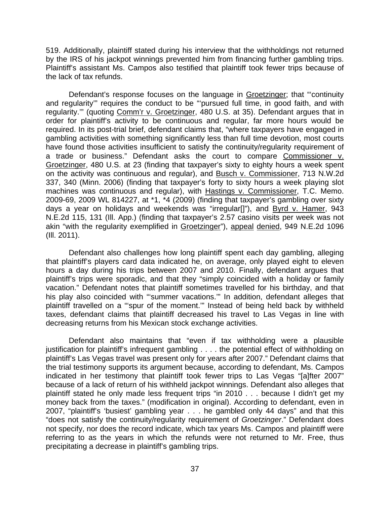519. Additionally, plaintiff stated during his interview that the withholdings not returned by the IRS of his jackpot winnings prevented him from financing further gambling trips. Plaintiff's assistant Ms. Campos also testified that plaintiff took fewer trips because of the lack of tax refunds.

Defendant's response focuses on the language in Groetzinger; that "continuity and regularity'" requires the conduct to be "'pursued full time, in good faith, and with regularity.'" (quoting Comm'r v. Groetzinger, 480 U.S. at 35). Defendant argues that in order for plaintiff's activity to be continuous and regular, far more hours would be required. In its post-trial brief, defendant claims that, "where taxpayers have engaged in gambling activities with something significantly less than full time devotion, most courts have found those activities insufficient to satisfy the continuity/regularity requirement of a trade or business." Defendant asks the court to compare Commissioner v. Groetzinger, 480 U.S. at 23 (finding that taxpayer's sixty to eighty hours a week spent on the activity was continuous and regular), and Busch v. Commissioner, 713 N.W.2d 337, 340 (Minn. 2006) (finding that taxpayer's forty to sixty hours a week playing slot machines was continuous and regular), with Hastings v. Commissioner, T.C. Memo. 2009-69, 2009 WL 814227, at \*1, \*4 (2009) (finding that taxpayer's gambling over sixty days a year on holidays and weekends was "irregular[]"), and Byrd v. Hamer, 943 N.E.2d 115, 131 (Ill. App.) (finding that taxpayer's 2.57 casino visits per week was not akin "with the regularity exemplified in Groetzinger"), appeal denied, 949 N.E.2d 1096 (Ill. 2011).

Defendant also challenges how long plaintiff spent each day gambling, alleging that plaintiff's players card data indicated he, on average, only played eight to eleven hours a day during his trips between 2007 and 2010. Finally, defendant argues that plaintiff's trips were sporadic, and that they "simply coincided with a holiday or family vacation." Defendant notes that plaintiff sometimes travelled for his birthday, and that his play also coincided with "'summer vacations.'" In addition, defendant alleges that plaintiff travelled on a "'spur of the moment.'" Instead of being held back by withheld taxes, defendant claims that plaintiff decreased his travel to Las Vegas in line with decreasing returns from his Mexican stock exchange activities.

Defendant also maintains that "even if tax withholding were a plausible justification for plaintiff's infrequent gambling . . . . the potential effect of withholding on plaintiff's Las Vegas travel was present only for years after 2007." Defendant claims that the trial testimony supports its argument because, according to defendant, Ms. Campos indicated in her testimony that plaintiff took fewer trips to Las Vegas "[a]fter 2007" because of a lack of return of his withheld jackpot winnings. Defendant also alleges that plaintiff stated he only made less frequent trips "in 2010 . . . because I didn't get my money back from the taxes." (modification in original). According to defendant, even in 2007, "plaintiff's 'busiest' gambling year . . . he gambled only 44 days" and that this "does not satisfy the continuity/regularity requirement of *Groetzinger*." Defendant does not specify, nor does the record indicate, which tax years Ms. Campos and plaintiff were referring to as the years in which the refunds were not returned to Mr. Free, thus precipitating a decrease in plaintiff's gambling trips.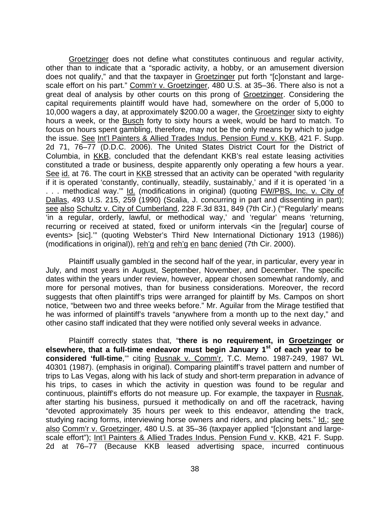Groetzinger does not define what constitutes continuous and regular activity, other than to indicate that a "sporadic activity, a hobby, or an amusement diversion does not qualify," and that the taxpayer in Groetzinger put forth "[c]onstant and largescale effort on his part." Comm'r v. Groetzinger, 480 U.S. at 35–36. There also is not a great deal of analysis by other courts on this prong of Groetzinger. Considering the capital requirements plaintiff would have had, somewhere on the order of 5,000 to 10,000 wagers a day, at approximately \$200.00 a wager, the Groetzinger sixty to eighty hours a week, or the Busch forty to sixty hours a week, would be hard to match. To focus on hours spent gambling, therefore, may not be the only means by which to judge the issue. See Int'l Painters & Allied Trades Indus. Pension Fund v. KKB, 421 F. Supp. 2d 71, 76–77 (D.D.C. 2006). The United States District Court for the District of Columbia, in KKB, concluded that the defendant KKB's real estate leasing activities constituted a trade or business, despite apparently only operating a few hours a year. See id. at 76. The court in KKB stressed that an activity can be operated "with regularity if it is operated 'constantly, continually, steadily, sustainably,' and if it is operated 'in a ... methodical way."" Id. (modifications in original) (quoting FW/PBS, Inc. v. City of Dallas, 493 U.S. 215, 259 (1990) (Scalia, J. concurring in part and dissenting in part); see also Schultz v. City of Cumberland, 228 F.3d 831, 849 (7th Cir.) ("'Regularly' means 'in a regular, orderly, lawful, or methodical way,' and 'regular' means 'returning, recurring or received at stated, fixed or uniform intervals <in the [regular] course of events> [sic].'" (quoting Webster's Third New International Dictionary 1913 (1986)) (modifications in original)), reh'g and reh'g en banc denied (7th Cir. 2000).

Plaintiff usually gambled in the second half of the year, in particular, every year in July, and most years in August, September, November, and December. The specific dates within the years under review, however, appear chosen somewhat randomly, and more for personal motives, than for business considerations. Moreover, the record suggests that often plaintiff's trips were arranged for plaintiff by Ms. Campos on short notice, "between two and three weeks before." Mr. Aguilar from the Mirage testified that he was informed of plaintiff's travels "anywhere from a month up to the next day," and other casino staff indicated that they were notified only several weeks in advance.

Plaintiff correctly states that, "**there is no requirement, in Groetzinger or elsewhere, that a full-time endeavor must begin January 1st of each year to be considered 'full-time**,'" citing Rusnak v. Comm'r, T.C. Memo. 1987-249, 1987 WL 40301 (1987). (emphasis in original). Comparing plaintiff's travel pattern and number of trips to Las Vegas, along with his lack of study and short-term preparation in advance of his trips, to cases in which the activity in question was found to be regular and continuous, plaintiff's efforts do not measure up. For example, the taxpayer in Rusnak, after starting his business, pursued it methodically on and off the racetrack, having "devoted approximately 35 hours per week to this endeavor, attending the track, studying racing forms, interviewing horse owners and riders, and placing bets." Id.; see also Comm'r v. Groetzinger, 480 U.S. at 35–36 (taxpayer applied "[c]onstant and largescale effort"); Int'l Painters & Allied Trades Indus. Pension Fund v. KKB, 421 F. Supp. 2d at 76–77 (Because KKB leased advertising space, incurred continuous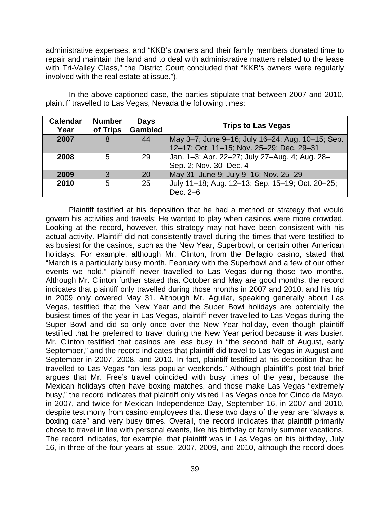administrative expenses, and "KKB's owners and their family members donated time to repair and maintain the land and to deal with administrative matters related to the lease with Tri-Valley Glass," the District Court concluded that "KKB's owners were regularly involved with the real estate at issue.").

| <b>Calendar</b><br>Year | <b>Number</b><br>of Trips | <b>Days</b><br><b>Gambled</b> | <b>Trips to Las Vegas</b>                                                                     |
|-------------------------|---------------------------|-------------------------------|-----------------------------------------------------------------------------------------------|
| 2007                    | 8                         | 44                            | May 3-7; June 9-16; July 16-24; Aug. 10-15; Sep.<br>12-17; Oct. 11-15; Nov. 25-29; Dec. 29-31 |
| 2008                    | 5                         | 29                            | Jan. 1-3; Apr. 22-27; July 27-Aug. 4; Aug. 28-<br>Sep. 2; Nov. 30-Dec. 4                      |
| 2009                    | 3                         | <b>20</b>                     | May 31-June 9; July 9-16; Nov. 25-29                                                          |
| 2010                    | 5                         | 25                            | July 11-18; Aug. 12-13; Sep. 15-19; Oct. 20-25;<br>Dec. 2-6                                   |

In the above-captioned case, the parties stipulate that between 2007 and 2010, plaintiff travelled to Las Vegas, Nevada the following times:

Plaintiff testified at his deposition that he had a method or strategy that would govern his activities and travels: He wanted to play when casinos were more crowded. Looking at the record, however, this strategy may not have been consistent with his actual activity. Plaintiff did not consistently travel during the times that were testified to as busiest for the casinos, such as the New Year, Superbowl, or certain other American holidays. For example, although Mr. Clinton, from the Bellagio casino, stated that "March is a particularly busy month, February with the Superbowl and a few of our other events we hold," plaintiff never travelled to Las Vegas during those two months. Although Mr. Clinton further stated that October and May are good months, the record indicates that plaintiff only travelled during those months in 2007 and 2010, and his trip in 2009 only covered May 31. Although Mr. Aguilar, speaking generally about Las Vegas, testified that the New Year and the Super Bowl holidays are potentially the busiest times of the year in Las Vegas, plaintiff never travelled to Las Vegas during the Super Bowl and did so only once over the New Year holiday, even though plaintiff testified that he preferred to travel during the New Year period because it was busier. Mr. Clinton testified that casinos are less busy in "the second half of August, early September," and the record indicates that plaintiff did travel to Las Vegas in August and September in 2007, 2008, and 2010. In fact, plaintiff testified at his deposition that he travelled to Las Vegas "on less popular weekends." Although plaintiff's post-trial brief argues that Mr. Free's travel coincided with busy times of the year, because the Mexican holidays often have boxing matches, and those make Las Vegas "extremely busy," the record indicates that plaintiff only visited Las Vegas once for Cinco de Mayo, in 2007, and twice for Mexican Independence Day, September 16, in 2007 and 2010, despite testimony from casino employees that these two days of the year are "always a boxing date" and very busy times. Overall, the record indicates that plaintiff primarily chose to travel in line with personal events, like his birthday or family summer vacations. The record indicates, for example, that plaintiff was in Las Vegas on his birthday, July 16, in three of the four years at issue, 2007, 2009, and 2010, although the record does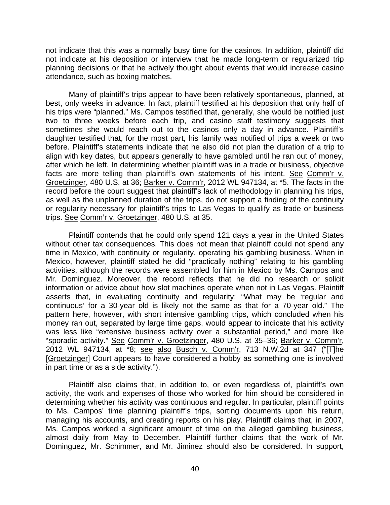not indicate that this was a normally busy time for the casinos. In addition, plaintiff did not indicate at his deposition or interview that he made long-term or regularized trip planning decisions or that he actively thought about events that would increase casino attendance, such as boxing matches.

Many of plaintiff's trips appear to have been relatively spontaneous, planned, at best, only weeks in advance. In fact, plaintiff testified at his deposition that only half of his trips were "planned." Ms. Campos testified that, generally, she would be notified just two to three weeks before each trip, and casino staff testimony suggests that sometimes she would reach out to the casinos only a day in advance. Plaintiff's daughter testified that, for the most part, his family was notified of trips a week or two before. Plaintiff's statements indicate that he also did not plan the duration of a trip to align with key dates, but appears generally to have gambled until he ran out of money, after which he left. In determining whether plaintiff was in a trade or business, objective facts are more telling than plaintiff's own statements of his intent. See Comm'r v. Groetzinger, 480 U.S. at 36; Barker v. Comm'r, 2012 WL 947134, at \*5. The facts in the record before the court suggest that plaintiff's lack of methodology in planning his trips, as well as the unplanned duration of the trips, do not support a finding of the continuity or regularity necessary for plaintiff's trips to Las Vegas to qualify as trade or business trips. See Comm'r v. Groetzinger, 480 U.S. at 35.

Plaintiff contends that he could only spend 121 days a year in the United States without other tax consequences. This does not mean that plaintiff could not spend any time in Mexico, with continuity or regularity, operating his gambling business. When in Mexico, however, plaintiff stated he did "practically nothing" relating to his gambling activities, although the records were assembled for him in Mexico by Ms. Campos and Mr. Dominguez. Moreover, the record reflects that he did no research or solicit information or advice about how slot machines operate when not in Las Vegas. Plaintiff asserts that, in evaluating continuity and regularity: "What may be 'regular and continuous' for a 30-year old is likely not the same as that for a 70-year old." The pattern here, however, with short intensive gambling trips, which concluded when his money ran out, separated by large time gaps, would appear to indicate that his activity was less like "extensive business activity over a substantial period," and more like "sporadic activity." See Comm'r v. Groetzinger, 480 U.S. at 35-36; Barker v. Comm'r, 2012 WL 947134, at \*8; see also Busch v. Comm'r, 713 N.W.2d at 347 ("[T]he [Groetzinger] Court appears to have considered a hobby as something one is involved in part time or as a side activity.").

Plaintiff also claims that, in addition to, or even regardless of, plaintiff's own activity, the work and expenses of those who worked for him should be considered in determining whether his activity was continuous and regular. In particular, plaintiff points to Ms. Campos' time planning plaintiff's trips, sorting documents upon his return, managing his accounts, and creating reports on his play. Plaintiff claims that, in 2007, Ms. Campos worked a significant amount of time on the alleged gambling business, almost daily from May to December. Plaintiff further claims that the work of Mr. Dominguez, Mr. Schimmer, and Mr. Jiminez should also be considered. In support,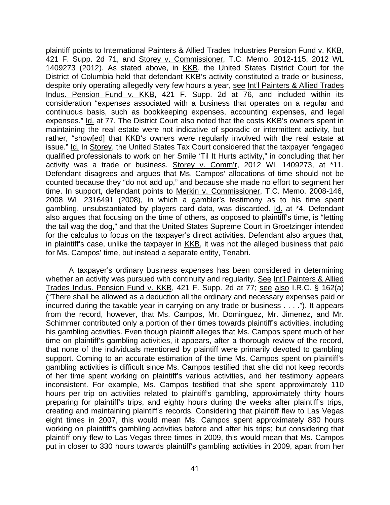plaintiff points to International Painters & Allied Trades Industries Pension Fund v. KKB, 421 F. Supp. 2d 71, and Storey v. Commissioner, T.C. Memo. 2012-115, 2012 WL 1409273 (2012). As stated above, in KKB, the United States District Court for the District of Columbia held that defendant KKB's activity constituted a trade or business, despite only operating allegedly very few hours a year, see Int'l Painters & Allied Trades Indus. Pension Fund v. KKB, 421 F. Supp. 2d at 76, and included within its consideration "expenses associated with a business that operates on a regular and continuous basis, such as bookkeeping expenses, accounting expenses, and legal expenses." Id. at 77. The District Court also noted that the costs KKB's owners spent in maintaining the real estate were not indicative of sporadic or intermittent activity, but rather, "show[ed] that KKB's owners were regularly involved with the real estate at issue." Id. In Storey, the United States Tax Court considered that the taxpayer "engaged qualified professionals to work on her Smile 'Til It Hurts activity," in concluding that her activity was a trade or business. Storey v. Comm'r, 2012 WL 1409273, at \*11. Defendant disagrees and argues that Ms. Campos' allocations of time should not be counted because they "do not add up," and because she made no effort to segment her time. In support, defendant points to Merkin v. Commissioner, T.C. Memo. 2008-146, 2008 WL 2316491 (2008), in which a gambler's testimony as to his time spent gambling, unsubstantiated by players card data, was discarded. Id. at \*4. Defendant also argues that focusing on the time of others, as opposed to plaintiff's time, is "letting the tail wag the dog," and that the United States Supreme Court in Groetzinger intended for the calculus to focus on the taxpayer's direct activities. Defendant also argues that, in plaintiff's case, unlike the taxpayer in KKB, it was not the alleged business that paid for Ms. Campos' time, but instead a separate entity, Tenabri.

A taxpayer's ordinary business expenses has been considered in determining whether an activity was pursued with continuity and regularity. See Int'l Painters & Allied Trades Indus. Pension Fund v. KKB, 421 F. Supp. 2d at 77; see also I.R.C. § 162(a) ("There shall be allowed as a deduction all the ordinary and necessary expenses paid or incurred during the taxable year in carrying on any trade or business . . . ."). It appears from the record, however, that Ms. Campos, Mr. Dominguez, Mr. Jimenez, and Mr. Schimmer contributed only a portion of their times towards plaintiff's activities, including his gambling activities. Even though plaintiff alleges that Ms. Campos spent much of her time on plaintiff's gambling activities, it appears, after a thorough review of the record, that none of the individuals mentioned by plaintiff were primarily devoted to gambling support. Coming to an accurate estimation of the time Ms. Campos spent on plaintiff's gambling activities is difficult since Ms. Campos testified that she did not keep records of her time spent working on plaintiff's various activities, and her testimony appears inconsistent. For example, Ms. Campos testified that she spent approximately 110 hours per trip on activities related to plaintiff's gambling, approximately thirty hours preparing for plaintiff's trips, and eighty hours during the weeks after plaintiff's trips, creating and maintaining plaintiff's records. Considering that plaintiff flew to Las Vegas eight times in 2007, this would mean Ms. Campos spent approximately 880 hours working on plaintiff's gambling activities before and after his trips; but considering that plaintiff only flew to Las Vegas three times in 2009, this would mean that Ms. Campos put in closer to 330 hours towards plaintiff's gambling activities in 2009, apart from her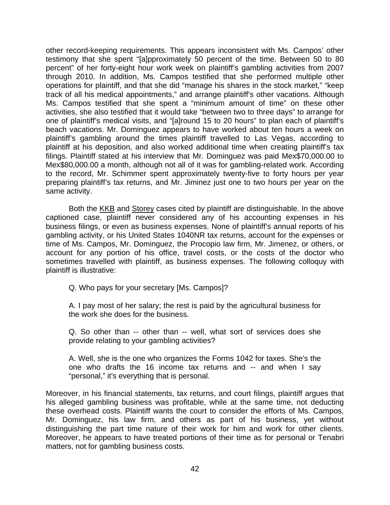other record-keeping requirements. This appears inconsistent with Ms. Campos' other testimony that she spent "[a]pproximately 50 percent of the time. Between 50 to 80 percent" of her forty-eight hour work week on plaintiff's gambling activities from 2007 through 2010. In addition, Ms. Campos testified that she performed multiple other operations for plaintiff, and that she did "manage his shares in the stock market," "keep track of all his medical appointments," and arrange plaintiff's other vacations. Although Ms. Campos testified that she spent a "minimum amount of time" on these other activities, she also testified that it would take "between two to three days" to arrange for one of plaintiff's medical visits, and "[a]round 15 to 20 hours" to plan each of plaintiff's beach vacations. Mr. Dominguez appears to have worked about ten hours a week on plaintiff's gambling around the times plaintiff travelled to Las Vegas, according to plaintiff at his deposition, and also worked additional time when creating plaintiff's tax filings. Plaintiff stated at his interview that Mr. Dominguez was paid Mex\$70,000.00 to Mex\$80,000.00 a month, although not all of it was for gambling-related work. According to the record, Mr. Schimmer spent approximately twenty-five to forty hours per year preparing plaintiff's tax returns, and Mr. Jiminez just one to two hours per year on the same activity.

Both the KKB and Storey cases cited by plaintiff are distinguishable. In the above captioned case, plaintiff never considered any of his accounting expenses in his business filings, or even as business expenses. None of plaintiff's annual reports of his gambling activity, or his United States 1040NR tax returns, account for the expenses or time of Ms. Campos, Mr. Dominguez, the Procopio law firm, Mr. Jimenez, or others, or account for any portion of his office, travel costs, or the costs of the doctor who sometimes travelled with plaintiff, as business expenses. The following colloquy with plaintiff is illustrative:

Q. Who pays for your secretary [Ms. Campos]?

A. I pay most of her salary; the rest is paid by the agricultural business for the work she does for the business.

Q. So other than -- other than -- well, what sort of services does she provide relating to your gambling activities?

A. Well, she is the one who organizes the Forms 1042 for taxes. She's the one who drafts the 16 income tax returns and -- and when I say "personal," it's everything that is personal.

Moreover, in his financial statements, tax returns, and court filings, plaintiff argues that his alleged gambling business was profitable, while at the same time, not deducting these overhead costs. Plaintiff wants the court to consider the efforts of Ms. Campos, Mr. Dominguez, his law firm, and others as part of his business, yet without distinguishing the part time nature of their work for him and work for other clients. Moreover, he appears to have treated portions of their time as for personal or Tenabri matters, not for gambling business costs.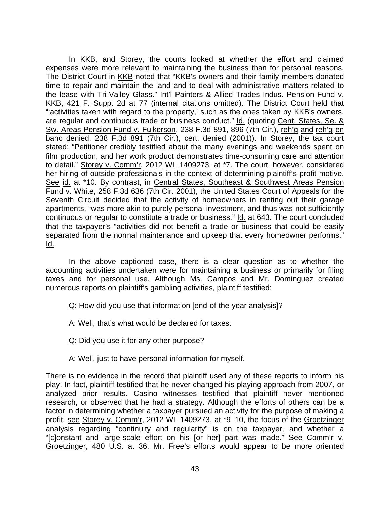In KKB, and Storey, the courts looked at whether the effort and claimed expenses were more relevant to maintaining the business than for personal reasons. The District Court in KKB noted that "KKB's owners and their family members donated time to repair and maintain the land and to deal with administrative matters related to the lease with Tri-Valley Glass." Int'l Painters & Allied Trades Indus. Pension Fund v. KKB, 421 F. Supp. 2d at 77 (internal citations omitted). The District Court held that "'activities taken with regard to the property,' such as the ones taken by KKB's owners, are regular and continuous trade or business conduct." Id. (quoting Cent. States, Se. & Sw. Areas Pension Fund v. Fulkerson, 238 F.3d 891, 896 (7th Cir.), reh'g and reh'g en banc denied, 238 F.3d 891 (7th Cir.), cert. denied (2001)). In Storey, the tax court stated: "Petitioner credibly testified about the many evenings and weekends spent on film production, and her work product demonstrates time-consuming care and attention to detail." Storey v. Comm'r, 2012 WL 1409273, at \*7. The court, however, considered her hiring of outside professionals in the context of determining plaintiff's profit motive. See id. at \*10. By contrast, in Central States, Southeast & Southwest Areas Pension Fund v. White, 258 F.3d 636 (7th Cir. 2001), the United States Court of Appeals for the Seventh Circuit decided that the activity of homeowners in renting out their garage apartments, "was more akin to purely personal investment, and thus was not sufficiently continuous or regular to constitute a trade or business." Id. at 643. The court concluded that the taxpayer's "activities did not benefit a trade or business that could be easily separated from the normal maintenance and upkeep that every homeowner performs." Id.

In the above captioned case, there is a clear question as to whether the accounting activities undertaken were for maintaining a business or primarily for filing taxes and for personal use. Although Ms. Campos and Mr. Dominguez created numerous reports on plaintiff's gambling activities, plaintiff testified:

- Q: How did you use that information [end-of-the-year analysis]?
- A: Well, that's what would be declared for taxes.
- Q: Did you use it for any other purpose?
- A: Well, just to have personal information for myself.

There is no evidence in the record that plaintiff used any of these reports to inform his play. In fact, plaintiff testified that he never changed his playing approach from 2007, or analyzed prior results. Casino witnesses testified that plaintiff never mentioned research, or observed that he had a strategy. Although the efforts of others can be a factor in determining whether a taxpayer pursued an activity for the purpose of making a profit, see Storey v. Comm'r, 2012 WL 1409273, at \*9–10, the focus of the Groetzinger analysis regarding "continuity and regularity" is on the taxpayer, and whether a "[clonstant and large-scale effort on his [or her] part was made." See Comm'r v. Groetzinger, 480 U.S. at 36. Mr. Free's efforts would appear to be more oriented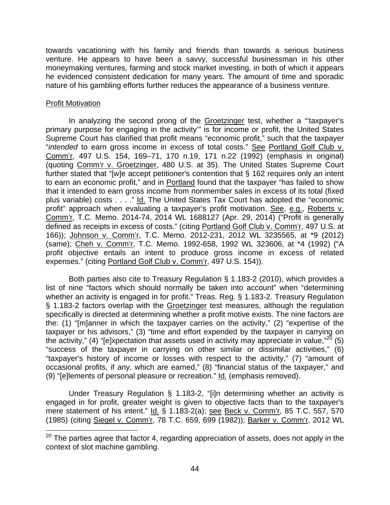towards vacationing with his family and friends than towards a serious business venture. He appears to have been a savvy, successful businessman in his other moneymaking ventures, farming and stock market investing, in both of which it appears he evidenced consistent dedication for many years. The amount of time and sporadic nature of his gambling efforts further reduces the appearance of a business venture.

## Profit Motivation

 $\overline{a}$ 

In analyzing the second prong of the Groetzinger test, whether a "taxpayer's primary purpose for engaging in the activity'" is for income or profit, the United States Supreme Court has clarified that profit means "economic profit," such that the taxpayer "*intended* to earn gross income in excess of total costs." See Portland Golf Club v. Comm'r, 497 U.S. 154, 169–71, 170 n.19, 171 n.22 (1992) (emphasis in original) (quoting Comm'r v. Groetzinger, 480 U.S. at 35). The United States Supreme Court further stated that "[w]e accept petitioner's contention that § 162 requires only an intent to earn an economic profit," and in Portland found that the taxpayer "has failed to show that it intended to earn gross income from nonmember sales in excess of its total (fixed plus variable) costs . . . ." Id. The United States Tax Court has adopted the "economic profit" approach when evaluating a taxpayer's profit motivation. See, e.g., Roberts v. Comm'r, T.C. Memo. 2014-74, 2014 WL 1688127 (Apr. 29, 2014) ("Profit is generally defined as receipts in excess of costs." (citing Portland Golf Club v. Comm'r, 497 U.S. at 166)); Johnson v. Comm'r, T.C. Memo. 2012-231, 2012 WL 3235565, at \*9 (2012) (same); Cheh v. Comm'r, T.C. Memo. 1992-658, 1992 WL 323606, at \*4 (1992) ("A profit objective entails an intent to produce gross income in excess of related expenses." (citing Portland Golf Club v. Comm'r, 497 U.S. 154)).

Both parties also cite to Treasury Regulation § 1.183-2 (2010), which provides a list of nine "factors which should normally be taken into account" when "determining whether an activity is engaged in for profit." Treas. Reg. § 1.183-2. Treasury Regulation § 1.183-2 factors overlap with the Groetzinger test measures, although the regulation specifically is directed at determining whether a profit motive exists. The nine factors are the: (1) "[m]anner in which the taxpayer carries on the activity," (2) "expertise of the taxpayer or his advisors," (3) "time and effort expended by the taxpayer in carrying on the activity," (4) "[e]xpectation that assets used in activity may appreciate in value," $^{20}$  (5) "success of the taxpayer in carrying on other similar or dissimilar activities," (6) "taxpayer's history of income or losses with respect to the activity," (7) "amount of occasional profits, if any, which are earned," (8) "financial status of the taxpayer," and (9) "[e]lements of personal pleasure or recreation." Id. (emphasis removed).

Under Treasury Regulation § 1.183-2, "[i]n determining whether an activity is engaged in for profit, greater weight is given to objective facts than to the taxpayer's mere statement of his intent." Id. § 1.183-2(a); see Beck v. Comm'r, 85 T.C. 557, 570 (1985) (citing Siegel v. Comm'r, 78 T.C. 659, 699 (1982)); Barker v. Comm'r, 2012 WL

 $20$  The parties agree that factor 4, regarding appreciation of assets, does not apply in the context of slot machine gambling.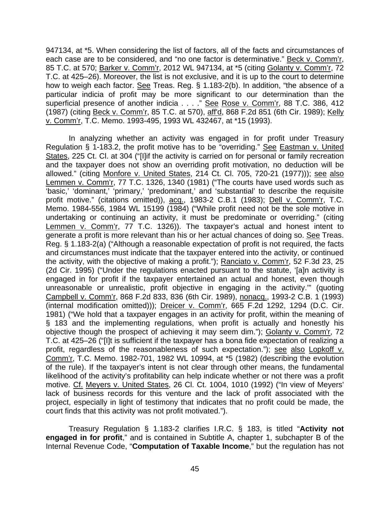947134, at \*5. When considering the list of factors, all of the facts and circumstances of each case are to be considered, and "no one factor is determinative." Beck v. Comm'r, 85 T.C. at 570; Barker v. Comm'r, 2012 WL 947134, at \*5 (citing Golanty v. Comm'r, 72 T.C. at 425–26). Moreover, the list is not exclusive, and it is up to the court to determine how to weigh each factor. See Treas. Reg. § 1.183-2(b). In addition, "the absence of a particular indicia of profit may be more significant to our determination than the superficial presence of another indicia . . . . " See Rose v. Comm'r, 88 T.C. 386, 412 (1987) (citing Beck v. Comm'r, 85 T.C. at 570), aff'd, 868 F.2d 851 (6th Cir. 1989); Kelly v. Comm'r, T.C. Memo. 1993-495, 1993 WL 432467, at \*15 (1993).

In analyzing whether an activity was engaged in for profit under Treasury Regulation § 1-183.2, the profit motive has to be "overriding." See Eastman v. United States, 225 Ct. Cl. at 304 ("[I]if the activity is carried on for personal or family recreation and the taxpayer does not show an overriding profit motivation, no deduction will be allowed." (citing Monfore v. United States, 214 Ct. Cl. 705, 720-21 (1977))); see also Lemmen v. Comm'r, 77 T.C. 1326, 1340 (1981) ("The courts have used words such as 'basic,' 'dominant,' 'primary,' 'predominant,' and 'substantial' to describe the requisite profit motive." (citations omitted)), acq., 1983-2 C.B.1 (1983); Dell v. Comm'r, T.C. Memo. 1984-556, 1984 WL 15199 (1984) ("While profit need not be the sole motive in undertaking or continuing an activity, it must be predominate or overriding." (citing Lemmen v. Comm'r, 77 T.C. 1326)). The taxpayer's actual and honest intent to generate a profit is more relevant than his or her actual chances of doing so. See Treas. Reg. § 1.183-2(a) ("Although a reasonable expectation of profit is not required, the facts and circumstances must indicate that the taxpayer entered into the activity, or continued the activity, with the objective of making a profit."); Ranciato v. Comm'r, 52 F.3d 23, 25 (2d Cir. 1995) ("Under the regulations enacted pursuant to the statute, '[a]n activity is engaged in for profit if the taxpayer entertained an actual and honest, even though unreasonable or unrealistic, profit objective in engaging in the activity.'" (quoting Campbell v. Comm'r, 868 F.2d 833, 836 (6th Cir. 1989), nonacq., 1993-2 C.B. 1 (1993) (internal modification omitted))); Dreicer v. Comm'r, 665 F.2d 1292, 1294 (D.C. Cir. 1981) ("We hold that a taxpayer engages in an activity for profit, within the meaning of § 183 and the implementing regulations, when profit is actually and honestly his objective though the prospect of achieving it may seem dim."); Golanty v. Comm'r, 72 T.C. at 425–26 ("[I]t is sufficient if the taxpayer has a bona fide expectation of realizing a profit, regardless of the reasonableness of such expectation."); see also Lopkoff v. Comm'r, T.C. Memo. 1982-701, 1982 WL 10994, at \*5 (1982) (describing the evolution of the rule). If the taxpayer's intent is not clear through other means, the fundamental likelihood of the activity's profitability can help indicate whether or not there was a profit motive. Cf. Meyers v. United States, 26 Cl. Ct. 1004, 1010 (1992) ("In view of Meyers' lack of business records for this venture and the lack of profit associated with the project, especially in light of testimony that indicates that no profit could be made, the court finds that this activity was not profit motivated.").

Treasury Regulation § 1.183-2 clarifies I.R.C. § 183, is titled "**Activity not engaged in for profit**," and is contained in Subtitle A, chapter 1, subchapter B of the Internal Revenue Code, "**Computation of Taxable Income**," but the regulation has not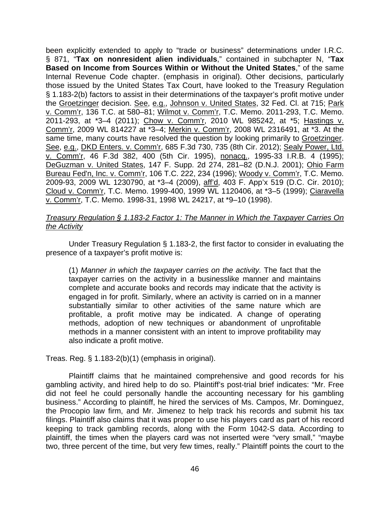been explicitly extended to apply to "trade or business" determinations under I.R.C. § 871, "**Tax on nonresident alien individuals**," contained in subchapter N, "**Tax Based on Income from Sources Within or Without the United States**," of the same Internal Revenue Code chapter. (emphasis in original). Other decisions, particularly those issued by the United States Tax Court, have looked to the Treasury Regulation § 1.183-2(b) factors to assist in their determinations of the taxpayer's profit motive under the Groetzinger decision. See, e.g., Johnson v. United States, 32 Fed. Cl. at 715; Park v. Comm'r, 136 T.C. at 580–81; Wilmot v. Comm'r, T.C. Memo. 2011-293, T.C. Memo. 2011-293, at \*3-4 (2011); Chow v. Comm'r, 2010 WL 985242, at \*5; Hastings v. Comm'r, 2009 WL 814227 at \*3–4; Merkin v. Comm'r, 2008 WL 2316491, at \*3. At the same time, many courts have resolved the question by looking primarily to Groetzinger. See, e.g., DKD Enters. v. Comm'r, 685 F.3d 730, 735 (8th Cir. 2012); Sealy Power, Ltd. v. Comm'r, 46 F.3d 382, 400 (5th Cir. 1995), nonacq., 1995-33 I.R.B. 4 (1995); DeGuzman v. United States, 147 F. Supp. 2d 274, 281–82 (D.N.J. 2001); Ohio Farm Bureau Fed'n, Inc. v. Comm'r, 106 T.C. 222, 234 (1996); Woody v. Comm'r, T.C. Memo. 2009-93, 2009 WL 1230790, at \*3–4 (2009), aff'd, 403 F. App'x 519 (D.C. Cir. 2010); Cloud v. Comm'r, T.C. Memo. 1999-400, 1999 WL 1120406, at \*3–5 (1999); Ciaravella v. Comm'r, T.C. Memo. 1998-31, 1998 WL 24217, at \*9–10 (1998).

# *Treasury Regulation § 1.183-2 Factor 1: The Manner in Which the Taxpayer Carries On the Activity*

Under Treasury Regulation § 1.183-2, the first factor to consider in evaluating the presence of a taxpayer's profit motive is:

(1) *Manner in which the taxpayer carries on the activity.* The fact that the taxpayer carries on the activity in a businesslike manner and maintains complete and accurate books and records may indicate that the activity is engaged in for profit. Similarly, where an activity is carried on in a manner substantially similar to other activities of the same nature which are profitable, a profit motive may be indicated. A change of operating methods, adoption of new techniques or abandonment of unprofitable methods in a manner consistent with an intent to improve profitability may also indicate a profit motive.

Treas. Reg. § 1.183-2(b)(1) (emphasis in original).

Plaintiff claims that he maintained comprehensive and good records for his gambling activity, and hired help to do so. Plaintiff's post-trial brief indicates: "Mr. Free did not feel he could personally handle the accounting necessary for his gambling business." According to plaintiff, he hired the services of Ms. Campos, Mr. Dominguez, the Procopio law firm, and Mr. Jimenez to help track his records and submit his tax filings. Plaintiff also claims that it was proper to use his players card as part of his record keeping to track gambling records, along with the Form 1042-S data. According to plaintiff, the times when the players card was not inserted were "very small," "maybe two, three percent of the time, but very few times, really." Plaintiff points the court to the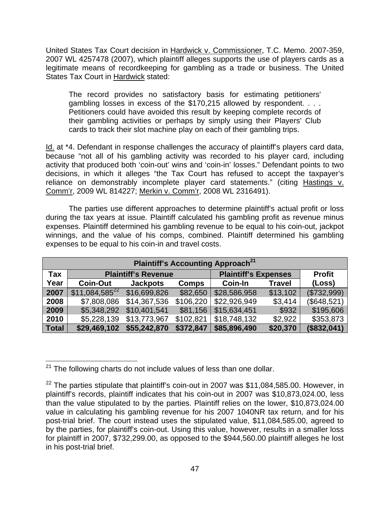United States Tax Court decision in Hardwick v. Commissioner, T.C. Memo. 2007-359, 2007 WL 4257478 (2007), which plaintiff alleges supports the use of players cards as a legitimate means of recordkeeping for gambling as a trade or business. The United States Tax Court in Hardwick stated:

The record provides no satisfactory basis for estimating petitioners' gambling losses in excess of the \$170,215 allowed by respondent. . . . Petitioners could have avoided this result by keeping complete records of their gambling activities or perhaps by simply using their Players' Club cards to track their slot machine play on each of their gambling trips.

Id. at \*4. Defendant in response challenges the accuracy of plaintiff's players card data, because "not all of his gambling activity was recorded to his player card, including activity that produced both 'coin-out' wins and 'coin-in' losses." Defendant points to two decisions, in which it alleges "the Tax Court has refused to accept the taxpayer's reliance on demonstrably incomplete player card statements." (citing Hastings v. Comm'r, 2009 WL 814227; Merkin v. Comm'r, 2008 WL 2316491).

The parties use different approaches to determine plaintiff's actual profit or loss during the tax years at issue. Plaintiff calculated his gambling profit as revenue minus expenses. Plaintiff determined his gambling revenue to be equal to his coin-out, jackpot winnings, and the value of his comps, combined. Plaintiff determined his gambling expenses to be equal to his coin-in and travel costs.

| <b>Plaintiff's Accounting Approach<sup>21</sup></b> |                            |                 |              |                             |               |               |
|-----------------------------------------------------|----------------------------|-----------------|--------------|-----------------------------|---------------|---------------|
| Tax                                                 | <b>Plaintiff's Revenue</b> |                 |              | <b>Plaintiff's Expenses</b> |               | <b>Profit</b> |
| Year                                                | <b>Coin-Out</b>            | <b>Jackpots</b> | <b>Comps</b> | <b>Coin-In</b>              | <b>Travel</b> | (Loss)        |
| 2007                                                | $$11,084,585^{22}$         | \$16,699,826    | \$82,650     | \$28,586,958                | \$13,102      | (\$732,999)   |
| 2008                                                | \$7,808,086                | \$14,367,536    | \$106,220    | \$22,926,949                | \$3,414       | (\$648,521)   |
| 2009                                                | \$5,348,292                | \$10,401,541    | \$81,156     | \$15,634,451                | \$932         | \$195,606     |
| 2010                                                | \$5,228,139                | \$13,773,967    | \$102,821    | \$18,748,132                | \$2,922       | \$353,873     |
| <b>Total</b>                                        | \$29,469,102               | \$55,242,870    | \$372,847    | \$85,896,490                | \$20,370      | (\$832,041)   |

 $\overline{a}$  $21$  The following charts do not include values of less than one dollar.

 $22$  The parties stipulate that plaintiff's coin-out in 2007 was \$11,084,585.00. However, in plaintiff's records, plaintiff indicates that his coin-out in 2007 was \$10,873,024.00, less than the value stipulated to by the parties. Plaintiff relies on the lower, \$10,873,024.00 value in calculating his gambling revenue for his 2007 1040NR tax return, and for his post-trial brief. The court instead uses the stipulated value, \$11,084,585.00, agreed to by the parties, for plaintiff's coin-out. Using this value, however, results in a smaller loss for plaintiff in 2007, \$732,299.00, as opposed to the \$944,560.00 plaintiff alleges he lost in his post-trial brief.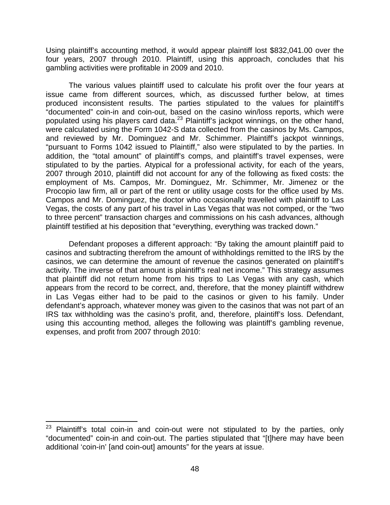Using plaintiff's accounting method, it would appear plaintiff lost \$832,041.00 over the four years, 2007 through 2010. Plaintiff, using this approach, concludes that his gambling activities were profitable in 2009 and 2010.

The various values plaintiff used to calculate his profit over the four years at issue came from different sources, which, as discussed further below, at times produced inconsistent results. The parties stipulated to the values for plaintiff's "documented" coin-in and coin-out, based on the casino win/loss reports, which were populated using his players card data.<sup>23</sup> Plaintiff's jackpot winnings, on the other hand, were calculated using the Form 1042-S data collected from the casinos by Ms. Campos, and reviewed by Mr. Dominguez and Mr. Schimmer. Plaintiff's jackpot winnings, "pursuant to Forms 1042 issued to Plaintiff," also were stipulated to by the parties. In addition, the "total amount" of plaintiff's comps, and plaintiff's travel expenses, were stipulated to by the parties. Atypical for a professional activity, for each of the years, 2007 through 2010, plaintiff did not account for any of the following as fixed costs: the employment of Ms. Campos, Mr. Dominguez, Mr. Schimmer, Mr. Jimenez or the Procopio law firm, all or part of the rent or utility usage costs for the office used by Ms. Campos and Mr. Dominguez, the doctor who occasionally travelled with plaintiff to Las Vegas, the costs of any part of his travel in Las Vegas that was not comped, or the "two to three percent" transaction charges and commissions on his cash advances, although plaintiff testified at his deposition that "everything, everything was tracked down."

 Defendant proposes a different approach: "By taking the amount plaintiff paid to casinos and subtracting therefrom the amount of withholdings remitted to the IRS by the casinos, we can determine the amount of revenue the casinos generated on plaintiff's activity. The inverse of that amount is plaintiff's real net income." This strategy assumes that plaintiff did not return home from his trips to Las Vegas with any cash, which appears from the record to be correct, and, therefore, that the money plaintiff withdrew in Las Vegas either had to be paid to the casinos or given to his family. Under defendant's approach, whatever money was given to the casinos that was not part of an IRS tax withholding was the casino's profit, and, therefore, plaintiff's loss. Defendant, using this accounting method, alleges the following was plaintiff's gambling revenue, expenses, and profit from 2007 through 2010:

 $\overline{a}$ 

Plaintiff's total coin-in and coin-out were not stipulated to by the parties, only "documented" coin-in and coin-out. The parties stipulated that "[t]here may have been additional 'coin-in' [and coin-out] amounts" for the years at issue.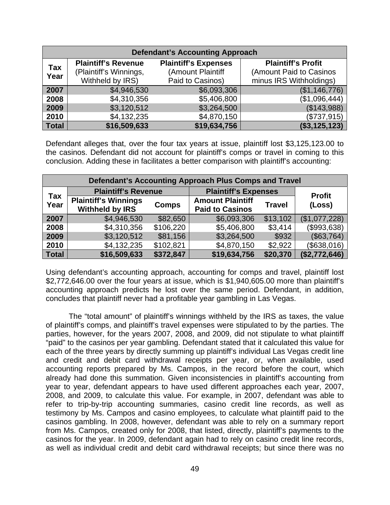| <b>Defendant's Accounting Approach</b> |                                                                          |                                                                      |                                                                                 |  |  |  |
|----------------------------------------|--------------------------------------------------------------------------|----------------------------------------------------------------------|---------------------------------------------------------------------------------|--|--|--|
| <b>Tax</b><br>Year                     | <b>Plaintiff's Revenue</b><br>(Plaintiff's Winnings,<br>Withheld by IRS) | <b>Plaintiff's Expenses</b><br>(Amount Plaintiff<br>Paid to Casinos) | <b>Plaintiff's Profit</b><br>(Amount Paid to Casinos<br>minus IRS Withholdings) |  |  |  |
| 2007                                   | \$4,946,530                                                              | \$6,093,306                                                          | (\$1,146,776)                                                                   |  |  |  |
| 2008                                   | \$4,310,356                                                              | \$5,406,800                                                          | (\$1,096,444)                                                                   |  |  |  |
| 2009                                   | \$3,120,512                                                              | \$3,264,500                                                          | (\$143,988)                                                                     |  |  |  |
| 2010                                   | \$4,132,235                                                              | \$4,870,150                                                          | (\$737,915)                                                                     |  |  |  |
| <b>Total</b>                           | \$16,509,633                                                             | \$19,634,756                                                         | (\$3,125,123)                                                                   |  |  |  |

Defendant alleges that, over the four tax years at issue, plaintiff lost \$3,125,123.00 to the casinos. Defendant did not account for plaintiff's comps or travel in coming to this conclusion. Adding these in facilitates a better comparison with plaintiff's accounting:

| Defendant's Accounting Approach Plus Comps and Travel |                                                       |              |                                                   |               |                         |  |
|-------------------------------------------------------|-------------------------------------------------------|--------------|---------------------------------------------------|---------------|-------------------------|--|
|                                                       | <b>Plaintiff's Revenue</b>                            |              | <b>Plaintiff's Expenses</b>                       |               |                         |  |
| <b>Tax</b><br>Year                                    | <b>Plaintiff's Winnings</b><br><b>Withheld by IRS</b> | <b>Comps</b> | <b>Amount Plaintiff</b><br><b>Paid to Casinos</b> | <b>Travel</b> | <b>Profit</b><br>(Loss) |  |
| 2007                                                  | \$4,946,530                                           | \$82,650     | \$6,093,306                                       | \$13,102      | (\$1,077,228)           |  |
| 2008                                                  | \$4,310,356                                           | \$106,220    | \$5,406,800                                       | \$3,414       | (\$993,638)             |  |
| 2009                                                  | \$3,120,512                                           | \$81,156     | \$3,264,500                                       | \$932         | (\$63,764)              |  |
| 2010                                                  | \$4,132,235                                           | \$102,821    | \$4,870,150                                       | \$2,922       | (\$638,016)             |  |
| <b>Total</b>                                          | \$16,509,633                                          | \$372,847    | \$19,634,756                                      | \$20,370      | (\$2,772,646)           |  |

Using defendant's accounting approach, accounting for comps and travel, plaintiff lost \$2,772,646.00 over the four years at issue, which is \$1,940,605.00 more than plaintiff's accounting approach predicts he lost over the same period. Defendant, in addition, concludes that plaintiff never had a profitable year gambling in Las Vegas.

 The "total amount" of plaintiff's winnings withheld by the IRS as taxes, the value of plaintiff's comps, and plaintiff's travel expenses were stipulated to by the parties. The parties, however, for the years 2007, 2008, and 2009, did not stipulate to what plaintiff "paid" to the casinos per year gambling. Defendant stated that it calculated this value for each of the three years by directly summing up plaintiff's individual Las Vegas credit line and credit and debit card withdrawal receipts per year, or, when available, used accounting reports prepared by Ms. Campos, in the record before the court, which already had done this summation. Given inconsistencies in plaintiff's accounting from year to year, defendant appears to have used different approaches each year, 2007, 2008, and 2009, to calculate this value. For example, in 2007, defendant was able to refer to trip-by-trip accounting summaries, casino credit line records, as well as testimony by Ms. Campos and casino employees, to calculate what plaintiff paid to the casinos gambling. In 2008, however, defendant was able to rely on a summary report from Ms. Campos, created only for 2008, that listed, directly, plaintiff's payments to the casinos for the year. In 2009, defendant again had to rely on casino credit line records, as well as individual credit and debit card withdrawal receipts; but since there was no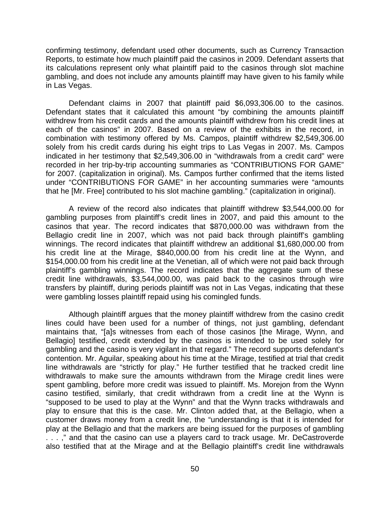confirming testimony, defendant used other documents, such as Currency Transaction Reports, to estimate how much plaintiff paid the casinos in 2009. Defendant asserts that its calculations represent only what plaintiff paid to the casinos through slot machine gambling, and does not include any amounts plaintiff may have given to his family while in Las Vegas.

Defendant claims in 2007 that plaintiff paid \$6,093,306.00 to the casinos. Defendant states that it calculated this amount "by combining the amounts plaintiff withdrew from his credit cards and the amounts plaintiff withdrew from his credit lines at each of the casinos" in 2007. Based on a review of the exhibits in the record, in combination with testimony offered by Ms. Campos, plaintiff withdrew \$2,549,306.00 solely from his credit cards during his eight trips to Las Vegas in 2007. Ms. Campos indicated in her testimony that \$2,549,306.00 in "withdrawals from a credit card" were recorded in her trip-by-trip accounting summaries as "CONTRIBUTIONS FOR GAME" for 2007. (capitalization in original). Ms. Campos further confirmed that the items listed under "CONTRIBUTIONS FOR GAME" in her accounting summaries were "amounts that he [Mr. Free] contributed to his slot machine gambling." (capitalization in original).

A review of the record also indicates that plaintiff withdrew \$3,544,000.00 for gambling purposes from plaintiff's credit lines in 2007, and paid this amount to the casinos that year. The record indicates that \$870,000.00 was withdrawn from the Bellagio credit line in 2007, which was not paid back through plaintiff's gambling winnings. The record indicates that plaintiff withdrew an additional \$1,680,000.00 from his credit line at the Mirage, \$840,000.00 from his credit line at the Wynn, and \$154,000.00 from his credit line at the Venetian, all of which were not paid back through plaintiff's gambling winnings. The record indicates that the aggregate sum of these credit line withdrawals, \$3,544,000.00, was paid back to the casinos through wire transfers by plaintiff, during periods plaintiff was not in Las Vegas, indicating that these were gambling losses plaintiff repaid using his comingled funds.

Although plaintiff argues that the money plaintiff withdrew from the casino credit lines could have been used for a number of things, not just gambling, defendant maintains that, "[a]s witnesses from each of those casinos [the Mirage, Wynn, and Bellagio] testified, credit extended by the casinos is intended to be used solely for gambling and the casino is very vigilant in that regard." The record supports defendant's contention. Mr. Aguilar, speaking about his time at the Mirage, testified at trial that credit line withdrawals are "strictly for play." He further testified that he tracked credit line withdrawals to make sure the amounts withdrawn from the Mirage credit lines were spent gambling, before more credit was issued to plaintiff. Ms. Morejon from the Wynn casino testified, similarly, that credit withdrawn from a credit line at the Wynn is "supposed to be used to play at the Wynn" and that the Wynn tracks withdrawals and play to ensure that this is the case. Mr. Clinton added that, at the Bellagio, when a customer draws money from a credit line, the "understanding is that it is intended for play at the Bellagio and that the markers are being issued for the purposes of gambling ...," and that the casino can use a players card to track usage. Mr. DeCastroverde also testified that at the Mirage and at the Bellagio plaintiff's credit line withdrawals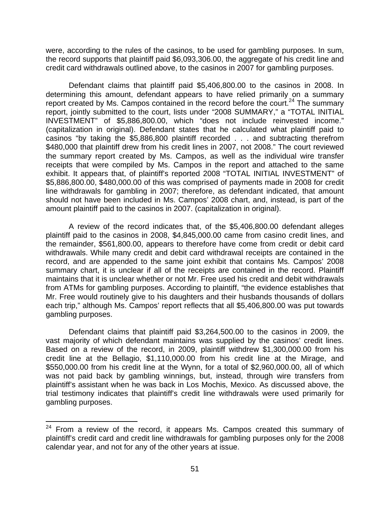were, according to the rules of the casinos, to be used for gambling purposes. In sum, the record supports that plaintiff paid \$6,093,306.00, the aggregate of his credit line and credit card withdrawals outlined above, to the casinos in 2007 for gambling purposes.

Defendant claims that plaintiff paid \$5,406,800.00 to the casinos in 2008. In determining this amount, defendant appears to have relied primarily on a summary report created by Ms. Campos contained in the record before the court.<sup>24</sup> The summary report, jointly submitted to the court, lists under "2008 SUMMARY," a "TOTAL INITIAL INVESTMENT" of \$5,886,800.00, which "does not include reinvested income." (capitalization in original). Defendant states that he calculated what plaintiff paid to casinos "by taking the \$5,886,800 plaintiff recorded . . . and subtracting therefrom \$480,000 that plaintiff drew from his credit lines in 2007, not 2008." The court reviewed the summary report created by Ms. Campos, as well as the individual wire transfer receipts that were compiled by Ms. Campos in the report and attached to the same exhibit. It appears that, of plaintiff's reported 2008 "TOTAL INITIAL INVESTMENT" of \$5,886,800.00, \$480,000.00 of this was comprised of payments made in 2008 for credit line withdrawals for gambling in 2007; therefore, as defendant indicated, that amount should not have been included in Ms. Campos' 2008 chart, and, instead, is part of the amount plaintiff paid to the casinos in 2007. (capitalization in original).

A review of the record indicates that, of the \$5,406,800.00 defendant alleges plaintiff paid to the casinos in 2008, \$4,845,000.00 came from casino credit lines, and the remainder, \$561,800.00, appears to therefore have come from credit or debit card withdrawals. While many credit and debit card withdrawal receipts are contained in the record, and are appended to the same joint exhibit that contains Ms. Campos' 2008 summary chart, it is unclear if all of the receipts are contained in the record. Plaintiff maintains that it is unclear whether or not Mr. Free used his credit and debit withdrawals from ATMs for gambling purposes. According to plaintiff, "the evidence establishes that Mr. Free would routinely give to his daughters and their husbands thousands of dollars each trip," although Ms. Campos' report reflects that all \$5,406,800.00 was put towards gambling purposes.

Defendant claims that plaintiff paid \$3,264,500.00 to the casinos in 2009, the vast majority of which defendant maintains was supplied by the casinos' credit lines. Based on a review of the record, in 2009, plaintiff withdrew \$1,300,000.00 from his credit line at the Bellagio, \$1,110,000.00 from his credit line at the Mirage, and \$550,000.00 from his credit line at the Wynn, for a total of \$2,960,000.00, all of which was not paid back by gambling winnings, but, instead, through wire transfers from plaintiff's assistant when he was back in Los Mochis, Mexico. As discussed above, the trial testimony indicates that plaintiff's credit line withdrawals were used primarily for gambling purposes.

1

From a review of the record, it appears Ms. Campos created this summary of plaintiff's credit card and credit line withdrawals for gambling purposes only for the 2008 calendar year, and not for any of the other years at issue.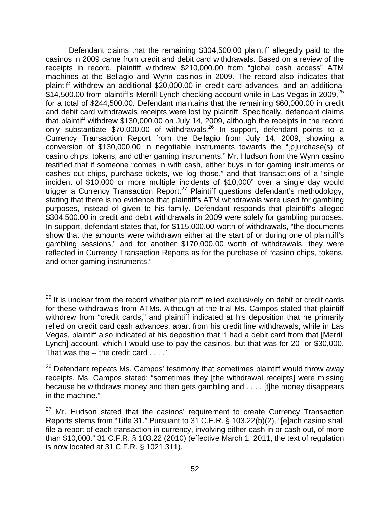Defendant claims that the remaining \$304,500.00 plaintiff allegedly paid to the casinos in 2009 came from credit and debit card withdrawals. Based on a review of the receipts in record, plaintiff withdrew \$210,000.00 from "global cash access" ATM machines at the Bellagio and Wynn casinos in 2009. The record also indicates that plaintiff withdrew an additional \$20,000.00 in credit card advances, and an additional \$14,500.00 from plaintiff's Merrill Lynch checking account while in Las Vegas in 2009, $^{25}$ for a total of \$244,500.00. Defendant maintains that the remaining \$60,000.00 in credit and debit card withdrawals receipts were lost by plaintiff. Specifically, defendant claims that plaintiff withdrew \$130,000.00 on July 14, 2009, although the receipts in the record only substantiate  $$70,000.00$  of withdrawals.<sup>26</sup> In support, defendant points to a Currency Transaction Report from the Bellagio from July 14, 2009, showing a conversion of \$130,000.00 in negotiable instruments towards the "[p]urchase(s) of casino chips, tokens, and other gaming instruments." Mr. Hudson from the Wynn casino testified that if someone "comes in with cash, either buys in for gaming instruments or cashes out chips, purchase tickets, we log those," and that transactions of a "single incident of \$10,000 or more multiple incidents of \$10,000" over a single day would trigger a Currency Transaction Report.<sup>27</sup> Plaintiff questions defendant's methodology, stating that there is no evidence that plaintiff's ATM withdrawals were used for gambling purposes, instead of given to his family. Defendant responds that plaintiff's alleged \$304,500.00 in credit and debit withdrawals in 2009 were solely for gambling purposes. In support, defendant states that, for \$115,000.00 worth of withdrawals, "the documents show that the amounts were withdrawn either at the start of or during one of plaintiff's gambling sessions," and for another \$170,000.00 worth of withdrawals, they were reflected in Currency Transaction Reports as for the purchase of "casino chips, tokens, and other gaming instruments."

 $\overline{a}$ 

 $25$  It is unclear from the record whether plaintiff relied exclusively on debit or credit cards for these withdrawals from ATMs. Although at the trial Ms. Campos stated that plaintiff withdrew from "credit cards," and plaintiff indicated at his deposition that he primarily relied on credit card cash advances, apart from his credit line withdrawals, while in Las Vegas, plaintiff also indicated at his deposition that "I had a debit card from that [Merrill Lynch] account, which I would use to pay the casinos, but that was for 20- or \$30,000. That was the -- the credit card . . . ."

 $26$  Defendant repeats Ms. Campos' testimony that sometimes plaintiff would throw away receipts. Ms. Campos stated: "sometimes they [the withdrawal receipts] were missing because he withdraws money and then gets gambling and . . . . [t]he money disappears in the machine."

 $27$  Mr. Hudson stated that the casinos' requirement to create Currency Transaction Reports stems from "Title 31." Pursuant to 31 C.F.R. § 103.22(b)(2), "[e]ach casino shall file a report of each transaction in currency, involving either cash in or cash out, of more than \$10,000." 31 C.F.R. § 103.22 (2010) (effective March 1, 2011, the text of regulation is now located at 31 C.F.R. § 1021.311).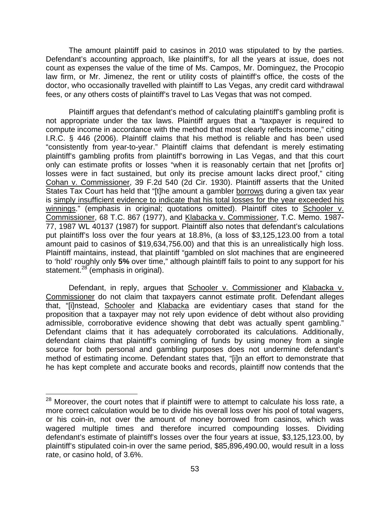The amount plaintiff paid to casinos in 2010 was stipulated to by the parties. Defendant's accounting approach, like plaintiff's, for all the years at issue, does not count as expenses the value of the time of Ms. Campos, Mr. Dominguez, the Procopio law firm, or Mr. Jimenez, the rent or utility costs of plaintiff's office, the costs of the doctor, who occasionally travelled with plaintiff to Las Vegas, any credit card withdrawal fees, or any others costs of plaintiff's travel to Las Vegas that was not comped.

 Plaintiff argues that defendant's method of calculating plaintiff's gambling profit is not appropriate under the tax laws. Plaintiff argues that a "taxpayer is required to compute income in accordance with the method that most clearly reflects income," citing I.R.C. § 446 (2006). Plaintiff claims that his method is reliable and has been used "consistently from year-to-year." Plaintiff claims that defendant is merely estimating plaintiff's gambling profits from plaintiff's borrowing in Las Vegas, and that this court only can estimate profits or losses "when it is reasonably certain that net [profits or] losses were in fact sustained, but only its precise amount lacks direct proof," citing Cohan v. Commissioner, 39 F.2d 540 (2d Cir. 1930). Plaintiff asserts that the United States Tax Court has held that "[t]he amount a gambler borrows during a given tax year is simply insufficient evidence to indicate that his total losses for the year exceeded his winnings." (emphasis in original; quotations omitted). Plaintiff cites to Schooler v. Commissioner, 68 T.C. 867 (1977), and Klabacka v. Commissioner, T.C. Memo. 1987- 77, 1987 WL 40137 (1987) for support. Plaintiff also notes that defendant's calculations put plaintiff's loss over the four years at 18.8%, (a loss of \$3,125,123.00 from a total amount paid to casinos of \$19,634,756.00) and that this is an unrealistically high loss. Plaintiff maintains, instead, that plaintiff "gambled on slot machines that are engineered to 'hold' roughly only **5%** over time," although plaintiff fails to point to any support for his statement.<sup>28</sup> (emphasis in original).

 Defendant, in reply, argues that Schooler v. Commissioner and Klabacka v. Commissioner do not claim that taxpayers cannot estimate profit. Defendant alleges that, "[i]nstead, Schooler and Klabacka are evidentiary cases that stand for the proposition that a taxpayer may not rely upon evidence of debt without also providing admissible, corroborative evidence showing that debt was actually spent gambling." Defendant claims that it has adequately corroborated its calculations. Additionally, defendant claims that plaintiff's comingling of funds by using money from a single source for both personal and gambling purposes does not undermine defendant's method of estimating income. Defendant states that, "[i]n an effort to demonstrate that he has kept complete and accurate books and records, plaintiff now contends that the

 $\overline{a}$ 

 $^{28}$  Moreover, the court notes that if plaintiff were to attempt to calculate his loss rate, a more correct calculation would be to divide his overall loss over his pool of total wagers, or his coin-in, not over the amount of money borrowed from casinos, which was wagered multiple times and therefore incurred compounding losses. Dividing defendant's estimate of plaintiff's losses over the four years at issue, \$3,125,123.00, by plaintiff's stipulated coin-in over the same period, \$85,896,490.00, would result in a loss rate, or casino hold, of 3.6%.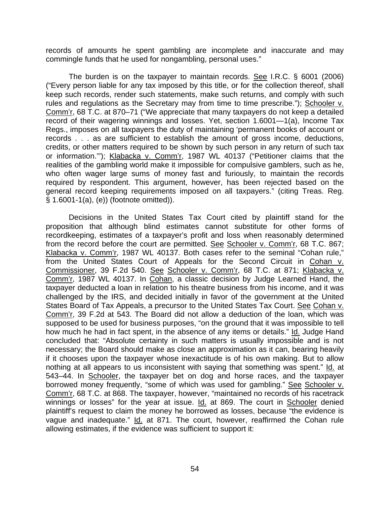records of amounts he spent gambling are incomplete and inaccurate and may commingle funds that he used for nongambling, personal uses."

The burden is on the taxpayer to maintain records. See I.R.C. § 6001 (2006) ("Every person liable for any tax imposed by this title, or for the collection thereof, shall keep such records, render such statements, make such returns, and comply with such rules and regulations as the Secretary may from time to time prescribe."); Schooler v. Comm'r, 68 T.C. at 870–71 ("We appreciate that many taxpayers do not keep a detailed record of their wagering winnings and losses. Yet, section 1.6001—1(a), Income Tax Regs., imposes on all taxpayers the duty of maintaining 'permanent books of account or records . . . as are sufficient to establish the amount of gross income, deductions, credits, or other matters required to be shown by such person in any return of such tax or information.'"); Klabacka v. Comm'r, 1987 WL 40137 ("Petitioner claims that the realities of the gambling world make it impossible for compulsive gamblers, such as he, who often wager large sums of money fast and furiously, to maintain the records required by respondent. This argument, however, has been rejected based on the general record keeping requirements imposed on all taxpayers." (citing Treas. Reg. § 1.6001-1(a), (e)) (footnote omitted)).

Decisions in the United States Tax Court cited by plaintiff stand for the proposition that although blind estimates cannot substitute for other forms of recordkeeping, estimates of a taxpayer's profit and loss when reasonably determined from the record before the court are permitted. See Schooler v. Comm'r, 68 T.C. 867; Klabacka v. Comm'r, 1987 WL 40137. Both cases refer to the seminal "Cohan rule," from the United States Court of Appeals for the Second Circuit in Cohan v. Commissioner, 39 F.2d 540. See Schooler v. Comm'r, 68 T.C. at 871; Klabacka v. Comm'r, 1987 WL 40137. In Cohan, a classic decision by Judge Learned Hand, the taxpayer deducted a loan in relation to his theatre business from his income, and it was challenged by the IRS, and decided initially in favor of the government at the United States Board of Tax Appeals, a precursor to the United States Tax Court. See Cohan v. Comm'r, 39 F.2d at 543. The Board did not allow a deduction of the loan, which was supposed to be used for business purposes, "on the ground that it was impossible to tell how much he had in fact spent, in the absence of any items or details." Id. Judge Hand concluded that: "Absolute certainty in such matters is usually impossible and is not necessary; the Board should make as close an approximation as it can, bearing heavily if it chooses upon the taxpayer whose inexactitude is of his own making. But to allow nothing at all appears to us inconsistent with saying that something was spent." Id. at 543–44. In Schooler, the taxpayer bet on dog and horse races, and the taxpayer borrowed money frequently, "some of which was used for gambling." See Schooler v. Comm'r, 68 T.C. at 868. The taxpayer, however, "maintained no records of his racetrack winnings or losses" for the year at issue. Id. at 869. The court in Schooler denied plaintiff's request to claim the money he borrowed as losses, because "the evidence is vague and inadequate." Id. at 871. The court, however, reaffirmed the Cohan rule allowing estimates, if the evidence was sufficient to support it: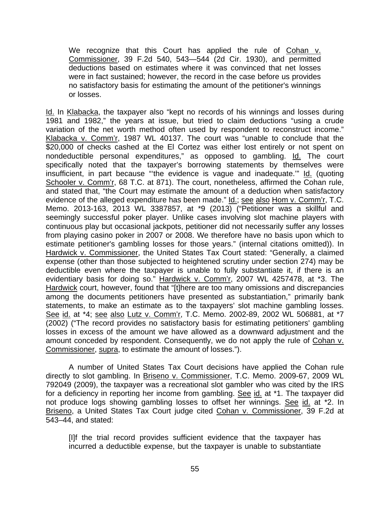We recognize that this Court has applied the rule of Cohan v. Commissioner, 39 F.2d 540, 543—544 (2d Cir. 1930), and permitted deductions based on estimates where it was convinced that net losses were in fact sustained; however, the record in the case before us provides no satisfactory basis for estimating the amount of the petitioner's winnings or losses.

Id. In Klabacka, the taxpayer also "kept no records of his winnings and losses during 1981 and 1982," the years at issue, but tried to claim deductions "using a crude variation of the net worth method often used by respondent to reconstruct income." Klabacka v. Comm'r, 1987 WL 40137. The court was "unable to conclude that the \$20,000 of checks cashed at the El Cortez was either lost entirely or not spent on nondeductible personal expenditures," as opposed to gambling. Id. The court specifically noted that the taxpayer's borrowing statements by themselves were insufficient, in part because "'the evidence is vague and inadequate.'" Id. (quoting Schooler v. Comm'r, 68 T.C. at 871). The court, nonetheless, affirmed the Cohan rule, and stated that, "the Court may estimate the amount of a deduction when satisfactory evidence of the alleged expenditure has been made." Id.; see also Hom v. Comm'r, T.C. Memo. 2013-163, 2013 WL 3387857, at \*9 (2013) ("Petitioner was a skillful and seemingly successful poker player. Unlike cases involving slot machine players with continuous play but occasional jackpots, petitioner did not necessarily suffer any losses from playing casino poker in 2007 or 2008. We therefore have no basis upon which to estimate petitioner's gambling losses for those years." (internal citations omitted)). In Hardwick v. Commissioner, the United States Tax Court stated: "Generally, a claimed expense (other than those subjected to heightened scrutiny under section 274) may be deductible even where the taxpayer is unable to fully substantiate it, if there is an evidentiary basis for doing so." Hardwick v. Comm'r, 2007 WL 4257478, at \*3. The Hardwick court, however, found that "[t]here are too many omissions and discrepancies among the documents petitioners have presented as substantiation," primarily bank statements, to make an estimate as to the taxpayers' slot machine gambling losses. See id. at \*4; see also Lutz v. Comm'r, T.C. Memo. 2002-89, 2002 WL 506881, at \*7 (2002) ("The record provides no satisfactory basis for estimating petitioners' gambling losses in excess of the amount we have allowed as a downward adjustment and the amount conceded by respondent. Consequently, we do not apply the rule of Cohan v. Commissioner, supra, to estimate the amount of losses.").

 A number of United States Tax Court decisions have applied the Cohan rule directly to slot gambling. In Briseno v. Commissioner, T.C. Memo. 2009-67, 2009 WL 792049 (2009), the taxpayer was a recreational slot gambler who was cited by the IRS for a deficiency in reporting her income from gambling. See id. at \*1. The taxpayer did not produce logs showing gambling losses to offset her winnings. See id. at \*2. In Briseno, a United States Tax Court judge cited Cohan v. Commissioner, 39 F.2d at 543–44, and stated:

[I]f the trial record provides sufficient evidence that the taxpayer has incurred a deductible expense, but the taxpayer is unable to substantiate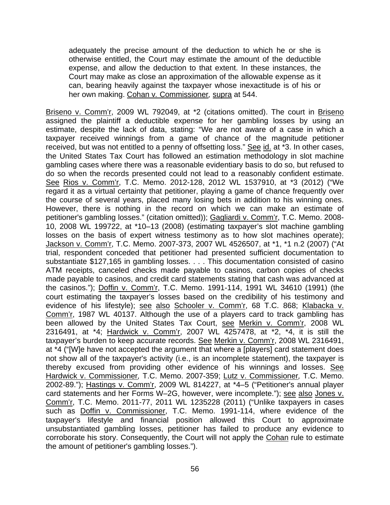adequately the precise amount of the deduction to which he or she is otherwise entitled, the Court may estimate the amount of the deductible expense, and allow the deduction to that extent. In these instances, the Court may make as close an approximation of the allowable expense as it can, bearing heavily against the taxpayer whose inexactitude is of his or her own making. Cohan v*.* Commissioner*,* supra at 544.

Briseno v. Comm'r, 2009 WL 792049, at \*2 (citations omitted). The court in Briseno assigned the plaintiff a deductible expense for her gambling losses by using an estimate, despite the lack of data, stating: "We are not aware of a case in which a taxpayer received winnings from a game of chance of the magnitude petitioner received, but was not entitled to a penny of offsetting loss." See id. at \*3. In other cases, the United States Tax Court has followed an estimation methodology in slot machine gambling cases where there was a reasonable evidentiary basis to do so, but refused to do so when the records presented could not lead to a reasonably confident estimate. See Rios v. Comm'r, T.C. Memo. 2012-128, 2012 WL 1537910, at \*3 (2012) ("We regard it as a virtual certainty that petitioner, playing a game of chance frequently over the course of several years, placed many losing bets in addition to his winning ones. However, there is nothing in the record on which we can make an estimate of petitioner's gambling losses." (citation omitted)); Gagliardi v. Comm'r, T.C. Memo. 2008- 10, 2008 WL 199722, at \*10–13 (2008) (estimating taxpayer's slot machine gambling losses on the basis of expert witness testimony as to how slot machines operate); Jackson v. Comm'r, T.C. Memo. 2007-373, 2007 WL 4526507, at \*1, \*1 n.2 (2007) ("At trial, respondent conceded that petitioner had presented sufficient documentation to substantiate \$127,165 in gambling losses. . . . This documentation consisted of casino ATM receipts, canceled checks made payable to casinos, carbon copies of checks made payable to casinos, and credit card statements stating that cash was advanced at the casinos."); Doffin v. Comm'r, T.C. Memo. 1991-114, 1991 WL 34610 (1991) (the court estimating the taxpayer's losses based on the credibility of his testimony and evidence of his lifestyle); see also Schooler v. Comm'r, 68 T.C. 868; Klabacka v. Comm'r, 1987 WL 40137. Although the use of a players card to track gambling has been allowed by the United States Tax Court, see Merkin v. Comm'r, 2008 WL 2316491, at \*4; Hardwick v. Comm'r, 2007 WL 4257478, at \*2, \*4, it is still the taxpayer's burden to keep accurate records. See Merkin v. Comm'r, 2008 WL 2316491, at \*4 ("[W]e have not accepted the argument that where a [players] card statement does not show all of the taxpayer's activity (i.e., is an incomplete statement), the taxpayer is thereby excused from providing other evidence of his winnings and losses. See Hardwick v. Commissioner*,* T.C. Memo. 2007-359; Lutz v. Commissioner*,* T.C. Memo. 2002-89."); Hastings v. Comm'r, 2009 WL 814227, at \*4–5 ("Petitioner's annual player card statements and her Forms W–2G, however, were incomplete."); see also Jones v. Comm'r, T.C. Memo. 2011-77, 2011 WL 1235228 (2011) ("Unlike taxpayers in cases such as Doffin v. Commissioner, T.C. Memo. 1991-114, where evidence of the taxpayer's lifestyle and financial position allowed this Court to approximate unsubstantiated gambling losses, petitioner has failed to produce any evidence to corroborate his story. Consequently, the Court will not apply the Cohan rule to estimate the amount of petitioner's gambling losses.").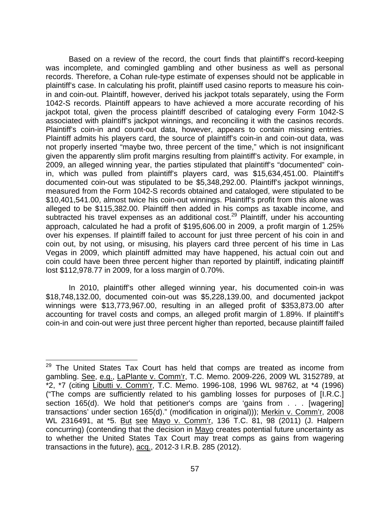Based on a review of the record, the court finds that plaintiff's record-keeping was incomplete, and comingled gambling and other business as well as personal records. Therefore, a Cohan rule-type estimate of expenses should not be applicable in plaintiff's case. In calculating his profit, plaintiff used casino reports to measure his coinin and coin-out. Plaintiff, however, derived his jackpot totals separately, using the Form 1042-S records. Plaintiff appears to have achieved a more accurate recording of his jackpot total, given the process plaintiff described of cataloging every Form 1042-S associated with plaintiff's jackpot winnings, and reconciling it with the casinos records. Plaintiff's coin-in and count-out data, however, appears to contain missing entries. Plaintiff admits his players card, the source of plaintiff's coin-in and coin-out data, was not properly inserted "maybe two, three percent of the time," which is not insignificant given the apparently slim profit margins resulting from plaintiff's activity. For example, in 2009, an alleged winning year, the parties stipulated that plaintiff's "documented" coinin, which was pulled from plaintiff's players card, was \$15,634,451.00. Plaintiff's documented coin-out was stipulated to be \$5,348,292.00. Plaintiff's jackpot winnings, measured from the Form 1042-S records obtained and cataloged, were stipulated to be \$10,401,541.00, almost twice his coin-out winnings. Plaintiff's profit from this alone was alleged to be \$115,382.00. Plaintiff then added in his comps as taxable income, and subtracted his travel expenses as an additional cost.<sup>29</sup> Plaintiff, under his accounting approach, calculated he had a profit of \$195,606.00 in 2009, a profit margin of 1.25% over his expenses. If plaintiff failed to account for just three percent of his coin in and coin out, by not using, or misusing, his players card three percent of his time in Las Vegas in 2009, which plaintiff admitted may have happened, his actual coin out and coin could have been three percent higher than reported by plaintiff, indicating plaintiff lost \$112,978.77 in 2009, for a loss margin of 0.70%.

In 2010, plaintiff's other alleged winning year, his documented coin-in was \$18,748,132.00, documented coin-out was \$5,228,139.00, and documented jackpot winnings were \$13,773,967.00, resulting in an alleged profit of \$353,873.00 after accounting for travel costs and comps, an alleged profit margin of 1.89%. If plaintiff's coin-in and coin-out were just three percent higher than reported, because plaintiff failed

 $\overline{a}$ 

<sup>&</sup>lt;sup>29</sup> The United States Tax Court has held that comps are treated as income from gambling. See, e.g., LaPlante v. Comm'r, T.C. Memo. 2009-226, 2009 WL 3152789, at \*2, \*7 (citing Libutti v. Comm'r, T.C. Memo. 1996-108, 1996 WL 98762, at \*4 (1996) ("The comps are sufficiently related to his gambling losses for purposes of [I.R.C.] section 165(d). We hold that petitioner's comps are 'gains from . . . [wagering] transactions' under section 165(d)." (modification in original))); Merkin v. Comm'r, 2008 WL 2316491, at \*5. But see Mayo v. Comm'r, 136 T.C. 81, 98 (2011) (J. Halpern concurring) (contending that the decision in Mayo creates potential future uncertainty as to whether the United States Tax Court may treat comps as gains from wagering transactions in the future), acq., 2012-3 I.R.B. 285 (2012).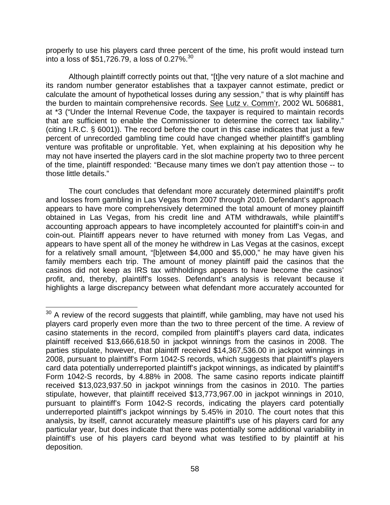properly to use his players card three percent of the time, his profit would instead turn into a loss of \$51,726.79, a loss of 0.27%.30

Although plaintiff correctly points out that, "[t]he very nature of a slot machine and its random number generator establishes that a taxpayer cannot estimate, predict or calculate the amount of hypothetical losses during any session," that is why plaintiff has the burden to maintain comprehensive records. See Lutz v. Comm'r, 2002 WL 506881, at \*3 ("Under the Internal Revenue Code, the taxpayer is required to maintain records that are sufficient to enable the Commissioner to determine the correct tax liability." (citing I.R.C. § 6001)). The record before the court in this case indicates that just a few percent of unrecorded gambling time could have changed whether plaintiff's gambling venture was profitable or unprofitable. Yet, when explaining at his deposition why he may not have inserted the players card in the slot machine property two to three percent of the time, plaintiff responded: "Because many times we don't pay attention those -- to those little details."

 The court concludes that defendant more accurately determined plaintiff's profit and losses from gambling in Las Vegas from 2007 through 2010. Defendant's approach appears to have more comprehensively determined the total amount of money plaintiff obtained in Las Vegas, from his credit line and ATM withdrawals, while plaintiff's accounting approach appears to have incompletely accounted for plaintiff's coin-in and coin-out. Plaintiff appears never to have returned with money from Las Vegas, and appears to have spent all of the money he withdrew in Las Vegas at the casinos, except for a relatively small amount, "[b]etween \$4,000 and \$5,000," he may have given his family members each trip. The amount of money plaintiff paid the casinos that the casinos did not keep as IRS tax withholdings appears to have become the casinos' profit, and, thereby, plaintiff's losses. Defendant's analysis is relevant because it highlights a large discrepancy between what defendant more accurately accounted for

 $\overline{a}$  $30$  A review of the record suggests that plaintiff, while gambling, may have not used his players card properly even more than the two to three percent of the time. A review of casino statements in the record, compiled from plaintiff's players card data, indicates plaintiff received \$13,666,618.50 in jackpot winnings from the casinos in 2008. The parties stipulate, however, that plaintiff received \$14,367,536.00 in jackpot winnings in 2008, pursuant to plaintiff's Form 1042-S records, which suggests that plaintiff's players card data potentially underreported plaintiff's jackpot winnings, as indicated by plaintiff's Form 1042-S records, by 4.88% in 2008. The same casino reports indicate plaintiff received \$13,023,937.50 in jackpot winnings from the casinos in 2010. The parties stipulate, however, that plaintiff received \$13,773,967.00 in jackpot winnings in 2010, pursuant to plaintiff's Form 1042-S records, indicating the players card potentially underreported plaintiff's jackpot winnings by 5.45% in 2010. The court notes that this analysis, by itself, cannot accurately measure plaintiff's use of his players card for any particular year, but does indicate that there was potentially some additional variability in plaintiff's use of his players card beyond what was testified to by plaintiff at his deposition.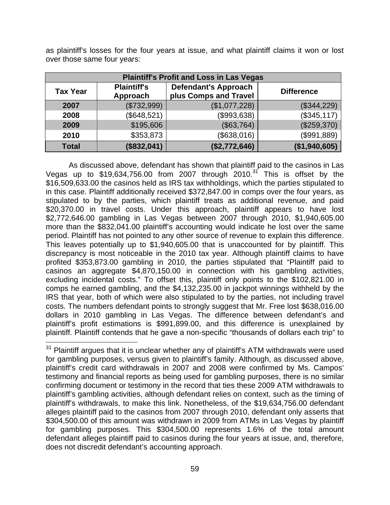as plaintiff's losses for the four years at issue, and what plaintiff claims it won or lost over those same four years:

| <b>Plaintiff's Profit and Loss in Las Vegas</b> |                                |                                                      |                   |  |
|-------------------------------------------------|--------------------------------|------------------------------------------------------|-------------------|--|
| <b>Tax Year</b>                                 | <b>Plaintiff's</b><br>Approach | <b>Defendant's Approach</b><br>plus Comps and Travel | <b>Difference</b> |  |
| 2007                                            | (\$732,999)                    | (\$1,077,228)                                        | (\$344,229)       |  |
| 2008                                            | (\$648,521)                    | (\$993,638)                                          | (\$345, 117)      |  |
| 2009                                            | \$195,606                      | (\$63,764)                                           | (\$259,370)       |  |
| 2010                                            | \$353,873                      | (\$638,016)                                          | (\$991,889)       |  |
| <b>Total</b>                                    | (\$832,041)                    | (\$2,772,646)                                        | (\$1,940,605)     |  |

As discussed above, defendant has shown that plaintiff paid to the casinos in Las Vegas up to  $$19,634,756.00$  from 2007 through  $2010.^{31}$  This is offset by the \$16,509,633.00 the casinos held as IRS tax withholdings, which the parties stipulated to in this case. Plaintiff additionally received \$372,847.00 in comps over the four years, as stipulated to by the parties, which plaintiff treats as additional revenue, and paid \$20,370.00 in travel costs. Under this approach, plaintiff appears to have lost \$2,772,646.00 gambling in Las Vegas between 2007 through 2010, \$1,940,605.00 more than the \$832,041.00 plaintiff's accounting would indicate he lost over the same period. Plaintiff has not pointed to any other source of revenue to explain this difference. This leaves potentially up to \$1,940,605.00 that is unaccounted for by plaintiff. This discrepancy is most noticeable in the 2010 tax year. Although plaintiff claims to have profited \$353,873.00 gambling in 2010, the parties stipulated that "Plaintiff paid to casinos an aggregate \$4,870,150.00 in connection with his gambling activities, excluding incidental costs." To offset this, plaintiff only points to the \$102,821.00 in comps he earned gambling, and the \$4,132,235.00 in jackpot winnings withheld by the IRS that year, both of which were also stipulated to by the parties, not including travel costs. The numbers defendant points to strongly suggest that Mr. Free lost \$638,016.00 dollars in 2010 gambling in Las Vegas. The difference between defendant's and plaintiff's profit estimations is \$991,899.00, and this difference is unexplained by plaintiff. Plaintiff contends that he gave a non-specific "thousands of dollars each trip" to

 $\overline{a}$ 

 $31$  Plaintiff argues that it is unclear whether any of plaintiff's ATM withdrawals were used for gambling purposes, versus given to plaintiff's family. Although, as discussed above, plaintiff's credit card withdrawals in 2007 and 2008 were confirmed by Ms. Campos' testimony and financial reports as being used for gambling purposes, there is no similar confirming document or testimony in the record that ties these 2009 ATM withdrawals to plaintiff's gambling activities, although defendant relies on context, such as the timing of plaintiff's withdrawals, to make this link. Nonetheless, of the \$19,634,756.00 defendant alleges plaintiff paid to the casinos from 2007 through 2010, defendant only asserts that \$304,500.00 of this amount was withdrawn in 2009 from ATMs in Las Vegas by plaintiff for gambling purposes. This \$304,500.00 represents 1.6% of the total amount defendant alleges plaintiff paid to casinos during the four years at issue, and, therefore, does not discredit defendant's accounting approach.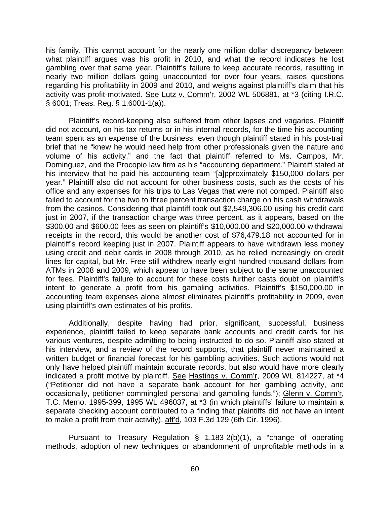his family. This cannot account for the nearly one million dollar discrepancy between what plaintiff argues was his profit in 2010, and what the record indicates he lost gambling over that same year. Plaintiff's failure to keep accurate records, resulting in nearly two million dollars going unaccounted for over four years, raises questions regarding his profitability in 2009 and 2010, and weighs against plaintiff's claim that his activity was profit-motivated. See Lutz v. Comm'r, 2002 WL 506881, at \*3 (citing I.R.C. § 6001; Treas. Reg. § 1.6001-1(a)).

Plaintiff's record-keeping also suffered from other lapses and vagaries. Plaintiff did not account, on his tax returns or in his internal records, for the time his accounting team spent as an expense of the business, even though plaintiff stated in his post-trail brief that he "knew he would need help from other professionals given the nature and volume of his activity," and the fact that plaintiff referred to Ms. Campos, Mr. Dominguez, and the Procopio law firm as his "accounting department." Plaintiff stated at his interview that he paid his accounting team "[a]pproximately \$150,000 dollars per year." Plaintiff also did not account for other business costs, such as the costs of his office and any expenses for his trips to Las Vegas that were not comped. Plaintiff also failed to account for the two to three percent transaction charge on his cash withdrawals from the casinos. Considering that plaintiff took out \$2,549,306.00 using his credit card just in 2007, if the transaction charge was three percent, as it appears, based on the \$300.00 and \$600.00 fees as seen on plaintiff's \$10,000.00 and \$20,000.00 withdrawal receipts in the record, this would be another cost of \$76,479.18 not accounted for in plaintiff's record keeping just in 2007. Plaintiff appears to have withdrawn less money using credit and debit cards in 2008 through 2010, as he relied increasingly on credit lines for capital, but Mr. Free still withdrew nearly eight hundred thousand dollars from ATMs in 2008 and 2009, which appear to have been subject to the same unaccounted for fees. Plaintiff's failure to account for these costs further casts doubt on plaintiff's intent to generate a profit from his gambling activities. Plaintiff's \$150,000.00 in accounting team expenses alone almost eliminates plaintiff's profitability in 2009, even using plaintiff's own estimates of his profits.

Additionally, despite having had prior, significant, successful, business experience, plaintiff failed to keep separate bank accounts and credit cards for his various ventures, despite admitting to being instructed to do so. Plaintiff also stated at his interview, and a review of the record supports, that plaintiff never maintained a written budget or financial forecast for his gambling activities. Such actions would not only have helped plaintiff maintain accurate records, but also would have more clearly indicated a profit motive by plaintiff. See Hastings v. Comm'r, 2009 WL 814227, at \*4 ("Petitioner did not have a separate bank account for her gambling activity, and occasionally, petitioner commingled personal and gambling funds."); Glenn v. Comm'r, T.C. Memo. 1995-399, 1995 WL 496037, at \*3 (in which plaintiffs' failure to maintain a separate checking account contributed to a finding that plaintiffs did not have an intent to make a profit from their activity), aff'd, 103 F.3d 129 (6th Cir. 1996).

Pursuant to Treasury Regulation § 1.183-2(b)(1), a "change of operating methods, adoption of new techniques or abandonment of unprofitable methods in a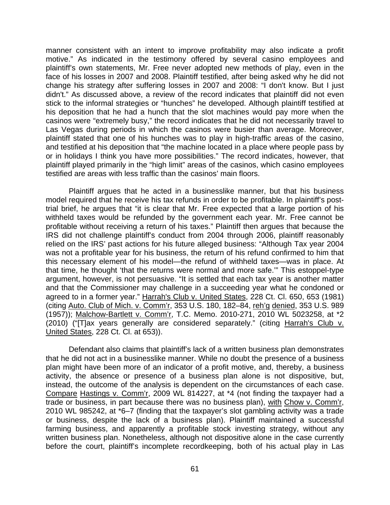manner consistent with an intent to improve profitability may also indicate a profit motive." As indicated in the testimony offered by several casino employees and plaintiff's own statements, Mr. Free never adopted new methods of play, even in the face of his losses in 2007 and 2008. Plaintiff testified, after being asked why he did not change his strategy after suffering losses in 2007 and 2008: "I don't know. But I just didn't." As discussed above, a review of the record indicates that plaintiff did not even stick to the informal strategies or "hunches" he developed. Although plaintiff testified at his deposition that he had a hunch that the slot machines would pay more when the casinos were "extremely busy," the record indicates that he did not necessarily travel to Las Vegas during periods in which the casinos were busier than average. Moreover, plaintiff stated that one of his hunches was to play in high-traffic areas of the casino, and testified at his deposition that "the machine located in a place where people pass by or in holidays I think you have more possibilities." The record indicates, however, that plaintiff played primarily in the "high limit" areas of the casinos, which casino employees testified are areas with less traffic than the casinos' main floors.

Plaintiff argues that he acted in a businesslike manner, but that his business model required that he receive his tax refunds in order to be profitable. In plaintiff's posttrial brief, he argues that "it is clear that Mr. Free expected that a large portion of his withheld taxes would be refunded by the government each year. Mr. Free cannot be profitable without receiving a return of his taxes." Plaintiff then argues that because the IRS did not challenge plaintiff's conduct from 2004 through 2006, plaintiff reasonably relied on the IRS' past actions for his future alleged business: "Although Tax year 2004 was not a profitable year for his business, the return of his refund confirmed to him that this necessary element of his model—the refund of withheld taxes—was in place. At that time, he thought 'that the returns were normal and more safe.'" This estoppel-type argument, however, is not persuasive. "It is settled that each tax year is another matter and that the Commissioner may challenge in a succeeding year what he condoned or agreed to in a former year." Harrah's Club v. United States, 228 Ct. Cl. 650, 653 (1981) (citing Auto. Club of Mich. v. Comm'r, 353 U.S. 180, 182–84, reh'g denied, 353 U.S. 989 (1957)); Malchow-Bartlett v. Comm'r, T.C. Memo. 2010-271, 2010 WL 5023258, at \*2 (2010) ("[T]ax years generally are considered separately." (citing Harrah's Club v. United States, 228 Ct. Cl. at 653)).

Defendant also claims that plaintiff's lack of a written business plan demonstrates that he did not act in a businesslike manner. While no doubt the presence of a business plan might have been more of an indicator of a profit motive, and, thereby, a business activity, the absence or presence of a business plan alone is not dispositive, but, instead, the outcome of the analysis is dependent on the circumstances of each case. Compare Hastings v. Comm'r, 2009 WL 814227, at \*4 (not finding the taxpayer had a trade or business, in part because there was no business plan), with Chow v. Comm'r, 2010 WL 985242, at \*6–7 (finding that the taxpayer's slot gambling activity was a trade or business, despite the lack of a business plan). Plaintiff maintained a successful farming business, and apparently a profitable stock investing strategy, without any written business plan. Nonetheless, although not dispositive alone in the case currently before the court, plaintiff's incomplete recordkeeping, both of his actual play in Las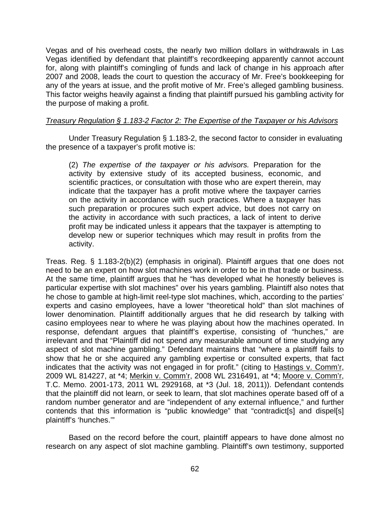Vegas and of his overhead costs, the nearly two million dollars in withdrawals in Las Vegas identified by defendant that plaintiff's recordkeeping apparently cannot account for, along with plaintiff's comingling of funds and lack of change in his approach after 2007 and 2008, leads the court to question the accuracy of Mr. Free's bookkeeping for any of the years at issue, and the profit motive of Mr. Free's alleged gambling business. This factor weighs heavily against a finding that plaintiff pursued his gambling activity for the purpose of making a profit.

## *Treasury Regulation § 1.183-2 Factor 2: The Expertise of the Taxpayer or his Advisors*

 Under Treasury Regulation § 1.183-2, the second factor to consider in evaluating the presence of a taxpayer's profit motive is:

(2) *The expertise of the taxpayer or his advisors.* Preparation for the activity by extensive study of its accepted business, economic, and scientific practices, or consultation with those who are expert therein, may indicate that the taxpayer has a profit motive where the taxpayer carries on the activity in accordance with such practices. Where a taxpayer has such preparation or procures such expert advice, but does not carry on the activity in accordance with such practices, a lack of intent to derive profit may be indicated unless it appears that the taxpayer is attempting to develop new or superior techniques which may result in profits from the activity.

Treas. Reg. § 1.183-2(b)(2) (emphasis in original). Plaintiff argues that one does not need to be an expert on how slot machines work in order to be in that trade or business. At the same time, plaintiff argues that he "has developed what he honestly believes is particular expertise with slot machines" over his years gambling. Plaintiff also notes that he chose to gamble at high-limit reel-type slot machines, which, according to the parties' experts and casino employees, have a lower "theoretical hold" than slot machines of lower denomination. Plaintiff additionally argues that he did research by talking with casino employees near to where he was playing about how the machines operated. In response, defendant argues that plaintiff's expertise, consisting of "hunches," are irrelevant and that "Plaintiff did not spend any measurable amount of time studying any aspect of slot machine gambling." Defendant maintains that "where a plaintiff fails to show that he or she acquired any gambling expertise or consulted experts, that fact indicates that the activity was not engaged in for profit." (citing to Hastings v. Comm'r, 2009 WL 814227, at \*4; Merkin v. Comm'r, 2008 WL 2316491, at \*4; Moore v. Comm'r, T.C. Memo. 2001-173, 2011 WL 2929168, at \*3 (Jul. 18, 2011)). Defendant contends that the plaintiff did not learn, or seek to learn, that slot machines operate based off of a random number generator and are "independent of any external influence," and further contends that this information is "public knowledge" that "contradict[s] and dispel[s] plaintiff's 'hunches.'"

Based on the record before the court, plaintiff appears to have done almost no research on any aspect of slot machine gambling. Plaintiff's own testimony, supported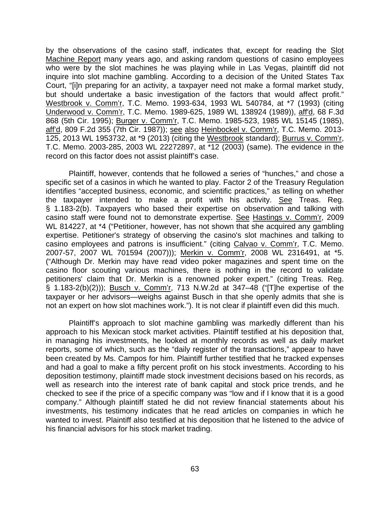by the observations of the casino staff, indicates that, except for reading the Slot Machine Report many years ago, and asking random questions of casino employees who were by the slot machines he was playing while in Las Vegas, plaintiff did not inquire into slot machine gambling. According to a decision of the United States Tax Court, "[i]n preparing for an activity, a taxpayer need not make a formal market study, but should undertake a basic investigation of the factors that would affect profit." Westbrook v. Comm'r, T.C. Memo. 1993-634, 1993 WL 540784, at \*7 (1993) (citing Underwood v. Comm'r, T.C. Memo. 1989-625, 1989 WL 138924 (1989)), aff'd, 68 F.3d 868 (5th Cir. 1995); Burger v. Comm'r, T.C. Memo. 1985-523, 1985 WL 15145 (1985), aff'd, 809 F.2d 355 (7th Cir. 1987)); see also Heinbockel v. Comm'r, T.C. Memo. 2013- 125, 2013 WL 1953732, at \*9 (2013) (citing the Westbrook standard); Burrus v. Comm'r, T.C. Memo. 2003-285, 2003 WL 22272897, at \*12 (2003) (same). The evidence in the record on this factor does not assist plaintiff's case.

 Plaintiff, however, contends that he followed a series of "hunches," and chose a specific set of a casinos in which he wanted to play. Factor 2 of the Treasury Regulation identifies "accepted business, economic, and scientific practices," as telling on whether the taxpayer intended to make a profit with his activity. See Treas. Reg. § 1.183-2(b). Taxpayers who based their expertise on observation and talking with casino staff were found not to demonstrate expertise. See Hastings v. Comm'r, 2009 WL 814227, at \*4 ("Petitioner, however, has not shown that she acquired any gambling expertise. Petitioner's strategy of observing the casino's slot machines and talking to casino employees and patrons is insufficient." (citing Calvao v. Comm'r, T.C. Memo. 2007-57, 2007 WL 701594 (2007))); Merkin v. Comm'r, 2008 WL 2316491, at \*5. ("Although Dr. Merkin may have read video poker magazines and spent time on the casino floor scouting various machines, there is nothing in the record to validate petitioners' claim that Dr. Merkin is a renowned poker expert." (citing Treas. Reg. § 1.183-2(b)(2))); Busch v. Comm'r, 713 N.W.2d at 347–48 ("[T]he expertise of the taxpayer or her advisors—weighs against Busch in that she openly admits that she is not an expert on how slot machines work."). It is not clear if plaintiff even did this much.

Plaintiff's approach to slot machine gambling was markedly different than his approach to his Mexican stock market activities. Plaintiff testified at his deposition that, in managing his investments, he looked at monthly records as well as daily market reports, some of which, such as the "daily register of the transactions," appear to have been created by Ms. Campos for him. Plaintiff further testified that he tracked expenses and had a goal to make a fifty percent profit on his stock investments. According to his deposition testimony, plaintiff made stock investment decisions based on his records, as well as research into the interest rate of bank capital and stock price trends, and he checked to see if the price of a specific company was "low and if I know that it is a good company." Although plaintiff stated he did not review financial statements about his investments, his testimony indicates that he read articles on companies in which he wanted to invest. Plaintiff also testified at his deposition that he listened to the advice of his financial advisors for his stock market trading.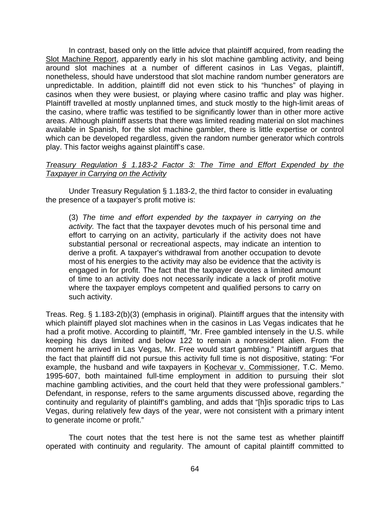In contrast, based only on the little advice that plaintiff acquired, from reading the Slot Machine Report, apparently early in his slot machine gambling activity, and being around slot machines at a number of different casinos in Las Vegas, plaintiff, nonetheless, should have understood that slot machine random number generators are unpredictable. In addition, plaintiff did not even stick to his "hunches" of playing in casinos when they were busiest, or playing where casino traffic and play was higher. Plaintiff travelled at mostly unplanned times, and stuck mostly to the high-limit areas of the casino, where traffic was testified to be significantly lower than in other more active areas. Although plaintiff asserts that there was limited reading material on slot machines available in Spanish, for the slot machine gambler, there is little expertise or control which can be developed regardless, given the random number generator which controls play. This factor weighs against plaintiff's case.

# *Treasury Regulation § 1.183-2 Factor 3: The Time and Effort Expended by the Taxpayer in Carrying on the Activity*

 Under Treasury Regulation § 1.183-2, the third factor to consider in evaluating the presence of a taxpayer's profit motive is:

(3) *The time and effort expended by the taxpayer in carrying on the activity.* The fact that the taxpayer devotes much of his personal time and effort to carrying on an activity, particularly if the activity does not have substantial personal or recreational aspects, may indicate an intention to derive a profit. A taxpayer's withdrawal from another occupation to devote most of his energies to the activity may also be evidence that the activity is engaged in for profit. The fact that the taxpayer devotes a limited amount of time to an activity does not necessarily indicate a lack of profit motive where the taxpayer employs competent and qualified persons to carry on such activity.

Treas. Reg. § 1.183-2(b)(3) (emphasis in original). Plaintiff argues that the intensity with which plaintiff played slot machines when in the casinos in Las Vegas indicates that he had a profit motive. According to plaintiff, "Mr. Free gambled intensely in the U.S. while keeping his days limited and below 122 to remain a nonresident alien. From the moment he arrived in Las Vegas, Mr. Free would start gambling." Plaintiff argues that the fact that plaintiff did not pursue this activity full time is not dispositive, stating: "For example, the husband and wife taxpayers in Kochevar v. Commissioner, T.C. Memo. 1995-607, both maintained full-time employment in addition to pursuing their slot machine gambling activities, and the court held that they were professional gamblers." Defendant, in response, refers to the same arguments discussed above, regarding the continuity and regularity of plaintiff's gambling, and adds that "[h]is sporadic trips to Las Vegas, during relatively few days of the year, were not consistent with a primary intent to generate income or profit."

 The court notes that the test here is not the same test as whether plaintiff operated with continuity and regularity. The amount of capital plaintiff committed to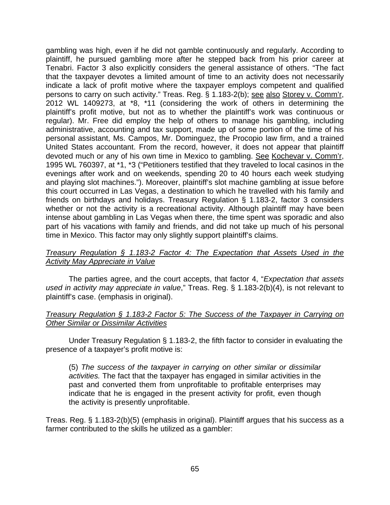gambling was high, even if he did not gamble continuously and regularly. According to plaintiff, he pursued gambling more after he stepped back from his prior career at Tenabri. Factor 3 also explicitly considers the general assistance of others. "The fact that the taxpayer devotes a limited amount of time to an activity does not necessarily indicate a lack of profit motive where the taxpayer employs competent and qualified persons to carry on such activity." Treas. Reg. § 1.183-2(b); see also Storey v. Comm'r, 2012 WL 1409273, at \*8, \*11 (considering the work of others in determining the plaintiff's profit motive, but not as to whether the plaintiff's work was continuous or regular). Mr. Free did employ the help of others to manage his gambling, including administrative, accounting and tax support, made up of some portion of the time of his personal assistant, Ms. Campos, Mr. Dominguez, the Procopio law firm, and a trained United States accountant. From the record, however, it does not appear that plaintiff devoted much or any of his own time in Mexico to gambling. See Kochevar v. Comm'r, 1995 WL 760397, at \*1, \*3 ("Petitioners testified that they traveled to local casinos in the evenings after work and on weekends, spending 20 to 40 hours each week studying and playing slot machines."). Moreover, plaintiff's slot machine gambling at issue before this court occurred in Las Vegas, a destination to which he travelled with his family and friends on birthdays and holidays. Treasury Regulation § 1.183-2, factor 3 considers whether or not the activity is a recreational activity. Although plaintiff may have been intense about gambling in Las Vegas when there, the time spent was sporadic and also part of his vacations with family and friends, and did not take up much of his personal time in Mexico. This factor may only slightly support plaintiff's claims.

## *Treasury Regulation § 1.183-2 Factor 4: The Expectation that Assets Used in the Activity May Appreciate in Value*

The parties agree, and the court accepts, that factor 4, "*Expectation that assets used in activity may appreciate in value*," Treas. Reg. § 1.183-2(b)(4), is not relevant to plaintiff's case. (emphasis in original).

# *Treasury Regulation § 1.183-2 Factor 5: The Success of the Taxpayer in Carrying on Other Similar or Dissimilar Activities*

 Under Treasury Regulation § 1.183-2, the fifth factor to consider in evaluating the presence of a taxpayer's profit motive is:

(5) *The success of the taxpayer in carrying on other similar or dissimilar activities.* The fact that the taxpayer has engaged in similar activities in the past and converted them from unprofitable to profitable enterprises may indicate that he is engaged in the present activity for profit, even though the activity is presently unprofitable.

Treas. Reg. § 1.183-2(b)(5) (emphasis in original). Plaintiff argues that his success as a farmer contributed to the skills he utilized as a gambler: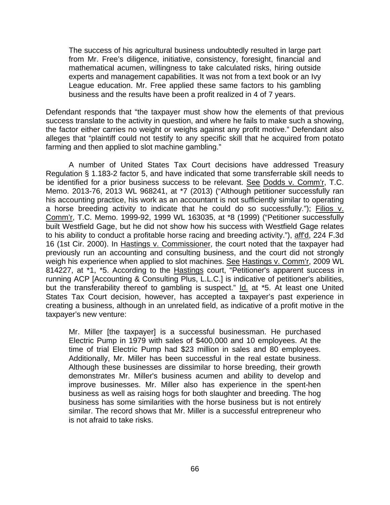The success of his agricultural business undoubtedly resulted in large part from Mr. Free's diligence, initiative, consistency, foresight, financial and mathematical acumen, willingness to take calculated risks, hiring outside experts and management capabilities. It was not from a text book or an Ivy League education. Mr. Free applied these same factors to his gambling business and the results have been a profit realized in 4 of 7 years.

Defendant responds that "the taxpayer must show how the elements of that previous success translate to the activity in question, and where he fails to make such a showing, the factor either carries no weight or weighs against any profit motive." Defendant also alleges that "plaintiff could not testify to any specific skill that he acquired from potato farming and then applied to slot machine gambling."

 A number of United States Tax Court decisions have addressed Treasury Regulation § 1.183-2 factor 5, and have indicated that some transferrable skill needs to be identified for a prior business success to be relevant. See Dodds v. Comm'r, T.C. Memo. 2013-76, 2013 WL 968241, at \*7 (2013) ("Although petitioner successfully ran his accounting practice, his work as an accountant is not sufficiently similar to operating a horse breeding activity to indicate that he could do so successfully."); Filios v. Comm'r, T.C. Memo. 1999-92, 1999 WL 163035, at \*8 (1999) ("Petitioner successfully built Westfield Gage, but he did not show how his success with Westfield Gage relates to his ability to conduct a profitable horse racing and breeding activity."), aff'd, 224 F.3d 16 (1st Cir. 2000). In Hastings v. Commissioner, the court noted that the taxpayer had previously run an accounting and consulting business, and the court did not strongly weigh his experience when applied to slot machines. See Hastings v. Comm'r, 2009 WL 814227, at \*1, \*5. According to the Hastings court, "Petitioner's apparent success in running ACP [Accounting & Consulting Plus, L.L.C.] is indicative of petitioner's abilities, but the transferability thereof to gambling is suspect." Id. at \*5. At least one United States Tax Court decision, however, has accepted a taxpayer's past experience in creating a business, although in an unrelated field, as indicative of a profit motive in the taxpayer's new venture:

Mr. Miller [the taxpayer] is a successful businessman. He purchased Electric Pump in 1979 with sales of \$400,000 and 10 employees. At the time of trial Electric Pump had \$23 million in sales and 80 employees. Additionally, Mr. Miller has been successful in the real estate business. Although these businesses are dissimilar to horse breeding, their growth demonstrates Mr. Miller's business acumen and ability to develop and improve businesses. Mr. Miller also has experience in the spent-hen business as well as raising hogs for both slaughter and breeding. The hog business has some similarities with the horse business but is not entirely similar. The record shows that Mr. Miller is a successful entrepreneur who is not afraid to take risks.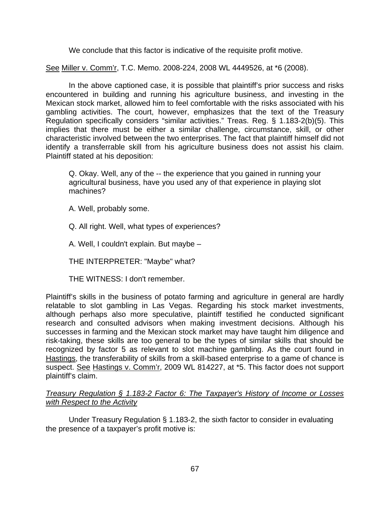We conclude that this factor is indicative of the requisite profit motive.

See Miller v. Comm'r, T.C. Memo. 2008-224, 2008 WL 4449526, at \*6 (2008).

In the above captioned case, it is possible that plaintiff's prior success and risks encountered in building and running his agriculture business, and investing in the Mexican stock market, allowed him to feel comfortable with the risks associated with his gambling activities. The court, however, emphasizes that the text of the Treasury Regulation specifically considers "similar activities." Treas. Reg. § 1.183-2(b)(5). This implies that there must be either a similar challenge, circumstance, skill, or other characteristic involved between the two enterprises. The fact that plaintiff himself did not identify a transferrable skill from his agriculture business does not assist his claim. Plaintiff stated at his deposition:

Q. Okay. Well, any of the -- the experience that you gained in running your agricultural business, have you used any of that experience in playing slot machines?

A. Well, probably some.

Q. All right. Well, what types of experiences?

A. Well, I couldn't explain. But maybe –

THE INTERPRETER: "Maybe" what?

THE WITNESS: I don't remember.

Plaintiff's skills in the business of potato farming and agriculture in general are hardly relatable to slot gambling in Las Vegas. Regarding his stock market investments, although perhaps also more speculative, plaintiff testified he conducted significant research and consulted advisors when making investment decisions. Although his successes in farming and the Mexican stock market may have taught him diligence and risk-taking, these skills are too general to be the types of similar skills that should be recognized by factor 5 as relevant to slot machine gambling. As the court found in Hastings, the transferability of skills from a skill-based enterprise to a game of chance is suspect. See Hastings v. Comm'r, 2009 WL 814227, at \*5. This factor does not support plaintiff's claim.

*Treasury Regulation § 1.183-2 Factor 6: The Taxpayer's History of Income or Losses with Respect to the Activity* 

 Under Treasury Regulation § 1.183-2, the sixth factor to consider in evaluating the presence of a taxpayer's profit motive is: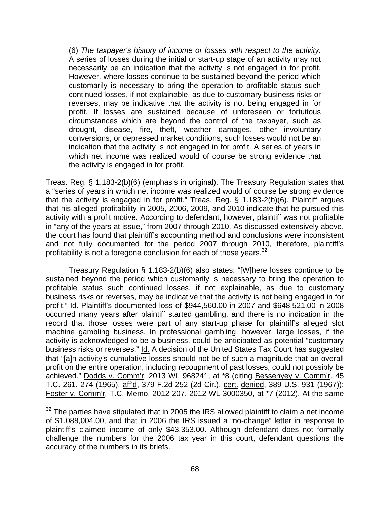(6) *The taxpayer's history of income or losses with respect to the activity.*  A series of losses during the initial or start-up stage of an activity may not necessarily be an indication that the activity is not engaged in for profit. However, where losses continue to be sustained beyond the period which customarily is necessary to bring the operation to profitable status such continued losses, if not explainable, as due to customary business risks or reverses, may be indicative that the activity is not being engaged in for profit. If losses are sustained because of unforeseen or fortuitous circumstances which are beyond the control of the taxpayer, such as drought, disease, fire, theft, weather damages, other involuntary conversions, or depressed market conditions, such losses would not be an indication that the activity is not engaged in for profit. A series of years in which net income was realized would of course be strong evidence that the activity is engaged in for profit.

Treas. Reg. § 1.183-2(b)(6) (emphasis in original). The Treasury Regulation states that a "series of years in which net income was realized would of course be strong evidence that the activity is engaged in for profit." Treas. Reg. § 1.183-2(b)(6). Plaintiff argues that his alleged profitability in 2005, 2006, 2009, and 2010 indicate that he pursued this activity with a profit motive. According to defendant, however, plaintiff was not profitable in "any of the years at issue," from 2007 through 2010. As discussed extensively above, the court has found that plaintiff's accounting method and conclusions were inconsistent and not fully documented for the period 2007 through 2010, therefore, plaintiff's profitability is not a foregone conclusion for each of those years.<sup>32</sup>

Treasury Regulation § 1.183-2(b)(6) also states: "[W]here losses continue to be sustained beyond the period which customarily is necessary to bring the operation to profitable status such continued losses, if not explainable, as due to customary business risks or reverses, may be indicative that the activity is not being engaged in for profit." Id. Plaintiff's documented loss of \$944,560.00 in 2007 and \$648,521.00 in 2008 occurred many years after plaintiff started gambling, and there is no indication in the record that those losses were part of any start-up phase for plaintiff's alleged slot machine gambling business. In professional gambling, however, large losses, if the activity is acknowledged to be a business, could be anticipated as potential "customary business risks or reverses." Id. A decision of the United States Tax Court has suggested that "[a]n activity's cumulative losses should not be of such a magnitude that an overall profit on the entire operation, including recoupment of past losses, could not possibly be achieved." Dodds v. Comm'r, 2013 WL 968241, at \*8 (citing Bessenyey v. Comm'r*,* 45 T.C. 261, 274 (1965), aff'd, 379 F.2d 252 (2d Cir.), cert. denied, 389 U.S. 931 (1967)); Foster v. Comm'r*,* T.C. Memo. 2012-207, 2012 WL 3000350, at \*7 (2012). At the same

 $\overline{a}$ 

 $32$  The parties have stipulated that in 2005 the IRS allowed plaintiff to claim a net income of \$1,088,004.00, and that in 2006 the IRS issued a "no-change" letter in response to plaintiff's claimed income of only \$43,353.00. Although defendant does not formally challenge the numbers for the 2006 tax year in this court, defendant questions the accuracy of the numbers in its briefs.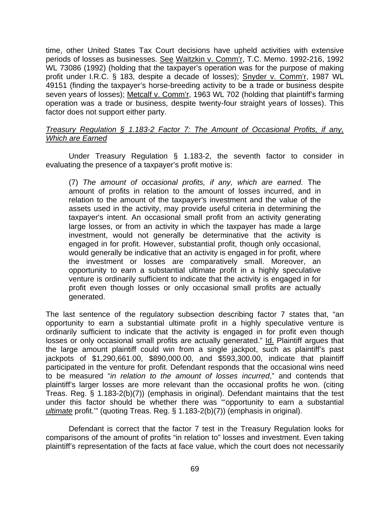time, other United States Tax Court decisions have upheld activities with extensive periods of losses as businesses. See Waitzkin v. Comm'r, T.C. Memo. 1992-216, 1992 WL 73086 (1992) (holding that the taxpayer's operation was for the purpose of making profit under I.R.C. § 183, despite a decade of losses); Snyder v. Comm'r, 1987 WL 49151 (finding the taxpayer's horse-breeding activity to be a trade or business despite seven years of losses); Metcalf v. Comm'r, 1963 WL 702 (holding that plaintiff's farming operation was a trade or business, despite twenty-four straight years of losses). This factor does not support either party.

# *Treasury Regulation § 1.183-2 Factor 7: The Amount of Occasional Profits, if any, Which are Earned*

 Under Treasury Regulation § 1.183-2, the seventh factor to consider in evaluating the presence of a taxpayer's profit motive is:

(7) *The amount of occasional profits, if any, which are earned.* The amount of profits in relation to the amount of losses incurred, and in relation to the amount of the taxpayer's investment and the value of the assets used in the activity, may provide useful criteria in determining the taxpayer's intent. An occasional small profit from an activity generating large losses, or from an activity in which the taxpayer has made a large investment, would not generally be determinative that the activity is engaged in for profit. However, substantial profit, though only occasional, would generally be indicative that an activity is engaged in for profit, where the investment or losses are comparatively small. Moreover, an opportunity to earn a substantial ultimate profit in a highly speculative venture is ordinarily sufficient to indicate that the activity is engaged in for profit even though losses or only occasional small profits are actually generated.

The last sentence of the regulatory subsection describing factor 7 states that, "an opportunity to earn a substantial ultimate profit in a highly speculative venture is ordinarily sufficient to indicate that the activity is engaged in for profit even though losses or only occasional small profits are actually generated." Id. Plaintiff argues that the large amount plaintiff could win from a single jackpot, such as plaintiff's past jackpots of \$1,290,661.00, \$890,000.00, and \$593,300.00, indicate that plaintiff participated in the venture for profit. Defendant responds that the occasional wins need to be measured "*in relation to the amount of losses incurred*," and contends that plaintiff's larger losses are more relevant than the occasional profits he won. (citing Treas. Reg. § 1.183-2(b)(7)) (emphasis in original). Defendant maintains that the test under this factor should be whether there was "'opportunity to earn a substantial *ultimate* profit.'" (quoting Treas. Reg. § 1.183-2(b)(7)) (emphasis in original).

 Defendant is correct that the factor 7 test in the Treasury Regulation looks for comparisons of the amount of profits "in relation to" losses and investment. Even taking plaintiff's representation of the facts at face value, which the court does not necessarily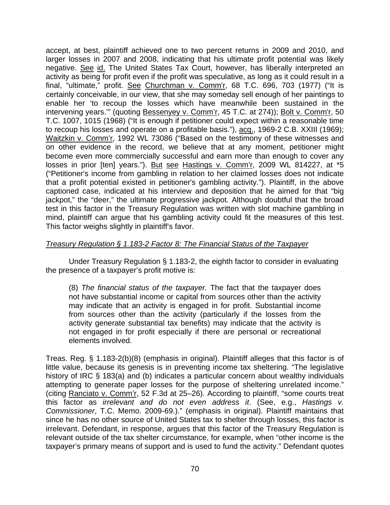accept, at best, plaintiff achieved one to two percent returns in 2009 and 2010, and larger losses in 2007 and 2008, indicating that his ultimate profit potential was likely negative. See id. The United States Tax Court, however, has liberally interpreted an activity as being for profit even if the profit was speculative, as long as it could result in a final, "ultimate," profit. See Churchman v. Comm'r, 68 T.C. 696, 703 (1977) ("It is certainly conceivable, in our view, that she may someday sell enough of her paintings to enable her 'to recoup the losses which have meanwhile been sustained in the intervening years.'" (quoting Bessenyey v. Comm'r, 45 T.C. at 274)); Bolt v. Comm'r, 50 T.C. 1007, 1015 (1968) ("It is enough if petitioner could expect within a reasonable time to recoup his losses and operate on a profitable basis."), acq., 1969-2 C.B. XXIII (1969); Waitzkin v. Comm'r, 1992 WL 73086 ("Based on the testimony of these witnesses and on other evidence in the record, we believe that at any moment, petitioner might become even more commercially successful and earn more than enough to cover any losses in prior [ten] years."). But see Hastings v. Comm'r, 2009 WL 814227, at \*5 ("Petitioner's income from gambling in relation to her claimed losses does not indicate that a profit potential existed in petitioner's gambling activity."). Plaintiff, in the above captioned case, indicated at his interview and deposition that he aimed for that "big jackpot," the "deer," the ultimate progressive jackpot. Although doubtful that the broad test in this factor in the Treasury Regulation was written with slot machine gambling in mind, plaintiff can argue that his gambling activity could fit the measures of this test. This factor weighs slightly in plaintiff's favor.

# *Treasury Regulation § 1.183-2 Factor 8: The Financial Status of the Taxpayer*

 Under Treasury Regulation § 1.183-2, the eighth factor to consider in evaluating the presence of a taxpayer's profit motive is:

(8) *The financial status of the taxpayer.* The fact that the taxpayer does not have substantial income or capital from sources other than the activity may indicate that an activity is engaged in for profit. Substantial income from sources other than the activity (particularly if the losses from the activity generate substantial tax benefits) may indicate that the activity is not engaged in for profit especially if there are personal or recreational elements involved.

Treas. Reg. § 1.183-2(b)(8) (emphasis in original). Plaintiff alleges that this factor is of little value, because its genesis is in preventing income tax sheltering. "The legislative history of IRC § 183(a) and (b) indicates a particular concern about wealthy individuals attempting to generate paper losses for the purpose of sheltering unrelated income." (citing Ranciato v. Comm'r, 52 F.3d at 25–26). According to plaintiff, "some courts treat this factor as *irrelevant and do not even address it*. (See, e.g., *Hastings v. Commissioner*, T.C. Memo. 2009-69.)." (emphasis in original). Plaintiff maintains that since he has no other source of United States tax to shelter through losses, this factor is irrelevant. Defendant, in response, argues that this factor of the Treasury Regulation is relevant outside of the tax shelter circumstance, for example, when "other income is the taxpayer's primary means of support and is used to fund the activity." Defendant quotes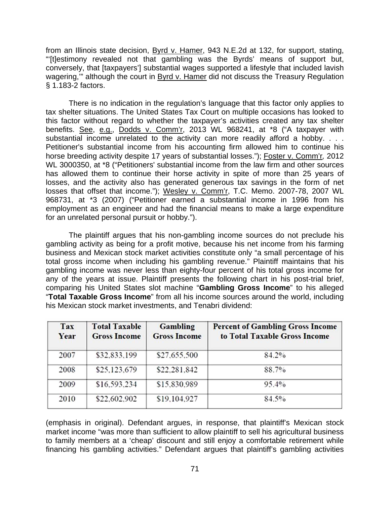from an Illinois state decision, Byrd v. Hamer, 943 N.E.2d at 132, for support, stating, "'[t]estimony revealed not that gambling was the Byrds' means of support but, conversely, that [taxpayers'] substantial wages supported a lifestyle that included lavish wagering," although the court in Byrd v. Hamer did not discuss the Treasury Regulation § 1.183-2 factors.

There is no indication in the regulation's language that this factor only applies to tax shelter situations. The United States Tax Court on multiple occasions has looked to this factor without regard to whether the taxpayer's activities created any tax shelter benefits. See, e.g., Dodds v. Comm'r, 2013 WL 968241, at \*8 ("A taxpayer with substantial income unrelated to the activity can more readily afford a hobby. . . . Petitioner's substantial income from his accounting firm allowed him to continue his horse breeding activity despite 17 years of substantial losses."); Foster v. Comm'r*,* 2012 WL 3000350, at \*8 ("Petitioners' substantial income from the law firm and other sources has allowed them to continue their horse activity in spite of more than 25 years of losses, and the activity also has generated generous tax savings in the form of net losses that offset that income."); Wesley v. Comm'r, T.C. Memo. 2007-78, 2007 WL 968731, at \*3 (2007) ("Petitioner earned a substantial income in 1996 from his employment as an engineer and had the financial means to make a large expenditure for an unrelated personal pursuit or hobby.").

The plaintiff argues that his non-gambling income sources do not preclude his gambling activity as being for a profit motive, because his net income from his farming business and Mexican stock market activities constitute only "a small percentage of his total gross income when including his gambling revenue." Plaintiff maintains that his gambling income was never less than eighty-four percent of his total gross income for any of the years at issue. Plaintiff presents the following chart in his post-trial brief, comparing his United States slot machine "**Gambling Gross Income**" to his alleged "**Total Taxable Gross Income**" from all his income sources around the world, including his Mexican stock market investments, and Tenabri dividend:

| Tax<br>Year | <b>Total Taxable</b><br><b>Gross Income</b> | Gambling<br><b>Gross Income</b> | <b>Percent of Gambling Gross Income</b><br>to Total Taxable Gross Income |
|-------------|---------------------------------------------|---------------------------------|--------------------------------------------------------------------------|
| 2007        | \$32,833,199                                | \$27,655,500                    | 84.2%                                                                    |
| 2008        | \$25,123,679                                | \$22,281,842                    | 88.7%                                                                    |
| 2009        | \$16,593,234                                | \$15,830,989                    | 95.4%                                                                    |
| 2010        | \$22,602,902                                | \$19,104,927                    | 84.5%                                                                    |

(emphasis in original). Defendant argues, in response, that plaintiff's Mexican stock market income "was more than sufficient to allow plaintiff to sell his agricultural business to family members at a 'cheap' discount and still enjoy a comfortable retirement while financing his gambling activities." Defendant argues that plaintiff's gambling activities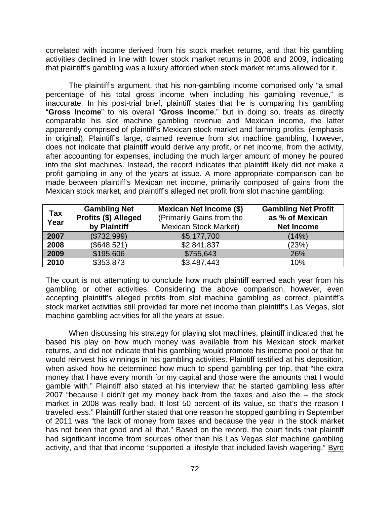correlated with income derived from his stock market returns, and that his gambling activities declined in line with lower stock market returns in 2008 and 2009, indicating that plaintiff's gambling was a luxury afforded when stock market returns allowed for it.

 The plaintiff's argument, that his non-gambling income comprised only "a small percentage of his total gross income when including his gambling revenue," is inaccurate. In his post-trial brief, plaintiff states that he is comparing his gambling "**Gross Income**" to his overall "**Gross Income**," but in doing so, treats as directly comparable his slot machine gambling revenue and Mexican income, the latter apparently comprised of plaintiff's Mexican stock market and farming profits. (emphasis in original). Plaintiff's large, claimed revenue from slot machine gambling, however, does not indicate that plaintiff would derive any profit, or net income, from the activity, after accounting for expenses, including the much larger amount of money he poured into the slot machines. Instead, the record indicates that plaintiff likely did not make a profit gambling in any of the years at issue. A more appropriate comparison can be made between plaintiff's Mexican net income, primarily composed of gains from the Mexican stock market, and plaintiff's alleged net profit from slot machine gambling:

| <b>Tax</b><br>Year | <b>Gambling Net</b><br>Profits (\$) Alleged<br>by Plaintiff | <b>Mexican Net Income (\$)</b><br>(Primarily Gains from the<br><b>Mexican Stock Market)</b> | <b>Gambling Net Profit</b><br>as % of Mexican<br><b>Net Income</b> |
|--------------------|-------------------------------------------------------------|---------------------------------------------------------------------------------------------|--------------------------------------------------------------------|
| 2007               | (\$732,999)                                                 | \$5,177,700                                                                                 | (14%)                                                              |
| 2008               | (\$648,521)                                                 | \$2,841,837                                                                                 | (23%)                                                              |
| 2009               | \$195,606                                                   | \$755,643                                                                                   | 26%                                                                |
| 2010               | \$353,873                                                   | \$3,487,443                                                                                 | 10%                                                                |

The court is not attempting to conclude how much plaintiff earned each year from his gambling or other activities. Considering the above comparison, however, even accepting plaintiff's alleged profits from slot machine gambling as correct, plaintiff's stock market activities still provided far more net income than plaintiff's Las Vegas, slot machine gambling activities for all the years at issue.

When discussing his strategy for playing slot machines, plaintiff indicated that he based his play on how much money was available from his Mexican stock market returns, and did not indicate that his gambling would promote his income pool or that he would reinvest his winnings in his gambling activities. Plaintiff testified at his deposition, when asked how he determined how much to spend gambling per trip, that "the extra money that I have every month for my capital and those were the amounts that I would gamble with." Plaintiff also stated at his interview that he started gambling less after 2007 "because I didn't get my money back from the taxes and also the -- the stock market in 2008 was really bad. It lost 50 percent of its value, so that's the reason I traveled less." Plaintiff further stated that one reason he stopped gambling in September of 2011 was "the lack of money from taxes and because the year in the stock market has not been that good and all that." Based on the record, the court finds that plaintiff had significant income from sources other than his Las Vegas slot machine gambling activity, and that that income "supported a lifestyle that included lavish wagering." Byrd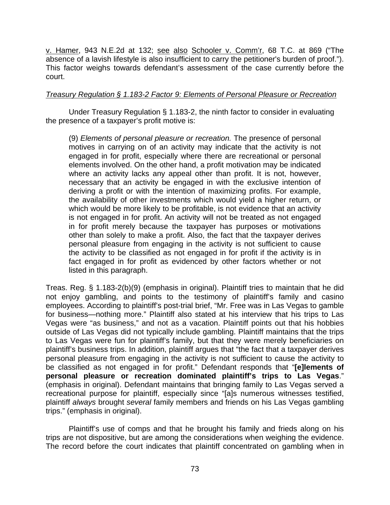v. Hamer, 943 N.E.2d at 132; see also Schooler v. Comm'r, 68 T.C. at 869 ("The absence of a lavish lifestyle is also insufficient to carry the petitioner's burden of proof."). This factor weighs towards defendant's assessment of the case currently before the court.

### *Treasury Regulation § 1.183-2 Factor 9: Elements of Personal Pleasure or Recreation*

 Under Treasury Regulation § 1.183-2, the ninth factor to consider in evaluating the presence of a taxpayer's profit motive is:

(9) *Elements of personal pleasure or recreation.* The presence of personal motives in carrying on of an activity may indicate that the activity is not engaged in for profit, especially where there are recreational or personal elements involved. On the other hand, a profit motivation may be indicated where an activity lacks any appeal other than profit. It is not, however, necessary that an activity be engaged in with the exclusive intention of deriving a profit or with the intention of maximizing profits. For example, the availability of other investments which would yield a higher return, or which would be more likely to be profitable, is not evidence that an activity is not engaged in for profit. An activity will not be treated as not engaged in for profit merely because the taxpayer has purposes or motivations other than solely to make a profit. Also, the fact that the taxpayer derives personal pleasure from engaging in the activity is not sufficient to cause the activity to be classified as not engaged in for profit if the activity is in fact engaged in for profit as evidenced by other factors whether or not listed in this paragraph.

Treas. Reg. § 1.183-2(b)(9) (emphasis in original). Plaintiff tries to maintain that he did not enjoy gambling, and points to the testimony of plaintiff's family and casino employees. According to plaintiff's post-trial brief, "Mr. Free was in Las Vegas to gamble for business—nothing more." Plaintiff also stated at his interview that his trips to Las Vegas were "as business," and not as a vacation. Plaintiff points out that his hobbies outside of Las Vegas did not typically include gambling. Plaintiff maintains that the trips to Las Vegas were fun for plaintiff's family, but that they were merely beneficiaries on plaintiff's business trips. In addition, plaintiff argues that "the fact that a taxpayer derives personal pleasure from engaging in the activity is not sufficient to cause the activity to be classified as not engaged in for profit." Defendant responds that "**[e]lements of personal pleasure or recreation dominated plaintiff's trips to Las Vegas**." (emphasis in original). Defendant maintains that bringing family to Las Vegas served a recreational purpose for plaintiff, especially since "[a]s numerous witnesses testified, plaintiff *always* brought *several* family members and friends on his Las Vegas gambling trips." (emphasis in original).

 Plaintiff's use of comps and that he brought his family and frieds along on his trips are not dispositive, but are among the considerations when weighing the evidence. The record before the court indicates that plaintiff concentrated on gambling when in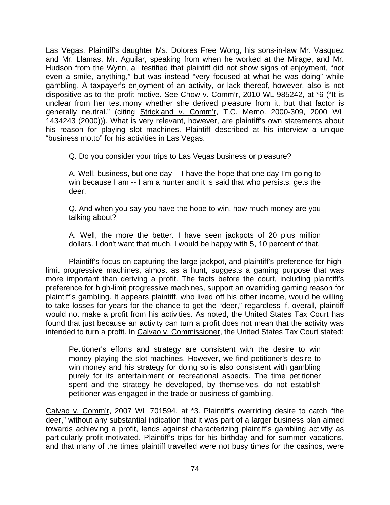Las Vegas. Plaintiff's daughter Ms. Dolores Free Wong, his sons-in-law Mr. Vasquez and Mr. Llamas, Mr. Aguilar, speaking from when he worked at the Mirage, and Mr. Hudson from the Wynn, all testified that plaintiff did not show signs of enjoyment, "not even a smile, anything," but was instead "very focused at what he was doing" while gambling. A taxpayer's enjoyment of an activity, or lack thereof, however, also is not dispositive as to the profit motive. See Chow v. Comm'r, 2010 WL 985242, at \*6 ("It is unclear from her testimony whether she derived pleasure from it, but that factor is generally neutral." (citing Strickland v. Comm'r, T.C. Memo. 2000-309, 2000 WL 1434243 (2000))). What is very relevant, however, are plaintiff's own statements about his reason for playing slot machines. Plaintiff described at his interview a unique "business motto" for his activities in Las Vegas.

Q. Do you consider your trips to Las Vegas business or pleasure?

A. Well, business, but one day -- I have the hope that one day I'm going to win because I am -- I am a hunter and it is said that who persists, gets the deer.

Q. And when you say you have the hope to win, how much money are you talking about?

A. Well, the more the better. I have seen jackpots of 20 plus million dollars. I don't want that much. I would be happy with 5, 10 percent of that.

Plaintiff's focus on capturing the large jackpot, and plaintiff's preference for highlimit progressive machines, almost as a hunt, suggests a gaming purpose that was more important than deriving a profit. The facts before the court, including plaintiff's preference for high-limit progressive machines, support an overriding gaming reason for plaintiff's gambling. It appears plaintiff, who lived off his other income, would be willing to take losses for years for the chance to get the "deer," regardless if, overall, plaintiff would not make a profit from his activities. As noted, the United States Tax Court has found that just because an activity can turn a profit does not mean that the activity was intended to turn a profit. In Calvao v. Commissioner, the United States Tax Court stated:

Petitioner's efforts and strategy are consistent with the desire to win money playing the slot machines. However, we find petitioner's desire to win money and his strategy for doing so is also consistent with gambling purely for its entertainment or recreational aspects. The time petitioner spent and the strategy he developed, by themselves, do not establish petitioner was engaged in the trade or business of gambling.

Calvao v. Comm'r, 2007 WL 701594, at \*3. Plaintiff's overriding desire to catch "the deer," without any substantial indication that it was part of a larger business plan aimed towards achieving a profit, lends against characterizing plaintiff's gambling activity as particularly profit-motivated. Plaintiff's trips for his birthday and for summer vacations, and that many of the times plaintiff travelled were not busy times for the casinos, were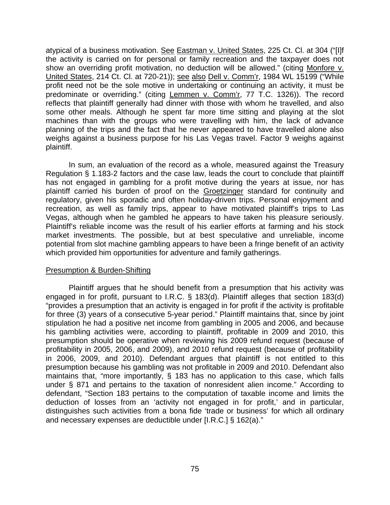atypical of a business motivation. See Eastman v. United States, 225 Ct. Cl. at 304 ("[I]f the activity is carried on for personal or family recreation and the taxpayer does not show an overriding profit motivation, no deduction will be allowed." (citing Monfore v. United States, 214 Ct. Cl. at 720-21)); see also Dell v. Comm'r, 1984 WL 15199 ("While profit need not be the sole motive in undertaking or continuing an activity, it must be predominate or overriding." (citing Lemmen v. Comm'r, 77 T.C. 1326)). The record reflects that plaintiff generally had dinner with those with whom he travelled, and also some other meals. Although he spent far more time sitting and playing at the slot machines than with the groups who were travelling with him, the lack of advance planning of the trips and the fact that he never appeared to have travelled alone also weighs against a business purpose for his Las Vegas travel. Factor 9 weighs against plaintiff.

In sum, an evaluation of the record as a whole, measured against the Treasury Regulation § 1.183-2 factors and the case law, leads the court to conclude that plaintiff has not engaged in gambling for a profit motive during the years at issue, nor has plaintiff carried his burden of proof on the Groetzinger standard for continuity and regulatory, given his sporadic and often holiday-driven trips. Personal enjoyment and recreation, as well as family trips, appear to have motivated plaintiff's trips to Las Vegas, although when he gambled he appears to have taken his pleasure seriously. Plaintiff's reliable income was the result of his earlier efforts at farming and his stock market investments. The possible, but at best speculative and unreliable, income potential from slot machine gambling appears to have been a fringe benefit of an activity which provided him opportunities for adventure and family gatherings.

#### Presumption & Burden-Shifting

 Plaintiff argues that he should benefit from a presumption that his activity was engaged in for profit, pursuant to I.R.C. § 183(d). Plaintiff alleges that section 183(d) "provides a presumption that an activity is engaged in for profit if the activity is profitable for three (3) years of a consecutive 5-year period." Plaintiff maintains that, since by joint stipulation he had a positive net income from gambling in 2005 and 2006, and because his gambling activities were, according to plaintiff, profitable in 2009 and 2010, this presumption should be operative when reviewing his 2009 refund request (because of profitability in 2005, 2006, and 2009), and 2010 refund request (because of profitability in 2006, 2009, and 2010). Defendant argues that plaintiff is not entitled to this presumption because his gambling was not profitable in 2009 and 2010. Defendant also maintains that, "more importantly, § 183 has no application to this case, which falls under § 871 and pertains to the taxation of nonresident alien income." According to defendant, "Section 183 pertains to the computation of taxable income and limits the deduction of losses from an 'activity not engaged in for profit,' and in particular, distinguishes such activities from a bona fide 'trade or business' for which all ordinary and necessary expenses are deductible under [I.R.C.] § 162(a)."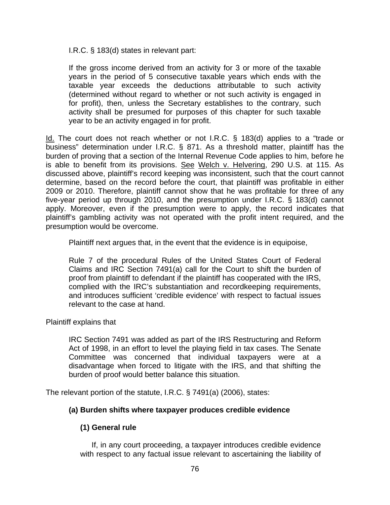I.R.C. § 183(d) states in relevant part:

If the gross income derived from an activity for 3 or more of the taxable years in the period of 5 consecutive taxable years which ends with the taxable year exceeds the deductions attributable to such activity (determined without regard to whether or not such activity is engaged in for profit), then, unless the Secretary establishes to the contrary, such activity shall be presumed for purposes of this chapter for such taxable year to be an activity engaged in for profit.

Id. The court does not reach whether or not I.R.C. § 183(d) applies to a "trade or business" determination under I.R.C. § 871. As a threshold matter, plaintiff has the burden of proving that a section of the Internal Revenue Code applies to him, before he is able to benefit from its provisions. See Welch v. Helvering, 290 U.S. at 115. As discussed above, plaintiff's record keeping was inconsistent, such that the court cannot determine, based on the record before the court, that plaintiff was profitable in either 2009 or 2010. Therefore, plaintiff cannot show that he was profitable for three of any five-year period up through 2010, and the presumption under I.R.C. § 183(d) cannot apply. Moreover, even if the presumption were to apply, the record indicates that plaintiff's gambling activity was not operated with the profit intent required, and the presumption would be overcome.

Plaintiff next argues that, in the event that the evidence is in equipoise,

Rule 7 of the procedural Rules of the United States Court of Federal Claims and IRC Section 7491(a) call for the Court to shift the burden of proof from plaintiff to defendant if the plaintiff has cooperated with the IRS, complied with the IRC's substantiation and recordkeeping requirements, and introduces sufficient 'credible evidence' with respect to factual issues relevant to the case at hand.

Plaintiff explains that

IRC Section 7491 was added as part of the IRS Restructuring and Reform Act of 1998, in an effort to level the playing field in tax cases. The Senate Committee was concerned that individual taxpayers were at a disadvantage when forced to litigate with the IRS, and that shifting the burden of proof would better balance this situation.

The relevant portion of the statute, I.R.C. § 7491(a) (2006), states:

# **(a) Burden shifts where taxpayer produces credible evidence**

# **(1) General rule**

 If, in any court proceeding, a taxpayer introduces credible evidence with respect to any factual issue relevant to ascertaining the liability of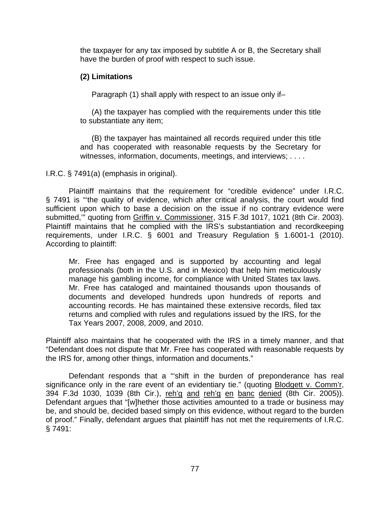the taxpayer for any tax imposed by subtitle A or B, the Secretary shall have the burden of proof with respect to such issue.

### **(2) Limitations**

Paragraph (1) shall apply with respect to an issue only if–

(A) the taxpayer has complied with the requirements under this title to substantiate any item;

(B) the taxpayer has maintained all records required under this title and has cooperated with reasonable requests by the Secretary for witnesses, information, documents, meetings, and interviews; . . . .

I.R.C. § 7491(a) (emphasis in original).

Plaintiff maintains that the requirement for "credible evidence" under I.R.C. § 7491 is "'the quality of evidence, which after critical analysis, the court would find sufficient upon which to base a decision on the issue if no contrary evidence were submitted,'" quoting from Griffin v. Commissioner, 315 F.3d 1017, 1021 (8th Cir. 2003). Plaintiff maintains that he complied with the IRS's substantiation and recordkeeping requirements, under I.R.C. § 6001 and Treasury Regulation § 1.6001-1 (2010). According to plaintiff:

Mr. Free has engaged and is supported by accounting and legal professionals (both in the U.S. and in Mexico) that help him meticulously manage his gambling income, for compliance with United States tax laws. Mr. Free has cataloged and maintained thousands upon thousands of documents and developed hundreds upon hundreds of reports and accounting records. He has maintained these extensive records, filed tax returns and complied with rules and regulations issued by the IRS, for the Tax Years 2007, 2008, 2009, and 2010.

Plaintiff also maintains that he cooperated with the IRS in a timely manner, and that "Defendant does not dispute that Mr. Free has cooperated with reasonable requests by the IRS for, among other things, information and documents."

 Defendant responds that a "'shift in the burden of preponderance has real significance only in the rare event of an evidentiary tie." (quoting Blodgett v. Comm'r, 394 F.3d 1030, 1039 (8th Cir.), reh'g and reh'g en banc denied (8th Cir. 2005)). Defendant argues that "[w]hether those activities amounted to a trade or business may be, and should be, decided based simply on this evidence, without regard to the burden of proof." Finally, defendant argues that plaintiff has not met the requirements of I.R.C. § 7491: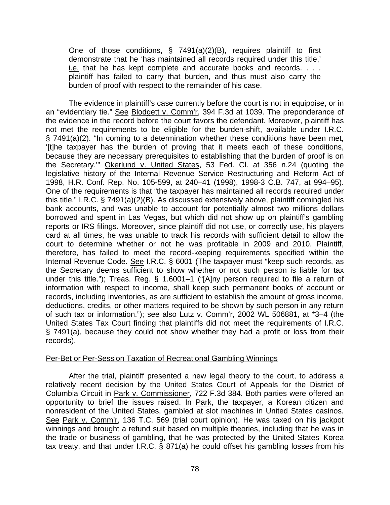One of those conditions, § 7491(a)(2)(B), requires plaintiff to first demonstrate that he 'has maintained all records required under this title,' i.e. that he has kept complete and accurate books and records. . . . plaintiff has failed to carry that burden, and thus must also carry the burden of proof with respect to the remainder of his case.

The evidence in plaintiff's case currently before the court is not in equipoise, or in an "evidentiary tie." See Blodgett v. Comm'r, 394 F.3d at 1039. The preponderance of the evidence in the record before the court favors the defendant. Moreover, plaintiff has not met the requirements to be eligible for the burden-shift, available under I.R.C. § 7491(a)(2). "In coming to a determination whether these conditions have been met, '[t]he taxpayer has the burden of proving that it meets each of these conditions, because they are necessary prerequisites to establishing that the burden of proof is on the Secretary.'" Okerlund v. United States, 53 Fed. Cl. at 356 n.24 (quoting the legislative history of the Internal Revenue Service Restructuring and Reform Act of 1998, H.R. Conf. Rep. No. 105-599, at 240–41 (1998), 1998-3 C.B. 747, at 994–95). One of the requirements is that "the taxpayer has maintained all records required under this title." I.R.C. § 7491(a)(2)(B). As discussed extensively above, plaintiff comingled his bank accounts, and was unable to account for potentially almost two millions dollars borrowed and spent in Las Vegas, but which did not show up on plaintiff's gambling reports or IRS filings. Moreover, since plaintiff did not use, or correctly use, his players card at all times, he was unable to track his records with sufficient detail to allow the court to determine whether or not he was profitable in 2009 and 2010. Plaintiff, therefore, has failed to meet the record-keeping requirements specified within the Internal Revenue Code. See I.R.C. § 6001 (The taxpayer must "keep such records, as the Secretary deems sufficient to show whether or not such person is liable for tax under this title."); Treas. Reg. § 1.6001–1 ("[A]ny person required to file a return of information with respect to income, shall keep such permanent books of account or records, including inventories, as are sufficient to establish the amount of gross income, deductions, credits, or other matters required to be shown by such person in any return of such tax or information."); see also Lutz v. Comm'r, 2002 WL 506881, at \*3–4 (the United States Tax Court finding that plaintiffs did not meet the requirements of I.R.C. § 7491(a), because they could not show whether they had a profit or loss from their records).

#### Per-Bet or Per-Session Taxation of Recreational Gambling Winnings

After the trial, plaintiff presented a new legal theory to the court, to address a relatively recent decision by the United States Court of Appeals for the District of Columbia Circuit in Park v. Commissioner, 722 F.3d 384. Both parties were offered an opportunity to brief the issues raised. In Park, the taxpayer, a Korean citizen and nonresident of the United States, gambled at slot machines in United States casinos. See Park v. Comm'r, 136 T.C. 569 (trial court opinion). He was taxed on his jackpot winnings and brought a refund suit based on multiple theories, including that he was in the trade or business of gambling, that he was protected by the United States–Korea tax treaty, and that under I.R.C. § 871(a) he could offset his gambling losses from his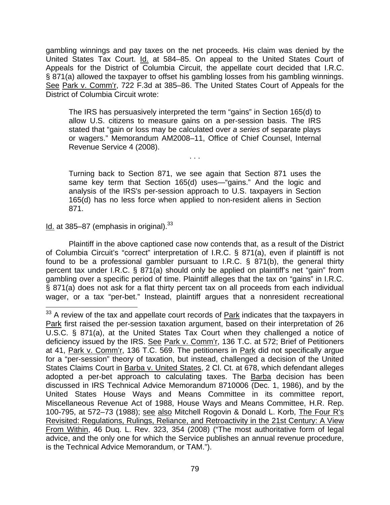gambling winnings and pay taxes on the net proceeds. His claim was denied by the United States Tax Court. Id. at 584–85. On appeal to the United States Court of Appeals for the District of Columbia Circuit, the appellate court decided that I.R.C. § 871(a) allowed the taxpayer to offset his gambling losses from his gambling winnings. See Park v. Comm'r, 722 F.3d at 385–86. The United States Court of Appeals for the District of Columbia Circuit wrote:

The IRS has persuasively interpreted the term "gains" in Section 165(d) to allow U.S. citizens to measure gains on a per-session basis. The IRS stated that "gain or loss may be calculated over *a series o*f separate plays or wagers." Memorandum AM2008–11, Office of Chief Counsel, Internal Revenue Service 4 (2008).

. . .

Turning back to Section 871, we see again that Section 871 uses the same key term that Section 165(d) uses—"gains." And the logic and analysis of the IRS's per-session approach to U.S. taxpayers in Section 165(d) has no less force when applied to non-resident aliens in Section 871.

Id. at  $385-87$  (emphasis in original).  $33$ 

Plaintiff in the above captioned case now contends that, as a result of the District of Columbia Circuit's "correct" interpretation of I.R.C. § 871(a), even if plaintiff is not found to be a professional gambler pursuant to I.R.C. § 871(b), the general thirty percent tax under I.R.C. § 871(a) should only be applied on plaintiff's net "gain" from gambling over a specific period of time. Plaintiff alleges that the tax on "gains" in I.R.C. § 871(a) does not ask for a flat thirty percent tax on all proceeds from each individual wager, or a tax "per-bet." Instead, plaintiff argues that a nonresident recreational

 $\overline{a}$  $33$  A review of the tax and appellate court records of  $Park$  indicates that the taxpayers in</u> Park first raised the per-session taxation argument, based on their interpretation of 26 U.S.C. § 871(a), at the United States Tax Court when they challenged a notice of deficiency issued by the IRS. See Park v. Comm'r, 136 T.C. at 572; Brief of Petitioners at 41, Park v. Comm'r, 136 T.C. 569. The petitioners in Park did not specifically argue for a "per-session" theory of taxation, but instead, challenged a decision of the United States Claims Court in Barba v. United States, 2 Cl. Ct. at 678, which defendant alleges adopted a per-bet approach to calculating taxes. The **Barba** decision has been discussed in IRS Technical Advice Memorandum 8710006 (Dec. 1, 1986), and by the United States House Ways and Means Committee in its committee report, Miscellaneous Revenue Act of 1988, House Ways and Means Committee, H.R. Rep. 100-795, at 572–73 (1988); see also Mitchell Rogovin & Donald L. Korb, The Four R's Revisited: Regulations, Rulings, Reliance, and Retroactivity in the 21st Century: A View From Within, 46 Duq. L. Rev. 323, 354 (2008) ("The most authoritative form of legal advice, and the only one for which the Service publishes an annual revenue procedure, is the Technical Advice Memorandum, or TAM.").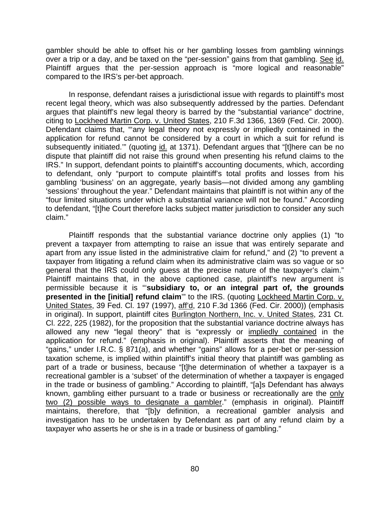gambler should be able to offset his or her gambling losses from gambling winnings over a trip or a day, and be taxed on the "per-session" gains from that gambling. See id. Plaintiff argues that the per-session approach is "more logical and reasonable" compared to the IRS's per-bet approach.

In response, defendant raises a jurisdictional issue with regards to plaintiff's most recent legal theory, which was also subsequently addressed by the parties. Defendant argues that plaintiff's new legal theory is barred by the "substantial variance" doctrine, citing to Lockheed Martin Corp. v. United States, 210 F.3d 1366, 1369 (Fed. Cir. 2000). Defendant claims that, "any legal theory not expressly or impliedly contained in the application for refund cannot be considered by a court in which a suit for refund is subsequently initiated." (quoting id. at 1371). Defendant argues that "[t]here can be no dispute that plaintiff did not raise this ground when presenting his refund claims to the IRS." In support, defendant points to plaintiff's accounting documents, which, according to defendant, only "purport to compute plaintiff's total profits and losses from his gambling 'business' on an aggregate, yearly basis—not divided among any gambling 'sessions' throughout the year." Defendant maintains that plaintiff is not within any of the "four limited situations under which a substantial variance will not be found." According to defendant, "[t]he Court therefore lacks subject matter jurisdiction to consider any such claim."

 Plaintiff responds that the substantial variance doctrine only applies (1) "to prevent a taxpayer from attempting to raise an issue that was entirely separate and apart from any issue listed in the administrative claim for refund," and (2) "to prevent a taxpayer from litigating a refund claim when its administrative claim was so vague or so general that the IRS could only guess at the precise nature of the taxpayer's claim." Plaintiff maintains that, in the above captioned case, plaintiff's new argument is permissible because it is "'**subsidiary to, or an integral part of, the grounds presented in the [initial] refund claim**" to the IRS. (quoting Lockheed Martin Corp. v. United States, 39 Fed. Cl. 197 (1997), aff'd, 210 F.3d 1366 (Fed. Cir. 2000)) (emphasis in original). In support, plaintiff cites Burlington Northern, Inc. v. United States, 231 Ct. Cl. 222, 225 (1982), for the proposition that the substantial variance doctrine always has allowed any new "legal theory" that is "expressly or impliedly contained in the application for refund." (emphasis in original). Plaintiff asserts that the meaning of "gains," under I.R.C. § 871(a), and whether "gains" allows for a per-bet or per-session taxation scheme, is implied within plaintiff's initial theory that plaintiff was gambling as part of a trade or business, because "[t]he determination of whether a taxpayer is a recreational gambler is a 'subset' of the determination of whether a taxpayer is engaged in the trade or business of gambling." According to plaintiff, "[a]s Defendant has always known, gambling either pursuant to a trade or business or recreationally are the only two (2) possible ways to designate a gambler." (emphasis in original). Plaintiff maintains, therefore, that "[b]y definition, a recreational gambler analysis and investigation has to be undertaken by Defendant as part of any refund claim by a taxpayer who asserts he or she is in a trade or business of gambling."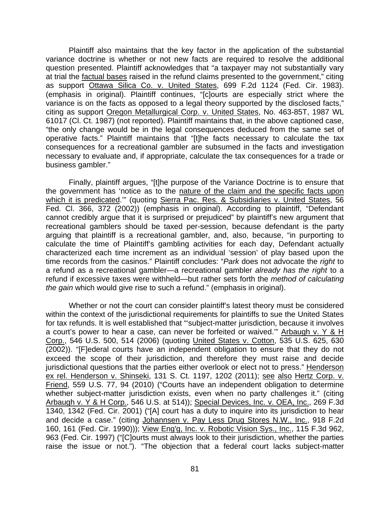Plaintiff also maintains that the key factor in the application of the substantial variance doctrine is whether or not new facts are required to resolve the additional question presented. Plaintiff acknowledges that "a taxpayer may not substantially vary at trial the factual bases raised in the refund claims presented to the government," citing as support Ottawa Silica Co. v. United States, 699 F.2d 1124 (Fed. Cir. 1983). (emphasis in original). Plaintiff continues, "[c]ourts are especially strict where the variance is on the facts as opposed to a legal theory supported by the disclosed facts," citing as support Oregon Metallurgical Corp. v. United States, No. 463-85T, 1987 WL 61017 (Cl. Ct. 1987) (not reported). Plaintiff maintains that, in the above captioned case, "the only change would be in the legal consequences deduced from the same set of operative facts." Plaintiff maintains that "[t]he facts necessary to calculate the tax consequences for a recreational gambler are subsumed in the facts and investigation necessary to evaluate and, if appropriate, calculate the tax consequences for a trade or business gambler."

Finally, plaintiff argues, "[t]he purpose of the Variance Doctrine is to ensure that the government has 'notice as to the nature of the claim and the specific facts upon which it is predicated."" (quoting Sierra Pac. Res. & Subsidiaries v. United States, 56 Fed. Cl. 366, 372 (2002)) (emphasis in original). According to plaintiff, "Defendant cannot credibly argue that it is surprised or prejudiced" by plaintiff's new argument that recreational gamblers should be taxed per-session, because defendant is the party arguing that plaintiff is a recreational gambler, and, also, because, "in purporting to calculate the time of Plaintiff's gambling activities for each day, Defendant actually characterized each time increment as an individual 'session' of play based upon the time records from the casinos." Plaintiff concludes: "*Park* does not advocate the *right* to a refund as a recreational gambler—a recreational gambler *already has the right* to a refund if excessive taxes were withheld—but rather sets forth the *method of calculating the gain* which would give rise to such a refund." (emphasis in original).

Whether or not the court can consider plaintiff's latest theory must be considered within the context of the jurisdictional requirements for plaintiffs to sue the United States for tax refunds. It is well established that "'subject-matter jurisdiction, because it involves a court's power to hear a case, can never be forfeited or waived.'" Arbaugh v. Y & H Corp., 546 U.S. 500, 514 (2006) (quoting United States v. Cotton, 535 U.S. 625, 630 (2002)). "[F]ederal courts have an independent obligation to ensure that they do not exceed the scope of their jurisdiction, and therefore they must raise and decide jurisdictional questions that the parties either overlook or elect not to press." Henderson ex rel. Henderson v. Shinseki, 131 S. Ct. 1197, 1202 (2011); see also Hertz Corp. v. Friend, 559 U.S. 77, 94 (2010) ("Courts have an independent obligation to determine whether subject-matter jurisdiction exists, even when no party challenges it." (citing Arbaugh v. Y & H Corp., 546 U.S. at 514)); Special Devices, Inc. v. OEA, Inc., 269 F.3d 1340, 1342 (Fed. Cir. 2001) ("[A] court has a duty to inquire into its jurisdiction to hear and decide a case." (citing Johannsen v. Pay Less Drug Stores N.W., Inc., 918 F.2d 160, 161 (Fed. Cir. 1990))); View Eng'g, Inc. v. Robotic Vision Sys., Inc., 115 F.3d 962, 963 (Fed. Cir. 1997) ("[C]ourts must always look to their jurisdiction, whether the parties raise the issue or not."). "The objection that a federal court lacks subject-matter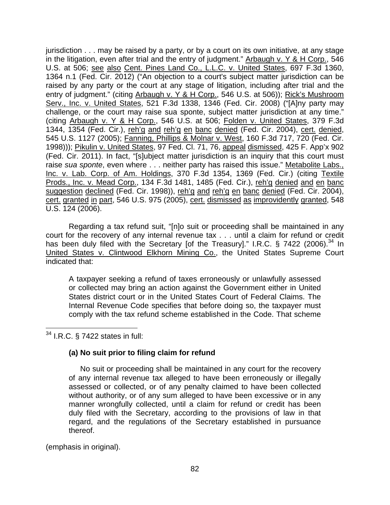jurisdiction . . . may be raised by a party, or by a court on its own initiative, at any stage in the litigation, even after trial and the entry of judgment." Arbaugh v. Y & H Corp., 546 U.S. at 506; see also Cent. Pines Land Co., L.L.C. v. United States, 697 F.3d 1360, 1364 n.1 (Fed. Cir. 2012) ("An objection to a court's subject matter jurisdiction can be raised by any party or the court at any stage of litigation, including after trial and the entry of judgment." (citing Arbaugh v. Y & H Corp., 546 U.S. at 506)); Rick's Mushroom Serv., Inc. v. United States, 521 F.3d 1338, 1346 (Fed. Cir. 2008) ("[A]ny party may challenge, or the court may raise sua sponte, subject matter jurisdiction at any time." (citing Arbaugh v. Y & H Corp., 546 U.S. at 506; Folden v. United States, 379 F.3d 1344, 1354 (Fed. Cir.), reh'g and reh'g en banc denied (Fed. Cir. 2004), cert. denied, 545 U.S. 1127 (2005); Fanning, Phillips & Molnar v. West, 160 F.3d 717, 720 (Fed. Cir. 1998))); Pikulin v. United States, 97 Fed. Cl. 71, 76, appeal dismissed, 425 F. App'x 902 (Fed. Cir. 2011). In fact, "[s]ubject matter jurisdiction is an inquiry that this court must raise *sua sponte*, even where . . . neither party has raised this issue." Metabolite Labs., Inc. v. Lab. Corp. of Am. Holdings, 370 F.3d 1354, 1369 (Fed. Cir.) (citing Textile Prods., Inc. v. Mead Corp., 134 F.3d 1481, 1485 (Fed. Cir.), reh'g denied and en banc suggestion declined (Fed. Cir. 1998)), reh'g and reh'g en banc denied (Fed. Cir. 2004), cert. granted in part, 546 U.S. 975 (2005), cert. dismissed as improvidently granted, 548 U.S. 124 (2006).

Regarding a tax refund suit, "[n]o suit or proceeding shall be maintained in any court for the recovery of any internal revenue tax . . . until a claim for refund or credit has been duly filed with the Secretary [of the Treasury]." I.R.C.  $\S$  7422 (2006).<sup>34</sup> In United States v. Clintwood Elkhorn Mining Co., the United States Supreme Court indicated that:

A taxpayer seeking a refund of taxes erroneously or unlawfully assessed or collected may bring an action against the Government either in United States district court or in the United States Court of Federal Claims. The Internal Revenue Code specifies that before doing so, the taxpayer must comply with the tax refund scheme established in the Code. That scheme

 $\overline{a}$  $34$  I.R.C. § 7422 states in full:

# **(a) No suit prior to filing claim for refund**

No suit or proceeding shall be maintained in any court for the recovery of any internal revenue tax alleged to have been erroneously or illegally assessed or collected, or of any penalty claimed to have been collected without authority, or of any sum alleged to have been excessive or in any manner wrongfully collected, until a claim for refund or credit has been duly filed with the Secretary, according to the provisions of law in that regard, and the regulations of the Secretary established in pursuance thereof.

(emphasis in original).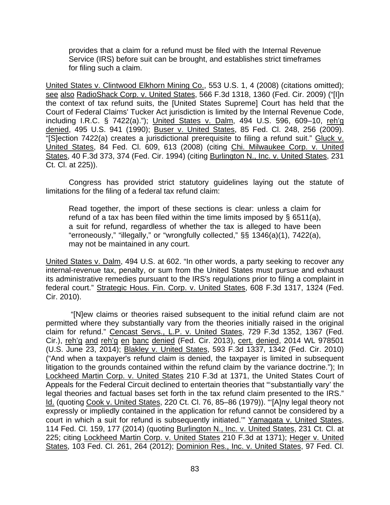provides that a claim for a refund must be filed with the Internal Revenue Service (IRS) before suit can be brought, and establishes strict timeframes for filing such a claim.

United States v. Clintwood Elkhorn Mining Co., 553 U.S. 1, 4 (2008) (citations omitted); see also RadioShack Corp. v. United States, 566 F.3d 1318, 1360 (Fed. Cir. 2009) ("[I]n the context of tax refund suits, the [United States Supreme] Court has held that the Court of Federal Claims' Tucker Act jurisdiction is limited by the Internal Revenue Code, including I.R.C. § 7422(a)."); United States v. Dalm, 494 U.S. 596, 609-10, reh'g denied, 495 U.S. 941 (1990); Buser v. United States, 85 Fed. Cl. 248, 256 (2009). "[S]ection 7422(a) creates a jurisdictional prerequisite to filing a refund suit." Gluck v. United States, 84 Fed. Cl. 609, 613 (2008) (citing Chi. Milwaukee Corp. v. United States, 40 F.3d 373, 374 (Fed. Cir. 1994) (citing Burlington N., Inc. v. United States, 231 Ct. Cl. at 225)).

Congress has provided strict statutory guidelines laying out the statute of limitations for the filing of a federal tax refund claim:

Read together, the import of these sections is clear: unless a claim for refund of a tax has been filed within the time limits imposed by  $\S$  6511(a), a suit for refund, regardless of whether the tax is alleged to have been "erroneously," "illegally," or "wrongfully collected," §§ 1346(a)(1), 7422(a), may not be maintained in any court.

United States v. Dalm, 494 U.S. at 602. "In other words, a party seeking to recover any internal-revenue tax, penalty, or sum from the United States must pursue and exhaust its administrative remedies pursuant to the IRS's regulations prior to filing a complaint in federal court." Strategic Hous. Fin. Corp. v. United States, 608 F.3d 1317, 1324 (Fed. Cir. 2010).

 "[N]ew claims or theories raised subsequent to the initial refund claim are not permitted where they substantially vary from the theories initially raised in the original claim for refund." Cencast Servs., L.P. v. United States, 729 F.3d 1352, 1367 (Fed. Cir.), reh'g and reh'g en banc denied (Fed. Cir. 2013), cert. denied, 2014 WL 978501 (U.S. June 23, 2014); Blakley v. United States, 593 F.3d 1337, 1342 (Fed. Cir. 2010) ("And when a taxpayer's refund claim is denied, the taxpayer is limited in subsequent litigation to the grounds contained within the refund claim by the variance doctrine."); In Lockheed Martin Corp. v. United States 210 F.3d at 1371, the United States Court of Appeals for the Federal Circuit declined to entertain theories that "'substantially vary' the legal theories and factual bases set forth in the tax refund claim presented to the IRS." Id. (quoting Cook v. United States, 220 Ct. Cl. 76, 85-86 (1979)). "[A]ny legal theory not expressly or impliedly contained in the application for refund cannot be considered by a court in which a suit for refund is subsequently initiated." Yamagata v. United States, 114 Fed. Cl. 159, 177 (2014) (quoting Burlington N., Inc. v. United States, 231 Ct. Cl. at 225; citing Lockheed Martin Corp. v. United States 210 F.3d at 1371); Heger v. United States, 103 Fed. Cl. 261, 264 (2012); Dominion Res., Inc. v. United States, 97 Fed. Cl.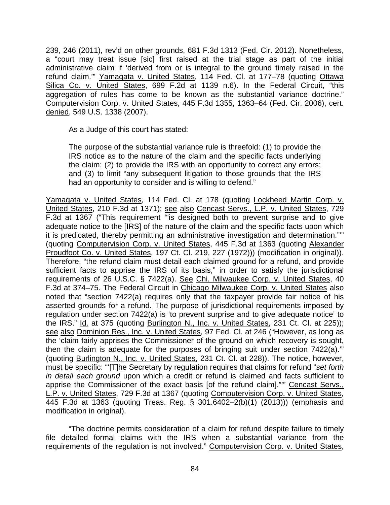239, 246 (2011), rev'd on other grounds, 681 F.3d 1313 (Fed. Cir. 2012). Nonetheless. a "court may treat issue [sic] first raised at the trial stage as part of the initial administrative claim if 'derived from or is integral to the ground timely raised in the refund claim."" Yamagata v. United States, 114 Fed. Cl. at 177-78 (quoting Ottawa Silica Co. v. United States, 699 F.2d at 1139 n.6). In the Federal Circuit, "this aggregation of rules has come to be known as the substantial variance doctrine." Computervision Corp. v. United States, 445 F.3d 1355, 1363–64 (Fed. Cir. 2006), cert. denied, 549 U.S. 1338 (2007).

As a Judge of this court has stated:

The purpose of the substantial variance rule is threefold: (1) to provide the IRS notice as to the nature of the claim and the specific facts underlying the claim; (2) to provide the IRS with an opportunity to correct any errors; and (3) to limit "any subsequent litigation to those grounds that the IRS had an opportunity to consider and is willing to defend."

Yamagata v. United States, 114 Fed. Cl. at 178 (quoting Lockheed Martin Corp. v. United States, 210 F.3d at 1371); see also Cencast Servs., L.P. v. United States, 729 F.3d at 1367 ("This requirement '"is designed both to prevent surprise and to give adequate notice to the [IRS] of the nature of the claim and the specific facts upon which it is predicated, thereby permitting an administrative investigation and determination."'" (quoting Computervision Corp. v. United States, 445 F.3d at 1363 (quoting Alexander Proudfoot Co. v. United States, 197 Ct. Cl. 219, 227 (1972))) (modification in original)). Therefore, "the refund claim must detail each claimed ground for a refund, and provide sufficient facts to apprise the IRS of its basis," in order to satisfy the jurisdictional requirements of 26 U.S.C. § 7422(a). See Chi. Milwaukee Corp. v. United States, 40 F.3d at 374–75. The Federal Circuit in Chicago Milwaukee Corp. v. United States also noted that "section 7422(a) requires only that the taxpayer provide fair notice of his asserted grounds for a refund. The purpose of jurisdictional requirements imposed by regulation under section 7422(a) is 'to prevent surprise and to give adequate notice' to the IRS." Id. at 375 (quoting Burlington N., Inc. v. United States, 231 Ct. Cl. at 225)); see also Dominion Res., Inc. v. United States, 97 Fed. Cl. at 246 ("However, as long as the 'claim fairly apprises the Commissioner of the ground on which recovery is sought, then the claim is adequate for the purposes of bringing suit under section 7422(a).'" (quoting Burlington N., Inc. v. United States, 231 Ct. Cl. at 228)). The notice, however, must be specific: "'[T]he Secretary by regulation requires that claims for refund "*set forth in detail each ground* upon which a credit or refund is claimed and facts sufficient to apprise the Commissioner of the exact basis [of the refund claim]."'" Cencast Servs., L.P. v. United States, 729 F.3d at 1367 (quoting Computervision Corp. v. United States, 445 F.3d at 1363 (quoting Treas. Reg. § 301.6402–2(b)(1) (2013))) (emphasis and modification in original).

 "The doctrine permits consideration of a claim for refund despite failure to timely file detailed formal claims with the IRS when a substantial variance from the requirements of the regulation is not involved." Computervision Corp. v. United States,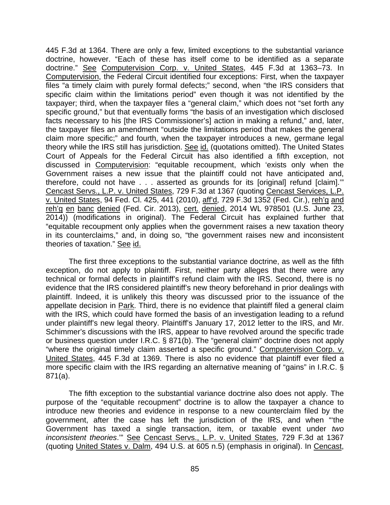445 F.3d at 1364. There are only a few, limited exceptions to the substantial variance doctrine, however. "Each of these has itself come to be identified as a separate doctrine." See Computervision Corp. v. United States, 445 F.3d at 1363–73. In Computervision, the Federal Circuit identified four exceptions: First, when the taxpayer files "a timely claim with purely formal defects;" second, when "the IRS considers that specific claim within the limitations period" even though it was not identified by the taxpayer; third, when the taxpayer files a "general claim," which does not "set forth any specific ground," but that eventually forms "the basis of an investigation which disclosed facts necessary to his [the IRS Commissioner's] action in making a refund," and, later, the taxpayer files an amendment "outside the limitations period that makes the general claim more specific;" and fourth, when the taxpayer introduces a new, germane legal theory while the IRS still has jurisdiction. See id. (quotations omitted). The United States Court of Appeals for the Federal Circuit has also identified a fifth exception, not discussed in Computervision: "equitable recoupment, which 'exists only when the Government raises a new issue that the plaintiff could not have anticipated and, therefore, could not have . . . asserted as grounds for its [original] refund [claim].'" Cencast Servs., L.P. v. United States, 729 F.3d at 1367 (quoting Cencast Services, L.P. v. United States, 94 Fed. Cl. 425, 441 (2010), aff'd, 729 F.3d 1352 (Fed. Cir.), reh'g and reh'g en banc denied (Fed. Cir. 2013), cert. denied, 2014 WL 978501 (U.S. June 23, 2014)) (modifications in original). The Federal Circuit has explained further that "equitable recoupment only applies when the government raises a new taxation theory in its counterclaims," and, in doing so, "the government raises new and inconsistent theories of taxation." See id.

The first three exceptions to the substantial variance doctrine, as well as the fifth exception, do not apply to plaintiff. First, neither party alleges that there were any technical or formal defects in plaintiff's refund claim with the IRS. Second, there is no evidence that the IRS considered plaintiff's new theory beforehand in prior dealings with plaintiff. Indeed, it is unlikely this theory was discussed prior to the issuance of the appellate decision in Park. Third, there is no evidence that plaintiff filed a general claim with the IRS, which could have formed the basis of an investigation leading to a refund under plaintiff's new legal theory. Plaintiff's January 17, 2012 letter to the IRS, and Mr. Schimmer's discussions with the IRS, appear to have revolved around the specific trade or business question under I.R.C. § 871(b). The "general claim" doctrine does not apply "where the original timely claim asserted a specific ground." Computervision Corp. v. United States, 445 F.3d at 1369. There is also no evidence that plaintiff ever filed a more specific claim with the IRS regarding an alternative meaning of "gains" in I.R.C. § 871(a).

The fifth exception to the substantial variance doctrine also does not apply. The purpose of the "equitable recoupment" doctrine is to allow the taxpayer a chance to introduce new theories and evidence in response to a new counterclaim filed by the government, after the case has left the jurisdiction of the IRS, and when "'the Government has taxed a single transaction, item, or taxable event under *two inconsistent theories*.'" See Cencast Servs., L.P. v. United States, 729 F.3d at 1367 (quoting United States v. Dalm, 494 U.S. at 605 n.5) (emphasis in original). In Cencast,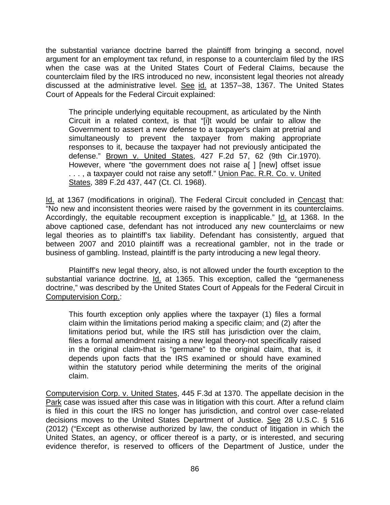the substantial variance doctrine barred the plaintiff from bringing a second, novel argument for an employment tax refund, in response to a counterclaim filed by the IRS when the case was at the United States Court of Federal Claims, because the counterclaim filed by the IRS introduced no new, inconsistent legal theories not already discussed at the administrative level. See id. at 1357–38, 1367. The United States Court of Appeals for the Federal Circuit explained:

The principle underlying equitable recoupment, as articulated by the Ninth Circuit in a related context, is that "[i]t would be unfair to allow the Government to assert a new defense to a taxpayer's claim at pretrial and simultaneously to prevent the taxpayer from making appropriate responses to it, because the taxpayer had not previously anticipated the defense." Brown v. United States, 427 F.2d 57, 62 (9th Cir.1970). However, where "the government does not raise a[ ] [new] offset issue . . . , a taxpayer could not raise any setoff." Union Pac. R.R. Co. v. United States, 389 F.2d 437, 447 (Ct. Cl. 1968).

Id. at 1367 (modifications in original). The Federal Circuit concluded in Cencast that: "No new and inconsistent theories were raised by the government in its counterclaims. Accordingly, the equitable recoupment exception is inapplicable." Id. at 1368. In the above captioned case, defendant has not introduced any new counterclaims or new legal theories as to plaintiff's tax liability. Defendant has consistently, argued that between 2007 and 2010 plaintiff was a recreational gambler, not in the trade or business of gambling. Instead, plaintiff is the party introducing a new legal theory.

Plaintiff's new legal theory, also, is not allowed under the fourth exception to the substantial variance doctrine. Id. at 1365. This exception, called the "germaneness" doctrine," was described by the United States Court of Appeals for the Federal Circuit in Computervision Corp.:

This fourth exception only applies where the taxpayer (1) files a formal claim within the limitations period making a specific claim; and (2) after the limitations period but, while the IRS still has jurisdiction over the claim, files a formal amendment raising a new legal theory-not specifically raised in the original claim-that is "germane" to the original claim, that is, it depends upon facts that the IRS examined or should have examined within the statutory period while determining the merits of the original claim.

Computervision Corp. v. United States, 445 F.3d at 1370. The appellate decision in the Park case was issued after this case was in litigation with this court. After a refund claim is filed in this court the IRS no longer has jurisdiction, and control over case-related decisions moves to the United States Department of Justice. See 28 U.S.C. § 516 (2012) ("Except as otherwise authorized by law, the conduct of litigation in which the United States, an agency, or officer thereof is a party, or is interested, and securing evidence therefor, is reserved to officers of the Department of Justice, under the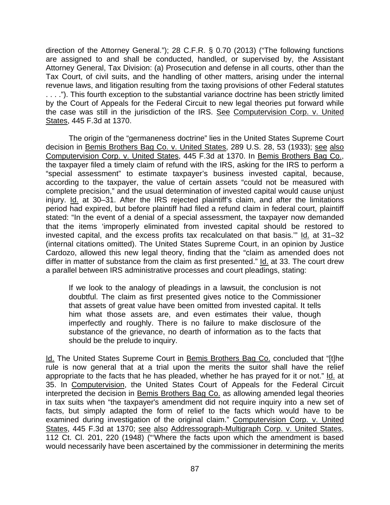direction of the Attorney General."); 28 C.F.R. § 0.70 (2013) ("The following functions are assigned to and shall be conducted, handled, or supervised by, the Assistant Attorney General, Tax Division: (a) Prosecution and defense in all courts, other than the Tax Court, of civil suits, and the handling of other matters, arising under the internal revenue laws, and litigation resulting from the taxing provisions of other Federal statutes . . . ."). This fourth exception to the substantial variance doctrine has been strictly limited by the Court of Appeals for the Federal Circuit to new legal theories put forward while the case was still in the jurisdiction of the IRS. See Computervision Corp. v. United States, 445 F.3d at 1370.

The origin of the "germaneness doctrine" lies in the United States Supreme Court decision in Bemis Brothers Bag Co. v. United States, 289 U.S. 28, 53 (1933); see also Computervision Corp. v. United States, 445 F.3d at 1370. In Bemis Brothers Bag Co., the taxpayer filed a timely claim of refund with the IRS, asking for the IRS to perform a "special assessment" to estimate taxpayer's business invested capital, because, according to the taxpayer, the value of certain assets "could not be measured with complete precision," and the usual determination of invested capital would cause unjust injury. Id. at 30–31. After the IRS rejected plaintiff's claim, and after the limitations period had expired, but before plaintiff had filed a refund claim in federal court, plaintiff stated: "In the event of a denial of a special assessment, the taxpayer now demanded that the items 'improperly eliminated from invested capital should be restored to invested capital, and the excess profits tax recalculated on that basis.'" Id. at 31–32 (internal citations omitted). The United States Supreme Court, in an opinion by Justice Cardozo, allowed this new legal theory, finding that the "claim as amended does not differ in matter of substance from the claim as first presented." Id. at 33. The court drew a parallel between IRS administrative processes and court pleadings, stating:

If we look to the analogy of pleadings in a lawsuit, the conclusion is not doubtful. The claim as first presented gives notice to the Commissioner that assets of great value have been omitted from invested capital. It tells him what those assets are, and even estimates their value, though imperfectly and roughly. There is no failure to make disclosure of the substance of the grievance, no dearth of information as to the facts that should be the prelude to inquiry.

Id. The United States Supreme Court in Bemis Brothers Bag Co. concluded that "[t]he rule is now general that at a trial upon the merits the suitor shall have the relief appropriate to the facts that he has pleaded, whether he has prayed for it or not." Id. at 35. In Computervision, the United States Court of Appeals for the Federal Circuit interpreted the decision in Bemis Brothers Bag Co. as allowing amended legal theories in tax suits when "the taxpayer's amendment did not require inquiry into a new set of facts, but simply adapted the form of relief to the facts which would have to be examined during investigation of the original claim." Computervision Corp. v. United States, 445 F.3d at 1370; see also Addressograph-Multigraph Corp. v. United States, 112 Ct. Cl. 201, 220 (1948) ("'Where the facts upon which the amendment is based would necessarily have been ascertained by the commissioner in determining the merits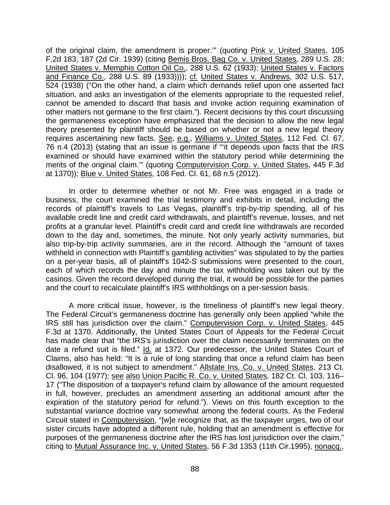of the original claim, the amendment is proper."" (quoting Pink v. United States, 105 F.2d 183, 187 (2d Cir. 1939) (citing Bemis Bros. Bag Co. v. United States, 289 U.S. 28; United States v. Memphis Cotton Oil Co., 288 U.S. 62 (1933); United States v. Factors and Finance Co., 288 U.S. 89 (1933)))); cf. United States v. Andrews, 302 U.S. 517, 524 (1938) ("On the other hand, a claim which demands relief upon one asserted fact situation, and asks an investigation of the elements appropriate to the requested relief, cannot be amended to discard that basis and invoke action requiring examination of other matters not germane to the first claim."). Recent decisions by this court discussing the germaneness exception have emphasized that the decision to allow the new legal theory presented by plaintiff should be based on whether or not a new legal theory requires ascertaining new facts. See, e.g., Williams v. United States, 112 Fed. Cl. 67, 76 n.4 (2013) (stating that an issue is germane if "'it depends upon facts that the IRS examined or should have examined within the statutory period while determining the merits of the original claim.'" (quoting Computervision Corp. v. United States, 445 F.3d at 1370)); Blue v. United States, 108 Fed. Cl. 61, 68 n.5 (2012).

In order to determine whether or not Mr. Free was engaged in a trade or business, the court examined the trial testimony and exhibits in detail, including the records of plaintiff's travels to Las Vegas, plaintiff's trip-by-trip spending, all of his available credit line and credit card withdrawals, and plaintiff's revenue, losses, and net profits at a granular level. Plaintiff's credit card and credit line withdrawals are recorded down to the day and, sometimes, the minute. Not only yearly activity summaries, but also trip-by-trip activity summaries, are in the record. Although the "amount of taxes withheld in connection with Plaintiff's gambling activities" was stipulated to by the parties on a per-year basis, all of plaintiff's 1042-S submissions were presented to the court, each of which records the day and minute the tax withholding was taken out by the casinos. Given the record developed during the trial, it would be possible for the parties and the court to recalculate plaintiff's IRS withholdings on a per-session basis.

A more critical issue, however, is the timeliness of plaintiff's new legal theory. The Federal Circuit's germaneness doctrine has generally only been applied "while the IRS still has jurisdiction over the claim." Computervision Corp. v. United States, 445 F.3d at 1370. Additionally, the United States Court of Appeals for the Federal Circuit has made clear that "the IRS's jurisdiction over the claim necessarily terminates on the date a refund suit is filed." Id. at 1372. Our predecessor, the United States Court of Claims, also has held: "It is a rule of long standing that once a refund claim has been disallowed, it is not subject to amendment." Allstate Ins. Co. v. United States, 213 Ct. Cl. 96, 104 (1977); see also Union Pacific R. Co. v. United States, 182 Ct. Cl. 103, 116– 17 ("The disposition of a taxpayer's refund claim by allowance of the amount requested in full, however, precludes an amendment asserting an additional amount after the expiration of the statutory period for refund."). Views on this fourth exception to the substantial variance doctrine vary somewhat among the federal courts. As the Federal Circuit stated in Computervision, "[w]e recognize that, as the taxpayer urges, two of our sister circuits have adopted a different rule, holding that an amendment is effective for purposes of the germaneness doctrine after the IRS has lost jurisdiction over the claim," citing to Mutual Assurance Inc. v. United States, 56 F.3d 1353 (11th Cir.1995), nonacq.,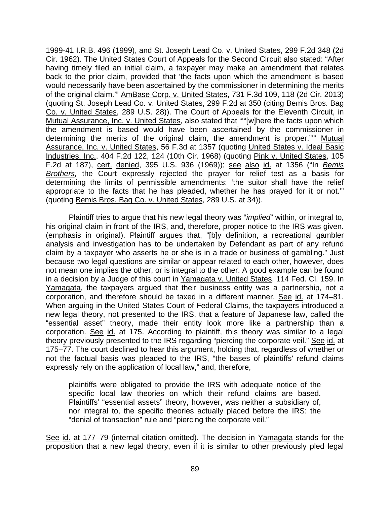1999-41 I.R.B. 496 (1999), and St. Joseph Lead Co. v. United States, 299 F.2d 348 (2d Cir. 1962). The United States Court of Appeals for the Second Circuit also stated: "After having timely filed an initial claim, a taxpayer may make an amendment that relates back to the prior claim, provided that 'the facts upon which the amendment is based would necessarily have been ascertained by the commissioner in determining the merits of the original claim."" AmBase Corp. v. United States, 731 F.3d 109, 118 (2d Cir. 2013) (quoting St. Joseph Lead Co. v. United States, 299 F.2d at 350 (citing Bemis Bros. Bag Co. v. United States, 289 U.S. 28)). The Court of Appeals for the Eleventh Circuit, in Mutual Assurance, Inc. v. United States, also stated that ""[w]here the facts upon which the amendment is based would have been ascertained by the commissioner in determining the merits of the original claim, the amendment is proper."'" Mutual Assurance, Inc. v. United States, 56 F.3d at 1357 (quoting United States v. Ideal Basic Industries, Inc., 404 F.2d 122, 124 (10th Cir. 1968) (quoting Pink v. United States, 105 F.2d at 187), cert. denied, 395 U.S. 936 (1969)); see also id. at 1356 ("In *Bemis Brothers,* the Court expressly rejected the prayer for relief test as a basis for determining the limits of permissible amendments: 'the suitor shall have the relief appropriate to the facts that he has pleaded, whether he has prayed for it or not.'" (quoting Bemis Bros. Bag Co. v. United States, 289 U.S. at 34)).

Plaintiff tries to argue that his new legal theory was "*implied*" within, or integral to, his original claim in front of the IRS, and, therefore, proper notice to the IRS was given. (emphasis in original). Plaintiff argues that, "[b]y definition, a recreational gambler analysis and investigation has to be undertaken by Defendant as part of any refund claim by a taxpayer who asserts he or she is in a trade or business of gambling." Just because two legal questions are similar or appear related to each other, however, does not mean one implies the other, or is integral to the other. A good example can be found in a decision by a Judge of this court in Yamagata v. United States, 114 Fed. Cl. 159. In Yamagata, the taxpayers argued that their business entity was a partnership, not a corporation, and therefore should be taxed in a different manner. See id. at 174–81. When arguing in the United States Court of Federal Claims, the taxpayers introduced a new legal theory, not presented to the IRS, that a feature of Japanese law, called the "essential asset" theory, made their entity look more like a partnership than a corporation. See id. at 175. According to plaintiff, this theory was similar to a legal theory previously presented to the IRS regarding "piercing the corporate veil." See id. at 175–77. The court declined to hear this argument, holding that, regardless of whether or not the factual basis was pleaded to the IRS, "the bases of plaintiffs' refund claims expressly rely on the application of local law," and, therefore,

plaintiffs were obligated to provide the IRS with adequate notice of the specific local law theories on which their refund claims are based. Plaintiffs' "essential assets" theory, however, was neither a subsidiary of, nor integral to, the specific theories actually placed before the IRS: the "denial of transaction" rule and "piercing the corporate veil."

See id. at 177–79 (internal citation omitted). The decision in Yamagata stands for the proposition that a new legal theory, even if it is similar to other previously pled legal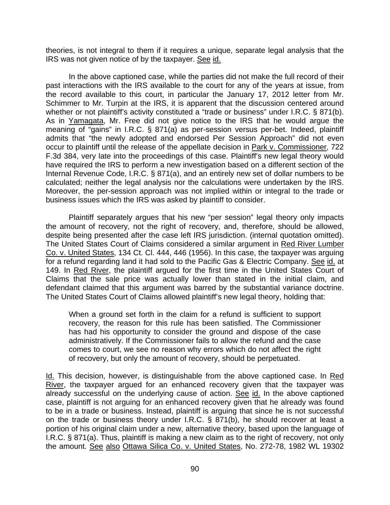theories, is not integral to them if it requires a unique, separate legal analysis that the IRS was not given notice of by the taxpayer. See id.

In the above captioned case, while the parties did not make the full record of their past interactions with the IRS available to the court for any of the years at issue, from the record available to this court, in particular the January 17, 2012 letter from Mr. Schimmer to Mr. Turpin at the IRS, it is apparent that the discussion centered around whether or not plaintiff's activity constituted a "trade or business" under I.R.C. § 871(b). As in Yamagata, Mr. Free did not give notice to the IRS that he would argue the meaning of "gains" in I.R.C. § 871(a) as per-session versus per-bet. Indeed, plaintiff admits that "the newly adopted and endorsed Per Session Approach" did not even occur to plaintiff until the release of the appellate decision in Park v. Commissioner, 722 F.3d 384, very late into the proceedings of this case. Plaintiff's new legal theory would have required the IRS to perform a new investigation based on a different section of the Internal Revenue Code, I.R.C. § 871(a), and an entirely new set of dollar numbers to be calculated; neither the legal analysis nor the calculations were undertaken by the IRS. Moreover, the per-session approach was not implied within or integral to the trade or business issues which the IRS was asked by plaintiff to consider.

Plaintiff separately argues that his new "per session" legal theory only impacts the amount of recovery, not the right of recovery, and, therefore, should be allowed, despite being presented after the case left IRS jurisdiction. (internal quotation omitted). The United States Court of Claims considered a similar argument in Red River Lumber Co. v. United States, 134 Ct. Cl. 444, 446 (1956). In this case, the taxpayer was arguing for a refund regarding land it had sold to the Pacific Gas & Electric Company. See id. at 149. In Red River, the plaintiff argued for the first time in the United States Court of Claims that the sale price was actually lower than stated in the initial claim, and defendant claimed that this argument was barred by the substantial variance doctrine. The United States Court of Claims allowed plaintiff's new legal theory, holding that:

When a ground set forth in the claim for a refund is sufficient to support recovery, the reason for this rule has been satisfied. The Commissioner has had his opportunity to consider the ground and dispose of the case administratively. If the Commissioner fails to allow the refund and the case comes to court, we see no reason why errors which do not affect the right of recovery, but only the amount of recovery, should be perpetuated.

Id. This decision, however, is distinguishable from the above captioned case. In Red River, the taxpayer argued for an enhanced recovery given that the taxpayer was already successful on the underlying cause of action. See id. In the above captioned case, plaintiff is not arguing for an enhanced recovery given that he already was found to be in a trade or business. Instead, plaintiff is arguing that since he is not successful on the trade or business theory under I.R.C. § 871(b), he should recover at least a portion of his original claim under a new, alternative theory, based upon the language of I.R.C. § 871(a). Thus, plaintiff is making a new claim as to the right of recovery, not only the amount. See also Ottawa Silica Co. v. United States, No. 272-78, 1982 WL 19302